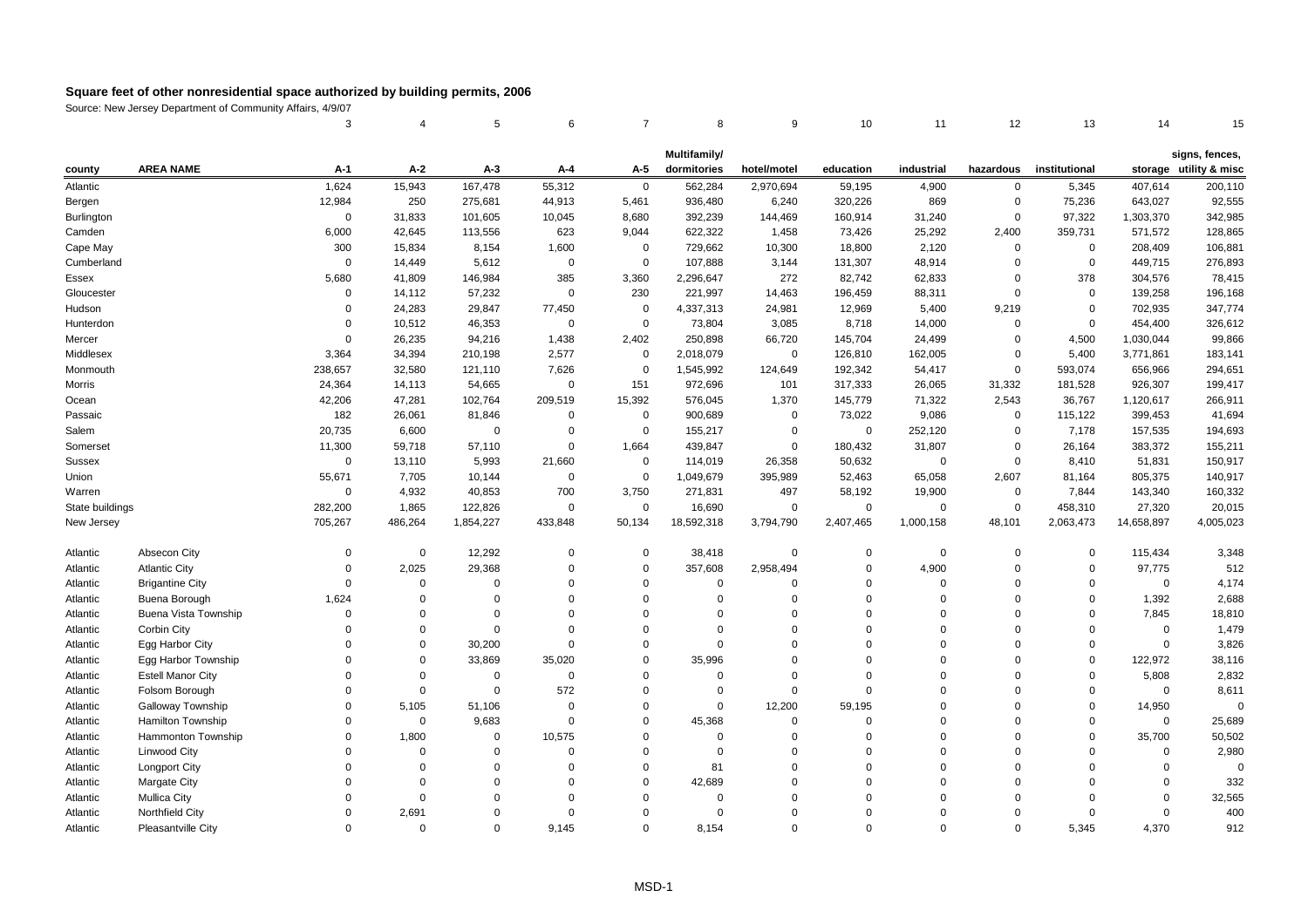|                   |                             | 3              | 4           | 5           | 6                | $\overline{7}$ | 8            | 9           | 10          | 11          | 12          | 13            | 14          | 15                     |
|-------------------|-----------------------------|----------------|-------------|-------------|------------------|----------------|--------------|-------------|-------------|-------------|-------------|---------------|-------------|------------------------|
|                   |                             |                |             |             |                  |                | Multifamily/ |             |             |             |             |               |             | signs, fences,         |
| county            | <b>AREA NAME</b>            | $A-1$          | $A-2$       | $A-3$       | A-4              | A-5            | dormitories  | hotel/motel | education   | industrial  | hazardous   | institutional |             | storage utility & misc |
| Atlantic          |                             | 1,624          | 15,943      | 167,478     | 55,312           | $\mathbf 0$    | 562,284      | 2,970,694   | 59,195      | 4,900       | 0           | 5,345         | 407,614     | 200,110                |
| Bergen            |                             | 12,984         | 250         | 275,681     | 44,913           | 5,461          | 936,480      | 6,240       | 320,226     | 869         | $\mathbf 0$ | 75,236        | 643,027     | 92,555                 |
| <b>Burlington</b> |                             | $\mathbf 0$    | 31,833      | 101,605     | 10,045           | 8,680          | 392,239      | 144,469     | 160,914     | 31,240      | $\Omega$    | 97,322        | 1,303,370   | 342,985                |
| Camden            |                             | 6,000          | 42,645      | 113,556     | 623              | 9,044          | 622,322      | 1,458       | 73,426      | 25,292      | 2,400       | 359,731       | 571,572     | 128,865                |
| Cape May          |                             | 300            | 15,834      | 8,154       | 1,600            | $\mathbf 0$    | 729,662      | 10,300      | 18,800      | 2,120       | $\Omega$    | $\mathbf 0$   | 208,409     | 106,881                |
| Cumberland        |                             | $\Omega$       | 14,449      | 5,612       | $\mathbf 0$      | $\mathbf 0$    | 107,888      | 3,144       | 131,307     | 48,914      | $\Omega$    | 0             | 449,715     | 276,893                |
| Essex             |                             | 5,680          | 41,809      | 146,984     | 385              | 3,360          | 2,296,647    | 272         | 82,742      | 62,833      | $\mathbf 0$ | 378           | 304,576     | 78,415                 |
| Gloucester        |                             | $\overline{0}$ | 14,112      | 57,232      | $\mathbf 0$      | 230            | 221,997      | 14,463      | 196,459     | 88,311      | $\mathbf 0$ | 0             | 139,258     | 196,168                |
| Hudson            |                             | $\Omega$       | 24,283      | 29,847      | 77,450           | $\mathbf 0$    | 4,337,313    | 24,981      | 12,969      | 5,400       | 9,219       | $\mathbf 0$   | 702,935     | 347,774                |
| Hunterdon         |                             | $\Omega$       | 10,512      | 46,353      | $\mathbf 0$      | $\mathbf 0$    | 73,804       | 3,085       | 8,718       | 14,000      | $\mathbf 0$ | 0             | 454,400     | 326,612                |
| Mercer            |                             | $\mathbf 0$    | 26,235      | 94,216      | 1,438            | 2,402          | 250,898      | 66,720      | 145,704     | 24,499      | $\mathbf 0$ | 4,500         | 1,030,044   | 99,866                 |
| Middlesex         |                             | 3,364          | 34,394      | 210,198     | 2,577            | $\mathbf 0$    | 2,018,079    | $\mathbf 0$ | 126,810     | 162,005     | $\Omega$    | 5,400         | 3,771,861   | 183,141                |
| Monmouth          |                             | 238,657        | 32,580      | 121,110     | 7,626            | $\mathbf 0$    | 1,545,992    | 124,649     | 192,342     | 54,417      | $\mathbf 0$ | 593,074       | 656,966     | 294,651                |
| Morris            |                             | 24,364         | 14,113      | 54,665      | $\boldsymbol{0}$ | 151            | 972,696      | 101         | 317,333     | 26,065      | 31,332      | 181,528       | 926,307     | 199,417                |
| Ocean             |                             | 42,206         | 47,281      | 102,764     | 209,519          | 15,392         | 576,045      | 1,370       | 145,779     | 71,322      | 2,543       | 36,767        | 1,120,617   | 266,911                |
| Passaic           |                             | 182            | 26,061      | 81,846      | $\mathbf 0$      | $\mathbf 0$    | 900,689      | $\mathbf 0$ | 73,022      | 9,086       | $\mathbf 0$ | 115,122       | 399,453     | 41,694                 |
| Salem             |                             | 20,735         | 6,600       | $\mathbf 0$ | $\mathbf 0$      | $\mathsf 0$    | 155,217      | $\mathsf 0$ | $\mathsf 0$ | 252,120     | $\mathbf 0$ | 7,178         | 157,535     | 194,693                |
| Somerset          |                             | 11,300         | 59,718      | 57,110      | $\mathbf 0$      | 1,664          | 439,847      | $\mathbf 0$ | 180,432     | 31,807      | $\Omega$    | 26,164        | 383,372     | 155,211                |
| Sussex            |                             | $\mathbf 0$    | 13,110      | 5,993       | 21,660           | $\mathbf 0$    | 114,019      | 26,358      | 50,632      | $\Omega$    | $\Omega$    | 8,410         | 51,831      | 150,917                |
| Union             |                             | 55,671         | 7,705       | 10,144      | $\mathbf 0$      | $\Omega$       | 1,049,679    | 395,989     | 52,463      | 65,058      | 2,607       | 81,164        | 805,375     | 140,917                |
| Warren            |                             | $\mathbf 0$    | 4,932       | 40,853      | 700              | 3,750          | 271,831      | 497         | 58,192      | 19,900      | $\mathbf 0$ | 7,844         | 143,340     | 160,332                |
| State buildings   |                             | 282,200        | 1,865       | 122,826     | $\mathbf 0$      | $\mathbf 0$    | 16,690       | $\mathbf 0$ | 0           | $\mathbf 0$ | $\mathbf 0$ | 458,310       | 27,320      | 20,015                 |
| New Jersey        |                             | 705,267        | 486,264     | 1,854,227   | 433,848          | 50,134         | 18,592,318   | 3,794,790   | 2,407,465   | 1,000,158   | 48,101      | 2,063,473     | 14,658,897  | 4,005,023              |
| Atlantic          | Absecon City                | $\Omega$       | 0           | 12,292      | $\mathbf 0$      | $\mathbf 0$    | 38,418       | 0           | $\mathbf 0$ | $\Omega$    | $\mathbf 0$ | 0             | 115,434     | 3,348                  |
| Atlantic          | <b>Atlantic City</b>        | $\Omega$       | 2,025       | 29,368      | $\mathbf 0$      | $\mathbf 0$    | 357,608      | 2,958,494   | $\mathbf 0$ | 4,900       | $\Omega$    | 0             | 97,775      | 512                    |
| Atlantic          | <b>Brigantine City</b>      | $\Omega$       | $\mathbf 0$ | $\Omega$    | $\Omega$         | $\Omega$       | $\mathbf 0$  | $\Omega$    | $\Omega$    | $\Omega$    | $\Omega$    | $\Omega$      | $\mathbf 0$ | 4,174                  |
| Atlantic          | Buena Borough               | 1,624          | $\Omega$    | $\Omega$    | $\Omega$         | $\Omega$       | $\mathbf 0$  | $\Omega$    | $\Omega$    | $\Omega$    | $\Omega$    | $\mathbf 0$   | 1,392       | 2,688                  |
| Atlantic          | <b>Buena Vista Township</b> | $\Omega$       | $\Omega$    | $\Omega$    | $\Omega$         | $\Omega$       | $\Omega$     | $\Omega$    | $\Omega$    | $\Omega$    | $\Omega$    | $\Omega$      | 7,845       | 18,810                 |
| Atlantic          | Corbin City                 | $\Omega$       | $\Omega$    | $\Omega$    | $\Omega$         | $\Omega$       | $\Omega$     | $\Omega$    | $\Omega$    | $\Omega$    | $\Omega$    | $\Omega$      | $\mathbf 0$ | 1,479                  |
| Atlantic          | Egg Harbor City             | $\Omega$       | $\Omega$    | 30,200      | $\mathbf 0$      | $\Omega$       | $\Omega$     | $\Omega$    | $\Omega$    | $\Omega$    | $\Omega$    | $\mathbf 0$   | $\mathbf 0$ | 3,826                  |
| Atlantic          | Egg Harbor Township         | $\Omega$       | $\Omega$    | 33,869      | 35,020           | $\mathbf 0$    | 35,996       | $\Omega$    | $\Omega$    | $\Omega$    | $\Omega$    | $\mathbf 0$   | 122,972     | 38,116                 |
| Atlantic          | <b>Estell Manor City</b>    | $\Omega$       | $\mathbf 0$ | 0           | $\mathbf 0$      | $\mathbf 0$    | $\mathbf 0$  | $\mathbf 0$ | $\Omega$    | $\Omega$    | $\Omega$    | 0             | 5,808       | 2,832                  |
| Atlantic          | Folsom Borough              | $\Omega$       | $\Omega$    | $\mathbf 0$ | 572              | $\Omega$       | $\Omega$     | $\mathbf 0$ | $\Omega$    | $\Omega$    | $\Omega$    | $\mathbf 0$   | $\mathbf 0$ | 8,611                  |
| Atlantic          | Galloway Township           | $\Omega$       | 5,105       | 51,106      | $\mathbf{0}$     | $\Omega$       | $\Omega$     | 12,200      | 59,195      | $\Omega$    | $\Omega$    | $\Omega$      | 14,950      | $\Omega$               |
| Atlantic          | Hamilton Township           | $\Omega$       | $\mathsf 0$ | 9,683       | $\mathbf 0$      | $\mathbf 0$    | 45,368       | 0           | $\Omega$    | $\Omega$    | $\Omega$    | 0             | $\mathbf 0$ | 25,689                 |
| Atlantic          | Hammonton Township          | $\Omega$       | 1,800       | $\mathbf 0$ | 10,575           | $\Omega$       | $\mathbf 0$  | $\mathbf 0$ | $\Omega$    | $\Omega$    | $\Omega$    | $\mathbf 0$   | 35,700      | 50,502                 |
| Atlantic          | Linwood City                | $\Omega$       | $\Omega$    | $\mathbf 0$ | $\mathbf 0$      | $\Omega$       | $\mathbf 0$  | $\Omega$    | $\Omega$    | $\Omega$    | $\Omega$    | $\mathbf 0$   | $\mathbf 0$ | 2,980                  |
| Atlantic          | <b>Longport City</b>        | $\Omega$       | $\Omega$    | $\Omega$    | $\mathbf 0$      | $\Omega$       | 81           | $\Omega$    | $\Omega$    | $\Omega$    | $\Omega$    | $\Omega$      | $\mathbf 0$ | $\mathbf 0$            |
| Atlantic          | Margate City                | $\Omega$       | $\Omega$    | $\Omega$    | $\Omega$         | $\Omega$       | 42,689       | $\Omega$    | $\Omega$    | $\Omega$    | $\Omega$    | $\Omega$      | $\Omega$    | 332                    |
| Atlantic          | <b>Mullica City</b>         | $\Omega$       | $\Omega$    | $\Omega$    | $\Omega$         | $\Omega$       | $\Omega$     | $\Omega$    | $\Omega$    | $\Omega$    | $\Omega$    | $\Omega$      | $\Omega$    | 32,565                 |
| Atlantic          | Northfield City             | $\Omega$       | 2,691       | $\Omega$    | $\Omega$         | $\Omega$       | $\mathbf 0$  | $\Omega$    | $\Omega$    | $\Omega$    | $\Omega$    | $\mathbf 0$   | $\mathbf 0$ | 400                    |
| Atlantic          | Pleasantville City          | $\Omega$       | $\Omega$    | $\Omega$    | 9.145            | $\Omega$       | 8.154        | $\Omega$    | $\Omega$    | $\Omega$    | $\Omega$    | 5.345         | 4,370       | 912                    |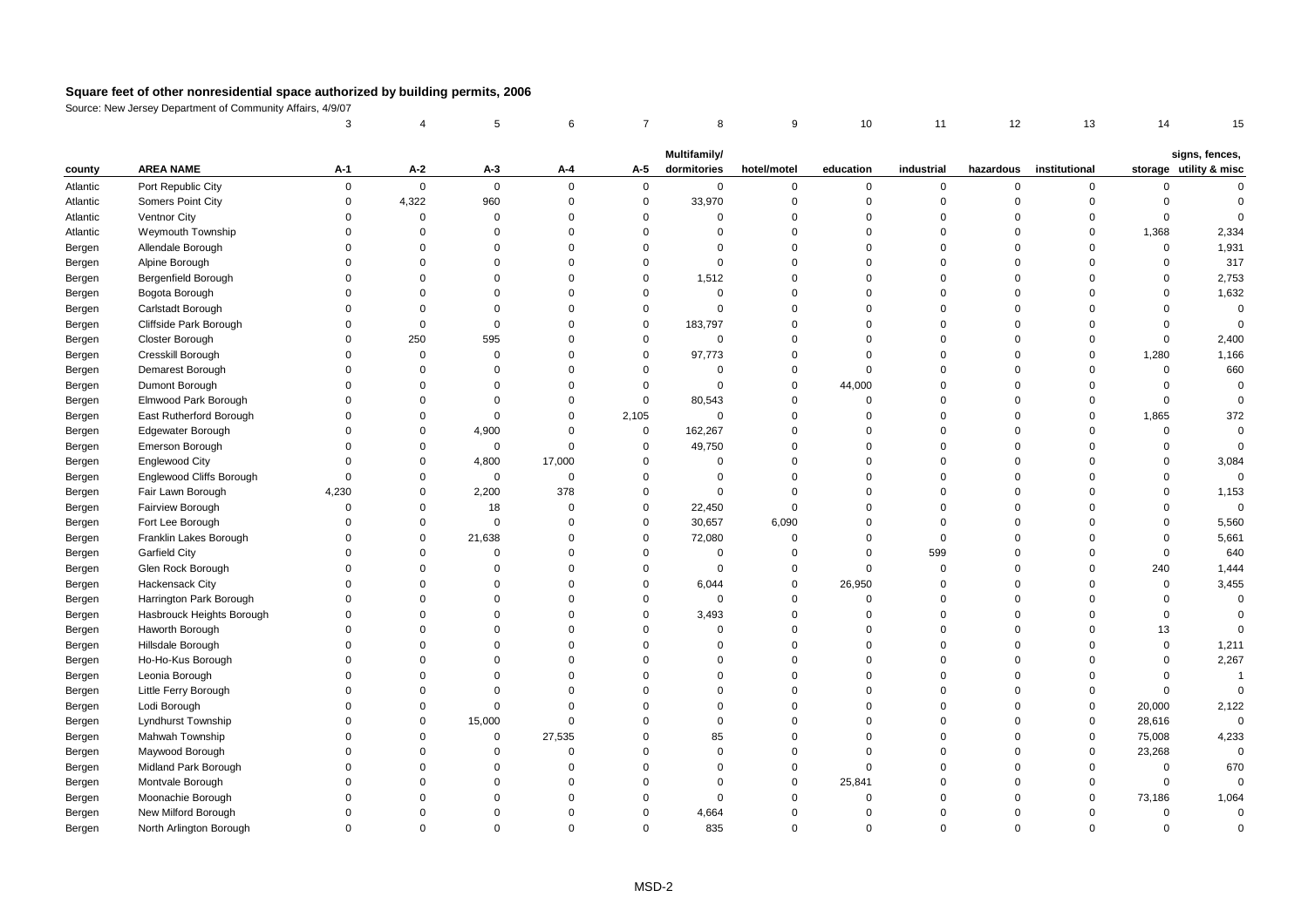|          |                            | 3           |             | 5              | 6           | $\overline{7}$ | 8            | 9           | 10          | 11          | 12             | 13            | 14          | 15                     |
|----------|----------------------------|-------------|-------------|----------------|-------------|----------------|--------------|-------------|-------------|-------------|----------------|---------------|-------------|------------------------|
|          |                            |             |             |                |             |                | Multifamily/ |             |             |             |                |               |             | signs, fences,         |
| county   | <b>AREA NAME</b>           | A-1         | $A-2$       | $A-3$          | A-4         | A-5            | dormitories  | hotel/motel | education   | industrial  | hazardous      | institutional |             | storage utility & misc |
| Atlantic | Port Republic City         | $\mathbf 0$ | $\mathbf 0$ | $\mathbf 0$    | $\Omega$    | 0              | $\mathbf 0$  | $\mathbf 0$ | 0           | 0           | $\mathsf 0$    | $\mathbf 0$   | 0           | $\Omega$               |
| Atlantic | Somers Point City          | $\mathbf 0$ | 4,322       | 960            | $\mathbf 0$ | $\mathsf 0$    | 33,970       | $\mathbf 0$ | $\mathbf 0$ | $\mathbf 0$ | $\overline{0}$ | $\mathbf 0$   | $\mathsf 0$ | $\mathbf 0$            |
| Atlantic | Ventnor City               | $\Omega$    | $\mathbf 0$ | $\mathbf 0$    | $\Omega$    | $\mathbf 0$    | $\Omega$     | $\mathbf 0$ | $\Omega$    | $\mathbf 0$ | $\Omega$       | $\mathbf 0$   | $\mathbf 0$ | $\Omega$               |
| Atlantic | Weymouth Township          | $\Omega$    | $\Omega$    | $\Omega$       | $\Omega$    | $\Omega$       | $\Omega$     | $\Omega$    | $\Omega$    | $\mathbf 0$ | $\Omega$       | $\Omega$      | 1,368       | 2,334                  |
| Bergen   | Allendale Borough          | $\Omega$    | $\Omega$    | $\Omega$       | $\Omega$    | $\mathbf 0$    | $\mathbf{0}$ | $\mathbf 0$ | $\Omega$    | $\mathbf 0$ | $\mathbf 0$    | 0             | $\mathsf 0$ | 1,931                  |
| Bergen   | Alpine Borough             | $\mathbf 0$ | $\Omega$    | $\mathbf 0$    | $\mathbf 0$ | $\mathbf 0$    | $\mathbf{0}$ | $\mathbf 0$ | $\Omega$    | $\mathbf 0$ | $\mathsf 0$    | $\mathbf 0$   | $\mathsf 0$ | 317                    |
| Bergen   | <b>Bergenfield Borough</b> | $\Omega$    | $\Omega$    | $\Omega$       | $\Omega$    | $\mathbf 0$    | 1,512        | $\mathbf 0$ | $\Omega$    | $\mathbf 0$ | $\Omega$       | $\Omega$      | $\Omega$    | 2,753                  |
| Bergen   | Bogota Borough             | $\Omega$    | $\Omega$    | $\Omega$       | $\Omega$    | $\mathbf 0$    | $\Omega$     | $\mathbf 0$ | $\Omega$    | $\mathbf 0$ | $\mathbf 0$    | $\Omega$      | $\Omega$    | 1,632                  |
| Bergen   | Carlstadt Borough          | $\Omega$    | $\Omega$    | $\Omega$       | $\Omega$    | $\mathbf 0$    | $\Omega$     | $\Omega$    | $\Omega$    | $\mathbf 0$ | $\Omega$       | $\Omega$      | $\Omega$    | $\mathbf 0$            |
| Bergen   | Cliffside Park Borough     | $\Omega$    | $\mathbf 0$ | $\mathsf 0$    | $\Omega$    | $\mathsf 0$    | 183,797      | $\Omega$    | $\Omega$    | $\mathbf 0$ | $\Omega$       | $\Omega$      | $\mathsf 0$ | $\mathbf 0$            |
| Bergen   | Closter Borough            | $\Omega$    | 250         | 595            | $\Omega$    | $\mathbf 0$    | $\Omega$     | $\mathbf 0$ | $\Omega$    | $\mathbf 0$ | $\mathbf 0$    | $\Omega$      | $\mathbf 0$ | 2,400                  |
| Bergen   | Cresskill Borough          | $\Omega$    | $\mathbf 0$ | $\mathbf 0$    | $\Omega$    | 0              | 97,773       | $\mathbf 0$ | $\Omega$    | $\mathbf 0$ | $\overline{0}$ | $\mathbf 0$   | 1,280       | 1,166                  |
| Bergen   | Demarest Borough           | $\Omega$    | $\Omega$    | $\mathbf 0$    | $\mathbf 0$ | $\mathbf 0$    | $\mathbf 0$  | $\mathbf 0$ | $\Omega$    | $\mathbf 0$ | $\mathsf 0$    | $\mathbf 0$   | $\mathsf 0$ | 660                    |
| Bergen   | Dumont Borough             | $\Omega$    | $\Omega$    | $\Omega$       | $\Omega$    | $\mathbf 0$    | $\Omega$     | $\mathbf 0$ | 44,000      | $\Omega$    | $\Omega$       | $\Omega$      | $\mathbf 0$ | $\mathbf 0$            |
| Bergen   | Elmwood Park Borough       | $\Omega$    | $\Omega$    | $\Omega$       | $\Omega$    | $\mathbf 0$    | 80,543       | $\mathbf 0$ | $\Omega$    | $\mathbf 0$ | $\Omega$       | $\Omega$      | $\mathbf 0$ | $\Omega$               |
| Bergen   | East Rutherford Borough    | $\Omega$    | $\mathbf 0$ | $\mathsf 0$    | $\mathbf 0$ | 2,105          | $\Omega$     | $\mathbf 0$ | $\Omega$    | $\mathbf 0$ | $\mathsf 0$    | $\mathbf 0$   | 1,865       | 372                    |
| Bergen   | Edgewater Borough          | $\mathbf 0$ | $\mathbf 0$ | 4,900          | $\Omega$    | $\mathsf 0$    | 162,267      | $\mathbf 0$ | $\Omega$    | 0           | $\overline{0}$ | $\mathbf 0$   | $\mathsf 0$ | $\mathbf 0$            |
| Bergen   | Emerson Borough            | $\Omega$    | $\Omega$    | $\mathbf 0$    | $\Omega$    | $\mathbf 0$    | 49,750       | $\mathbf 0$ | $\Omega$    | $\mathbf 0$ | $\mathbf 0$    | $\Omega$      | $\Omega$    | $\Omega$               |
| Bergen   | <b>Englewood City</b>      | $\Omega$    | $\mathbf 0$ | 4,800          | 17,000      | $\mathbf 0$    | $\Omega$     | $\mathbf 0$ | $\Omega$    | $\mathbf 0$ | $\Omega$       | $\Omega$      | $\Omega$    | 3,084                  |
| Bergen   | Englewood Cliffs Borough   | $\Omega$    | $\mathbf 0$ | $\mathbf 0$    | $\Omega$    | $\mathbf 0$    | $\Omega$     | $\mathbf 0$ | $\Omega$    | $\mathbf 0$ | $\mathbf 0$    | $\Omega$      | $\Omega$    | $\Omega$               |
| Bergen   | Fair Lawn Borough          | 4,230       | $\mathbf 0$ | 2,200          | 378         | $\mathbf 0$    | $\Omega$     | $\mathbf 0$ | $\Omega$    | $\mathbf 0$ | $\mathbf 0$    | $\Omega$      | $\Omega$    | 1,153                  |
| Bergen   | Fairview Borough           | $\Omega$    | $\Omega$    | 18             | $\Omega$    | $\mathbf 0$    | 22,450       | $\mathbf 0$ | $\Omega$    | $\mathbf 0$ | $\Omega$       | $\Omega$      | $\Omega$    | $\mathbf 0$            |
| Bergen   | Fort Lee Borough           | $\Omega$    | $\mathbf 0$ | $\overline{0}$ | $\Omega$    | $\mathbf 0$    | 30,657       | 6,090       | $\Omega$    | $\mathbf 0$ | $\Omega$       | $\Omega$      | $\mathbf 0$ | 5,560                  |
| Bergen   | Franklin Lakes Borough     | $\Omega$    | $\mathbf 0$ | 21,638         | $\Omega$    | $\mathsf 0$    | 72,080       | $\mathbf 0$ | $\Omega$    | $\mathbf 0$ | $\overline{0}$ | $\Omega$      | $\mathbf 0$ | 5,661                  |
| Bergen   | Garfield City              | $\Omega$    | $\Omega$    | $\Omega$       | $\Omega$    | $\Omega$       | $\Omega$     | $\mathbf 0$ | $\Omega$    | 599         | $\Omega$       | $\Omega$      | $\Omega$    | 640                    |
| Bergen   | Glen Rock Borough          | $\Omega$    | $\Omega$    | $\mathbf 0$    | $\Omega$    | $\mathbf 0$    | $\mathbf{0}$ | $\mathbf 0$ | $\Omega$    | $\mathbf 0$ | $\mathbf 0$    | $\Omega$      | 240         | 1,444                  |
| Bergen   | Hackensack City            | $\Omega$    | $\Omega$    | 0              | $\mathbf 0$ | $\mathsf 0$    | 6,044        | $\mathbf 0$ | 26,950      | $\mathbf 0$ | $\mathsf 0$    | $\mathbf 0$   | $\mathbf 0$ | 3,455                  |
| Bergen   | Harrington Park Borough    | $\Omega$    | $\Omega$    | $\Omega$       | $\Omega$    | 0              | $\Omega$     | $\mathbf 0$ | $\Omega$    | $\mathbf 0$ | $\Omega$       | $\Omega$      | $\Omega$    | $\Omega$               |
| Bergen   | Hasbrouck Heights Borough  | $\Omega$    | $\Omega$    | $\Omega$       | $\Omega$    | $\mathbf 0$    | 3,493        | $\mathbf 0$ | $\Omega$    | $\mathbf 0$ | $\Omega$       | $\Omega$      | $\mathbf 0$ | $\Omega$               |
| Bergen   | Haworth Borough            | $\Omega$    | $\Omega$    | $\Omega$       | $\Omega$    | $\Omega$       | $\Omega$     | $\mathbf 0$ | $\Omega$    | $\mathbf 0$ | $\mathbf 0$    | $\Omega$      | 13          | $\Omega$               |
| Bergen   | Hillsdale Borough          | $\Omega$    | $\Omega$    | 0              | $\Omega$    | $\Omega$       | $\Omega$     | $\mathbf 0$ | $\Omega$    | $\mathbf 0$ | $\mathsf 0$    | $\Omega$      | $\mathsf 0$ | 1,211                  |
| Bergen   | Ho-Ho-Kus Borough          | $\Omega$    | $\Omega$    | $\Omega$       | $\Omega$    | $\Omega$       | $\Omega$     | $\mathbf 0$ | $\Omega$    | $\mathbf 0$ | $\mathbf 0$    | $\Omega$      | $\mathbf 0$ | 2,267                  |
| Bergen   | Leonia Borough             | $\Omega$    | $\Omega$    | $\Omega$       | $\Omega$    | $\Omega$       | $\Omega$     | $\mathbf 0$ | $\Omega$    | $\mathbf 0$ | $\Omega$       | $\Omega$      | $\mathsf 0$ | $\overline{1}$         |
| Bergen   | Little Ferry Borough       | $\Omega$    | $\Omega$    | $\Omega$       | $\Omega$    | $\Omega$       | $\Omega$     | $\mathbf 0$ | $\Omega$    | $\mathbf 0$ | $\overline{0}$ | $\mathbf 0$   | $\mathsf 0$ | $\mathbf 0$            |
| Bergen   | Lodi Borough               | $\Omega$    | $\mathbf 0$ | $\Omega$       | $\Omega$    | $\Omega$       | $\Omega$     | $\mathbf 0$ | $\Omega$    | $\mathbf 0$ | $\mathsf 0$    | $\mathbf 0$   | 20,000      | 2,122                  |
| Bergen   | Lyndhurst Township         | $\Omega$    | $\mathbf 0$ | 15,000         | $\Omega$    | $\Omega$       | $\Omega$     | $\Omega$    | $\Omega$    | $\mathbf 0$ | $\mathbf 0$    | $\mathbf 0$   | 28,616      | $\Omega$               |
| Bergen   | Mahwah Township            | $\Omega$    | $\Omega$    | $\mathbf 0$    | 27,535      | $\mathbf 0$    | 85           | $\mathbf 0$ | $\Omega$    | $\mathbf 0$ | $\mathbf 0$    | $\mathbf 0$   | 75,008      | 4,233                  |
| Bergen   | Maywood Borough            | $\Omega$    | $\Omega$    | 0              | $\Omega$    | $\Omega$       | $\Omega$     | $\mathbf 0$ | $\Omega$    | $\mathbf 0$ | $\overline{0}$ | $\mathbf 0$   | 23,268      | $\Omega$               |
| Bergen   | Midland Park Borough       | $\Omega$    | $\Omega$    | $\Omega$       | $\Omega$    | $\Omega$       | $\Omega$     | $\mathbf 0$ | $\Omega$    | $\mathbf 0$ | $\Omega$       | $\Omega$      | $\mathbf 0$ | 670                    |
| Bergen   | Montvale Borough           | $\Omega$    | $\Omega$    | $\Omega$       | $\Omega$    | $\Omega$       | $\Omega$     | $\mathbf 0$ | 25,841      | $\mathbf 0$ | $\mathbf 0$    | $\Omega$      | $\mathbf 0$ | $\Omega$               |
| Bergen   | Moonachie Borough          | $\Omega$    | $\Omega$    | $\Omega$       | $\Omega$    | $\Omega$       | $\Omega$     | $\mathbf 0$ | $\Omega$    | 0           | $\Omega$       | $\Omega$      | 73,186      | 1,064                  |
| Bergen   | New Milford Borough        | $\Omega$    | $\Omega$    | $\Omega$       | $\Omega$    | $\Omega$       | 4,664        | $\mathbf 0$ | $\Omega$    | $\Omega$    | $\Omega$       | $\Omega$      | $\mathsf 0$ | $\mathbf 0$            |
| Bergen   | North Arlington Borough    | $\Omega$    | $\Omega$    | $\Omega$       | $\Omega$    | $\Omega$       | 835          | $\Omega$    | $\Omega$    | $\Omega$    | $\Omega$       | $\Omega$      | $\Omega$    | $\Omega$               |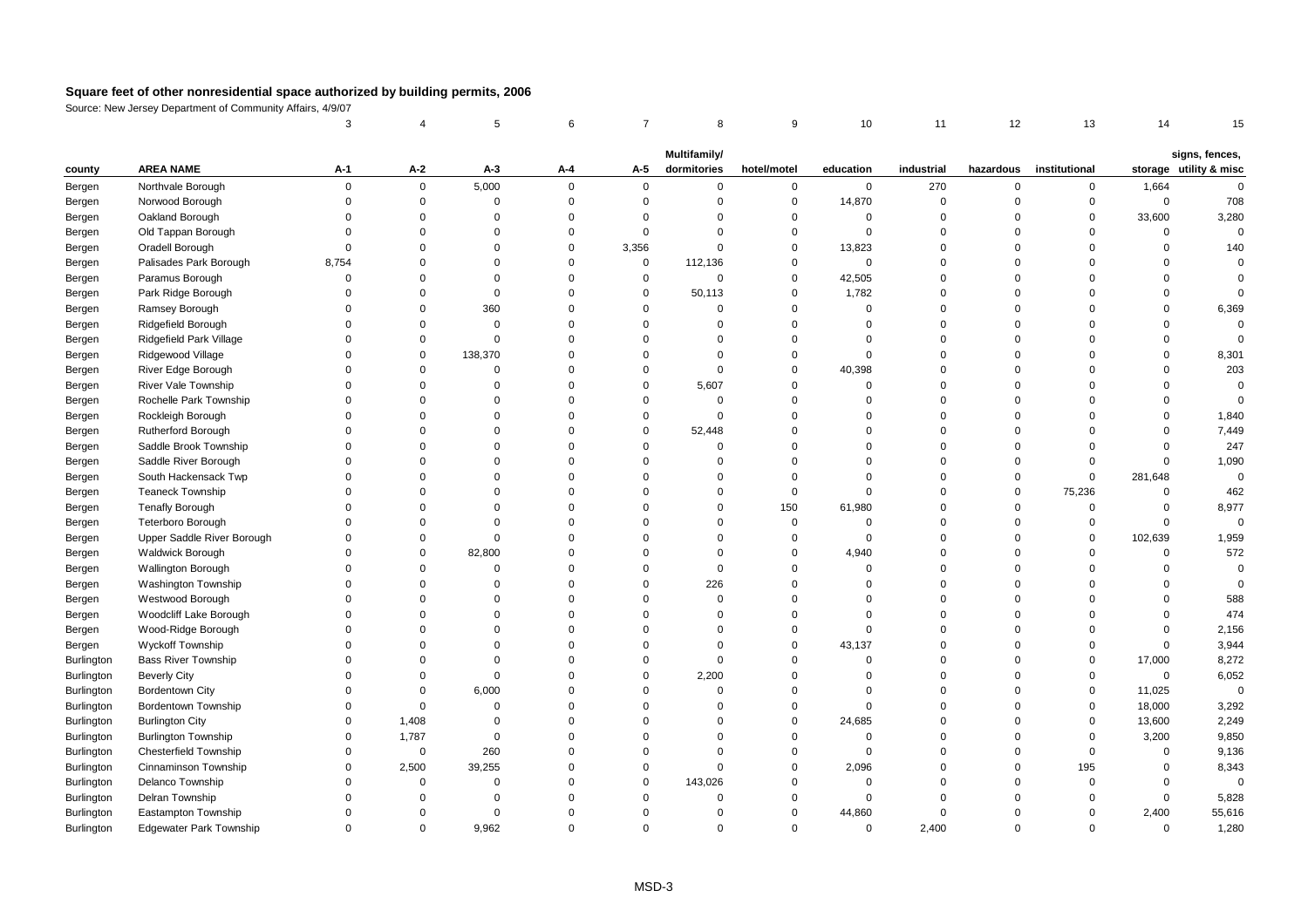|                   |                                | 3           |             | 5           | 6        | $\overline{7}$ | 8            | 9           | 10          | 11          | 12             | 13            | 14          | 15                     |
|-------------------|--------------------------------|-------------|-------------|-------------|----------|----------------|--------------|-------------|-------------|-------------|----------------|---------------|-------------|------------------------|
|                   |                                |             |             |             |          |                | Multifamily/ |             |             |             |                |               |             | signs, fences,         |
| county            | <b>AREA NAME</b>               | A-1         | A-2         | $A-3$       | Α-4      | A-5            | dormitories  | hotel/motel | education   | industrial  | hazardous      | institutional |             | storage utility & misc |
| Bergen            | Northvale Borough              | $\Omega$    | $\mathbf 0$ | 5,000       | $\Omega$ | $\mathbf{0}$   | $\mathbf 0$  | $\mathbf 0$ | $\mathbf 0$ | 270         | $\mathsf 0$    | $\mathbf 0$   | 1,664       | $\Omega$               |
| Bergen            | Norwood Borough                | $\Omega$    | $\mathbf 0$ | $\mathbf 0$ | $\Omega$ | $\mathbf{0}$   | $\mathbf 0$  | $\mathbf 0$ | 14,870      | 0           | $\Omega$       | $\mathbf 0$   | $\mathsf 0$ | 708                    |
| Bergen            | Oakland Borough                | $\Omega$    | $\mathbf 0$ | $\mathbf 0$ | $\Omega$ | $\Omega$       | $\Omega$     | $\mathbf 0$ | $\mathbf 0$ | 0           | $\Omega$       | $\mathbf 0$   | 33,600      | 3,280                  |
| Bergen            | Old Tappan Borough             | $\Omega$    | $\Omega$    | $\Omega$    | $\Omega$ | $\mathbf 0$    | $\Omega$     | $\mathbf 0$ | $\mathbf 0$ | $\Omega$    | $\Omega$       | $\Omega$      | $\Omega$    | $\mathbf 0$            |
| Bergen            | Oradell Borough                | $\Omega$    | $\mathbf 0$ | $\Omega$    | $\Omega$ | 3,356          | $\Omega$     | $\mathbf 0$ | 13,823      | $\mathbf 0$ | $\Omega$       | $\Omega$      | $\mathsf 0$ | 140                    |
| Bergen            | Palisades Park Borough         | 8,754       | $\Omega$    | $\Omega$    | $\Omega$ | $\mathbf 0$    | 112,136      | $\mathbf 0$ | $\mathbf 0$ | $\mathbf 0$ | $\Omega$       | $\Omega$      | $\Omega$    | $\Omega$               |
| Bergen            | Paramus Borough                | $\Omega$    | $\Omega$    | $\Omega$    | $\Omega$ | $\mathsf 0$    | $\mathbf 0$  | $\mathbf 0$ | 42,505      | $\Omega$    | $\Omega$       | $\Omega$      | $\Omega$    | $\Omega$               |
| Bergen            | Park Ridge Borough             | $\Omega$    | $\Omega$    | $\mathbf 0$ | $\Omega$ | $\mathbf 0$    | 50,113       | $\mathbf 0$ | 1,782       | $\Omega$    | $\Omega$       | $\Omega$      | $\Omega$    | $\Omega$               |
| Bergen            | Ramsey Borough                 | $\Omega$    | $\Omega$    | 360         | $\Omega$ | $\Omega$       | $\Omega$     | $\mathbf 0$ | $\mathbf 0$ | $\Omega$    | $\Omega$       | $\Omega$      | $\Omega$    | 6,369                  |
| Bergen            | Ridgefield Borough             | $\Omega$    | $\Omega$    | $\Omega$    | $\Omega$ | $\Omega$       | $\Omega$     | $\mathbf 0$ | $\Omega$    | $\Omega$    | $\Omega$       | $\Omega$      | $\Omega$    | $\Omega$               |
| Bergen            | Ridgefield Park Village        | $\Omega$    | $\Omega$    | $\mathbf 0$ | $\Omega$ | $\Omega$       | $\Omega$     | $\mathbf 0$ | $\mathbf 0$ | $\Omega$    | $\Omega$       | $\Omega$      | $\Omega$    | $\Omega$               |
| Bergen            | Ridgewood Village              | $\Omega$    | $\Omega$    | 138,370     | $\Omega$ | $\Omega$       | $\Omega$     | $\mathbf 0$ | $\Omega$    | $\mathbf 0$ | $\Omega$       | $\Omega$      | $\Omega$    | 8,301                  |
| Bergen            | River Edge Borough             | $\Omega$    | $\Omega$    | $\mathbf 0$ | $\Omega$ | $\Omega$       | $\Omega$     | $\mathbf 0$ | 40,398      | $\Omega$    | $\Omega$       | $\Omega$      | $\Omega$    | 203                    |
| Bergen            | River Vale Township            | $\Omega$    | $\Omega$    | $\mathbf 0$ | $\Omega$ | $\Omega$       | 5,607        | $\mathbf 0$ | $\Omega$    | $\Omega$    | $\Omega$       | $\Omega$      | $\Omega$    | $\mathbf 0$            |
| Bergen            | Rochelle Park Township         | $\Omega$    | $\Omega$    | $\Omega$    | $\Omega$ | $\Omega$       | $\Omega$     | $\mathbf 0$ | $\Omega$    | $\Omega$    | $\Omega$       | $\Omega$      | $\Omega$    | $\Omega$               |
| Bergen            | Rockleigh Borough              | $\Omega$    | $\Omega$    | $\Omega$    | $\Omega$ | $\mathbf 0$    | $\Omega$     | $\mathbf 0$ | $\Omega$    | $\Omega$    | $\Omega$       | $\Omega$      | $\Omega$    | 1,840                  |
| Bergen            | <b>Rutherford Borough</b>      | $\Omega$    | $\Omega$    | $\Omega$    | $\Omega$ | $\mathbf 0$    | 52,448       | $\mathbf 0$ | $\Omega$    | $\Omega$    | $\Omega$       | $\Omega$      | $\Omega$    | 7,449                  |
| Bergen            | Saddle Brook Township          | $\Omega$    | $\Omega$    | $\Omega$    | $\Omega$ | $\Omega$       | $\mathbf 0$  | $\mathbf 0$ | $\Omega$    | $\Omega$    | $\Omega$       | $\Omega$      | $\mathbf 0$ | 247                    |
| Bergen            | Saddle River Borough           | $\Omega$    | $\Omega$    | $\Omega$    | $\Omega$ | $\Omega$       | $\Omega$     | $\mathbf 0$ | $\Omega$    | $\Omega$    | $\Omega$       | $\mathbf 0$   | $\mathbf 0$ | 1,090                  |
| Bergen            | South Hackensack Twp           | $\Omega$    | $\Omega$    | $\Omega$    | $\Omega$ | $\Omega$       | $\Omega$     | $\mathbf 0$ | $\Omega$    | $\Omega$    | $\overline{0}$ | $\mathbf 0$   | 281,648     | $\mathsf 0$            |
| Bergen            | <b>Teaneck Township</b>        | $\Omega$    | $\Omega$    | $\Omega$    | $\Omega$ | $\Omega$       | $\Omega$     | $\mathbf 0$ | $\Omega$    | $\Omega$    | $\Omega$       | 75,236        | $\Omega$    | 462                    |
| Bergen            | <b>Tenafly Borough</b>         | $\Omega$    | $\Omega$    | $\Omega$    | $\Omega$ | $\Omega$       | $\Omega$     | 150         | 61,980      | $\Omega$    | $\Omega$       | $\Omega$      | $\mathbf 0$ | 8,977                  |
| Bergen            | <b>Teterboro Borough</b>       | $\Omega$    | $\Omega$    | $\Omega$    | $\Omega$ | $\Omega$       | $\Omega$     | $\mathbf 0$ | $\mathbf 0$ | $\mathbf 0$ | $\mathbf 0$    | $\mathbf 0$   | $\mathbf 0$ | $\mathbf{0}$           |
| Bergen            | Upper Saddle River Borough     | $\Omega$    | $\Omega$    | $\Omega$    | $\Omega$ | $\Omega$       | $\Omega$     | $\mathbf 0$ | $\mathbf 0$ | $\Omega$    | $\overline{0}$ | $\mathbf 0$   | 102,639     | 1,959                  |
| Bergen            | <b>Waldwick Borough</b>        | $\Omega$    | $\mathbf 0$ | 82,800      | $\Omega$ | $\Omega$       | $\Omega$     | $\mathbf 0$ | 4,940       | 0           | $\Omega$       | $\mathbf 0$   | $\mathsf 0$ | 572                    |
| Bergen            | Wallington Borough             | $\Omega$    | $\mathbf 0$ | $\Omega$    | $\Omega$ | $\Omega$       | $\Omega$     | $\mathbf 0$ | $\mathbf 0$ | $\Omega$    | $\Omega$       | $\Omega$      | $\mathsf 0$ | $\mathbf 0$            |
| Bergen            | <b>Washington Township</b>     | $\Omega$    | $\Omega$    | $\Omega$    | $\Omega$ | $\Omega$       | 226          | $\Omega$    | $\Omega$    | $\Omega$    | $\Omega$       | $\Omega$      | $\Omega$    | $\Omega$               |
| Bergen            | Westwood Borough               | $\Omega$    | $\Omega$    | $\Omega$    | $\Omega$ | $\Omega$       | $\Omega$     | $\mathbf 0$ | $\Omega$    | $\Omega$    | $\Omega$       | $\Omega$      | $\Omega$    | 588                    |
| Bergen            | Woodcliff Lake Borough         | $\Omega$    | $\Omega$    | $\Omega$    | $\Omega$ | $\Omega$       | $\Omega$     | $\mathbf 0$ | $\Omega$    | $\Omega$    | $\Omega$       | $\Omega$      | $\Omega$    | 474                    |
| Bergen            | Wood-Ridge Borough             | $\Omega$    | $\Omega$    | $\Omega$    | $\Omega$ | $\Omega$       | $\Omega$     | $\mathbf 0$ | $\Omega$    | $\Omega$    | $\Omega$       | $\Omega$      | $\mathbf 0$ | 2,156                  |
| Bergen            | Wyckoff Township               | $\Omega$    | $\Omega$    | $\Omega$    | $\Omega$ | $\Omega$       | $\Omega$     | $\mathbf 0$ | 43,137      | 0           | $\overline{0}$ | $\mathbf 0$   | $\mathsf 0$ | 3,944                  |
| Burlington        | Bass River Township            | $\Omega$    | $\Omega$    | $\Omega$    | $\Omega$ | $\Omega$       | $\Omega$     | $\mathbf 0$ | $\Omega$    | $\Omega$    | $\Omega$       | $\Omega$      | 17,000      | 8,272                  |
| <b>Burlington</b> | <b>Beverly City</b>            | $\Omega$    | $\Omega$    | $\Omega$    | $\Omega$ | $\Omega$       | 2,200        | $\mathbf 0$ | $\Omega$    | $\Omega$    | $\Omega$       | $\mathbf 0$   | $\mathsf 0$ | 6,052                  |
| Burlington        | <b>Bordentown City</b>         | $\Omega$    | $\mathbf 0$ | 6,000       | $\Omega$ | $\mathbf 0$    | $\Omega$     | $\mathbf 0$ | $\Omega$    | $\mathbf 0$ | $\Omega$       | $\mathbf 0$   | 11,025      | $\mathbf 0$            |
| Burlington        | Bordentown Township            | $\mathbf 0$ | 0           | $\Omega$    | $\Omega$ | $\Omega$       | $\mathbf 0$  | $\mathbf 0$ | $\Omega$    | $\Omega$    | $\overline{0}$ | $\mathbf 0$   | 18,000      | 3,292                  |
| Burlington        | <b>Burlington City</b>         | $\mathbf 0$ | 1,408       | $\mathbf 0$ | $\Omega$ | $\Omega$       | $\mathbf 0$  | $\mathbf 0$ | 24,685      | 0           | $\overline{0}$ | $\mathsf 0$   | 13,600      | 2,249                  |
| Burlington        | <b>Burlington Township</b>     | $\Omega$    | 1,787       | $\Omega$    | $\Omega$ | $\Omega$       | $\Omega$     | $\mathbf 0$ | $\Omega$    | $\Omega$    | $\Omega$       | $\Omega$      | 3,200       | 9,850                  |
| <b>Burlington</b> | <b>Chesterfield Township</b>   | $\Omega$    | $\mathbf 0$ | 260         | $\Omega$ | $\Omega$       | $\Omega$     | $\mathbf 0$ | $\Omega$    | $\Omega$    | $\Omega$       | $\Omega$      | $\mathbf 0$ | 9,136                  |
| <b>Burlington</b> | Cinnaminson Township           | $\Omega$    | 2,500       | 39,255      | $\Omega$ | $\mathbf 0$    | $\Omega$     | $\mathbf 0$ | 2,096       | $\Omega$    | $\Omega$       | 195           | 0           | 8,343                  |
| <b>Burlington</b> | Delanco Township               | $\Omega$    | $\mathbf 0$ | $\mathbf 0$ | $\Omega$ | $\mathbf 0$    | 143,026      | $\mathbf 0$ | $\mathbf 0$ | $\Omega$    | $\Omega$       | $\mathbf 0$   | $\Omega$    | $\mathbf 0$            |
| Burlington        | Delran Township                | $\mathbf 0$ | $\mathbf 0$ | $\mathbf 0$ | $\Omega$ | $\mathbf 0$    | $\mathbf 0$  | $\mathbf 0$ | $\mathbf 0$ | $\mathbf 0$ | $\Omega$       | $\mathbf 0$   | $\mathsf 0$ | 5,828                  |
| <b>Burlington</b> | Eastampton Township            | $\Omega$    | $\Omega$    | $\Omega$    | $\Omega$ | $\Omega$       | $\Omega$     | $\mathbf 0$ | 44,860      | $\mathbf 0$ | $\Omega$       | $\Omega$      | 2,400       | 55,616                 |
| <b>Burlington</b> | <b>Edgewater Park Township</b> | $\Omega$    | $\Omega$    | 9,962       | $\Omega$ | $\Omega$       | $\Omega$     | $\mathbf 0$ | $\mathbf 0$ | 2,400       | $\Omega$       | $\Omega$      | $\Omega$    | 1,280                  |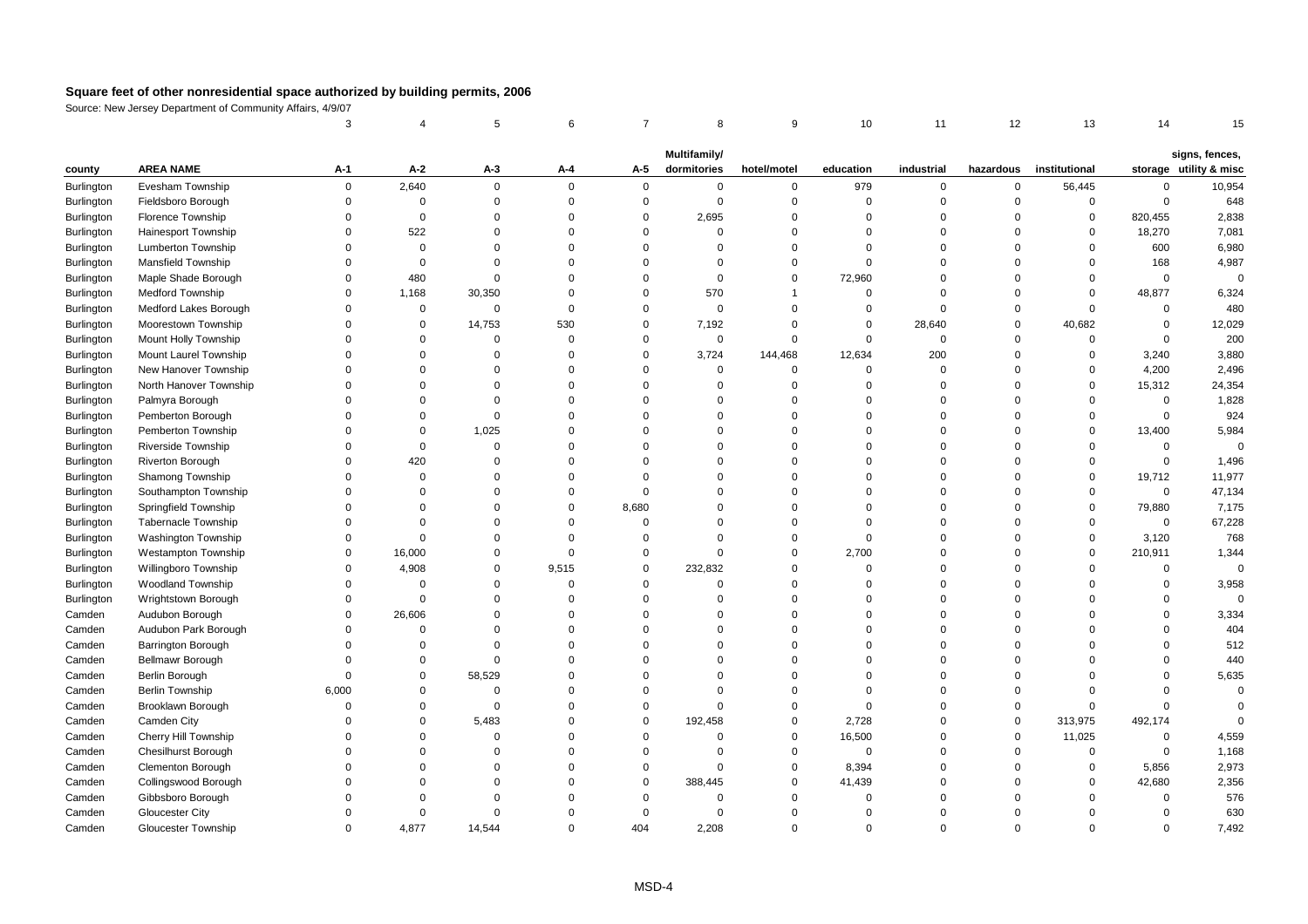|                   |                                             | 3                    |                      | 5                             | 6                    | $\overline{7}$       | 8                       | 9                             | 10                      | 11                      | 12                   | 13                         | 14                   | 15                     |
|-------------------|---------------------------------------------|----------------------|----------------------|-------------------------------|----------------------|----------------------|-------------------------|-------------------------------|-------------------------|-------------------------|----------------------|----------------------------|----------------------|------------------------|
|                   |                                             |                      |                      |                               |                      |                      | Multifamily/            |                               |                         |                         |                      |                            |                      | signs, fences,         |
| county            | <b>AREA NAME</b>                            | A-1                  | A-2                  | А-3                           | A-4                  | A-5                  | dormitories             | hotel/motel                   | education               | industrial              | hazardous            | institutional              |                      | storage utility & misc |
| <b>Burlington</b> | Evesham Township                            | $\mathbf 0$          | 2,640                | $\mathbf 0$                   | $\Omega$             | $\mathbf 0$          | $\mathbf 0$             | $\mathbf 0$                   | 979                     | $\mathbf 0$             | $\mathbf 0$          | 56,445                     | $\Omega$             | 10,954                 |
| Burlington        | Fieldsboro Borough                          | $\mathbf 0$          | $\mathbf 0$          | $\mathbf 0$                   | $\Omega$             | $\mathbf 0$          | $\mathbf 0$             | $\overline{0}$                | $\mathbf 0$             | $\mathbf 0$             | $\mathbf 0$          | $\mathsf 0$                | $\mathbf 0$          | 648                    |
| <b>Burlington</b> | <b>Florence Township</b>                    | $\Omega$             | $\mathbf 0$          | $\mathbf 0$                   | $\Omega$             | $\mathbf 0$          | 2,695                   | $\overline{0}$                | $\Omega$                | $\mathbf 0$             | $\Omega$             | 0                          | 820,455              | 2,838                  |
| Burlington        | <b>Hainesport Township</b>                  | $\mathbf 0$          | 522                  | $\Omega$                      | $\Omega$             | $\Omega$             | $\Omega$                | $\Omega$                      | $\Omega$                | $\Omega$                | $\Omega$             | $\mathbf 0$                | 18,270               | 7,081                  |
| Burlington        | Lumberton Township                          | $\Omega$             | $\mathbf 0$          | $\Omega$                      | $\Omega$             | $\Omega$             | $\mathbf 0$             | $\mathsf 0$                   | $\mathbf 0$             | $\Omega$                | $\Omega$             | 0                          | 600                  | 6,980                  |
| Burlington        | <b>Mansfield Township</b>                   | $\Omega$             | $\mathbf 0$          | $\Omega$                      | $\Omega$             | $\Omega$             | $\mathbf 0$             | $\Omega$                      | $\Omega$                | $\Omega$                | $\Omega$             | $\Omega$                   | 168                  | 4,987                  |
| Burlington        | Maple Shade Borough                         | $\Omega$             | 480                  | $\Omega$                      | $\Omega$             | $\Omega$             | $\mathbf 0$             | $\overline{0}$                | 72,960                  | $\Omega$                | $\Omega$             | $\mathbf 0$                | $\Omega$             | $\mathbf 0$            |
| Burlington        | <b>Medford Township</b>                     | $\Omega$             | 1,168                | 30,350                        | $\Omega$             | $\Omega$             | 570                     | $\overline{1}$                | $\Omega$                | $\Omega$                | $\Omega$             | $\Omega$                   | 48,877               | 6,324                  |
| Burlington        | Medford Lakes Borough                       | $\Omega$             | $\mathbf 0$          | $\mathbf 0$                   | $\Omega$             | $\Omega$             | $\mathbf 0$             | $\overline{0}$                | $\mathbf 0$             | $\Omega$                | $\Omega$             | $\mathbf 0$                | $\Omega$             | 480                    |
| Burlington        | Moorestown Township                         | $\Omega$             | $\mathbf 0$          | 14,753                        | 530                  | $\mathbf 0$          | 7,192                   | $\overline{0}$                | $\mathbf 0$             | 28,640                  | $\Omega$             | 40,682                     | $\mathbf 0$          | 12,029                 |
| Burlington        | Mount Holly Township                        | $\Omega$             | $\Omega$             | $\Omega$                      | $\Omega$             | $\Omega$             | $\mathbf 0$             | $\Omega$                      | $\mathbf 0$             | $\mathbf 0$             | $\Omega$             | $\mathbf 0$                | $\Omega$             | 200                    |
| <b>Burlington</b> | Mount Laurel Township                       | $\Omega$             | $\Omega$             | $\Omega$                      | $\Omega$             | $\Omega$             | 3,724                   | 144,468                       | 12,634                  | 200                     | $\Omega$             | $\mathbf 0$                | 3,240                | 3,880                  |
| Burlington        | New Hanover Township                        | $\Omega$             | $\Omega$             | $\Omega$                      | $\Omega$             | $\Omega$             | 0                       | $\overline{0}$                | $\mathbf 0$             | $\mathbf 0$             | $\Omega$             | $\Omega$                   | 4,200                | 2,496                  |
| Burlington        | North Hanover Township                      | $\Omega$             | $\Omega$             | $\Omega$                      | $\Omega$             | $\Omega$             | $\mathbf 0$             | $\overline{0}$                | $\Omega$                | $\Omega$                | $\Omega$             | $\overline{0}$             | 15,312               | 24,354                 |
| Burlington        | Palmyra Borough                             | $\Omega$             | $\Omega$             | $\Omega$                      | $\Omega$             | $\Omega$             | $\Omega$                | $\Omega$                      | $\Omega$                | $\Omega$                | $\Omega$             | $\Omega$                   | $\Omega$             | 1,828                  |
| Burlington        | Pemberton Borough                           | $\Omega$             | $\Omega$             | $\Omega$                      | $\Omega$             | $\Omega$             | $\mathbf 0$             | $\Omega$                      | $\Omega$                | $\Omega$                | $\Omega$             | $\Omega$                   | $\Omega$             | 924                    |
| <b>Burlington</b> | Pemberton Township                          | $\Omega$             | $\mathbf{0}$         | 1,025                         | $\Omega$             | $\Omega$             | $\mathbf 0$             | $\Omega$                      | $\Omega$                | $\Omega$                | $\Omega$             | $\mathbf 0$                | 13,400               | 5,984                  |
| Burlington        | Riverside Township                          | $\Omega$             | $\mathbf{0}$         | $\mathbf 0$                   | $\Omega$             | $\Omega$             | $\Omega$                | $\Omega$                      | $\Omega$                | $\Omega$                | $\Omega$             | $\Omega$                   | $\Omega$             | $\Omega$               |
| Burlington        | Riverton Borough                            | $\Omega$             | 420                  | $\Omega$                      | $\Omega$             | $\Omega$             | $\Omega$                | $\Omega$                      | $\Omega$                | $\Omega$                | $\Omega$             | $\Omega$                   | $\mathsf 0$          | 1,496                  |
| Burlington        | Shamong Township                            | $\Omega$             | $\mathbf 0$          | 0                             | $\Omega$             | $\Omega$             | $\Omega$                | $\Omega$                      | $\Omega$                | $\Omega$                | $\Omega$             | $\mathbf 0$                | 19,712               | 11,977                 |
| Burlington        | Southampton Township                        | $\Omega$             | $\Omega$             | $\Omega$                      | $\Omega$             | $\Omega$             | $\Omega$                | $\Omega$                      | $\Omega$                | $\Omega$                | $\Omega$             | $\Omega$                   | $\Omega$             | 47,134                 |
| Burlington        | Springfield Township                        | $\Omega$             | $\Omega$             | $\Omega$                      | $\Omega$             | 8,680                | $\Omega$                | $\Omega$                      | $\Omega$                | $\Omega$                | $\Omega$             | $\mathbf 0$                | 79,880               | 7,175                  |
| <b>Burlington</b> | <b>Tabernacle Township</b>                  | $\Omega$             | $\Omega$             | $\Omega$                      | $\Omega$             | $\mathbf 0$          | $\mathbf 0$             | $\Omega$                      | $\Omega$                | $\Omega$                | $\Omega$             | $\Omega$                   | $\mathbf 0$          | 67,228                 |
| Burlington        | <b>Washington Township</b>                  | $\mathbf 0$          | $\Omega$             | $\Omega$                      | $\Omega$             | $\Omega$             | $\Omega$                | $\overline{0}$                | $\Omega$                | $\Omega$                | $\Omega$             | $\mathsf 0$                | 3,120                | 768                    |
| Burlington        | <b>Westampton Township</b>                  | $\mathbf 0$          | 16,000               | $\Omega$                      | $\Omega$             | $\Omega$             | $\mathbf 0$             | $\overline{0}$                | 2,700                   | $\Omega$                | $\Omega$             | $\mathsf 0$                | 210,911              | 1,344                  |
| Burlington        | Willingboro Township                        | $\mathbf 0$          | 4,908                | 0                             | 9,515                | $\mathbf 0$          | 232,832                 | $\overline{0}$                | $\Omega$                | $\Omega$                | $\Omega$             | $\Omega$                   | $\Omega$             | $\mathsf 0$            |
| Burlington        | <b>Woodland Township</b>                    | $\Omega$             | $\Omega$             | $\Omega$                      | $\Omega$             | $\Omega$             | $\mathbf 0$             | $\Omega$                      | $\Omega$                | $\Omega$                | $\Omega$             | $\Omega$                   | $\Omega$             | 3,958                  |
| Burlington        | Wrightstown Borough                         | $\mathbf 0$          | $\mathbf{0}$         | $\Omega$                      | $\Omega$             | $\Omega$             | $\Omega$                | $\Omega$                      | $\Omega$                | $\Omega$                | $\Omega$             | $\Omega$                   | $\mathbf 0$          | $\Omega$               |
| Camden            | Audubon Borough                             | $\mathbf 0$          | 26,606               | $\Omega$                      | $\Omega$             | $\Omega$             | $\Omega$                | $\Omega$                      | $\Omega$                | $\Omega$                | $\Omega$             | $\Omega$                   | $\mathbf 0$          | 3,334                  |
| Camden            | Audubon Park Borough                        | $\mathbf 0$          | $\mathbf 0$          | $\Omega$                      | $\Omega$             | $\Omega$             | 0                       | $\Omega$                      | $\Omega$                | $\mathbf 0$             | $\Omega$             | $\Omega$                   | $\Omega$             | 404                    |
| Camden            | Barrington Borough                          | $\mathbf 0$          | $\mathbf 0$          | $\overline{0}$                | $\Omega$             | $\Omega$             | $\Omega$                | $\Omega$                      | $\Omega$                | $\Omega$<br>$\Omega$    | $\Omega$             | $\Omega$                   | $\Omega$<br>$\Omega$ | 512                    |
| Camden            | Bellmawr Borough                            | $\Omega$             | $\Omega$             | $\Omega$                      | $\Omega$             | $\Omega$             | $\Omega$                | $\Omega$                      | $\Omega$                |                         | $\Omega$             | $\Omega$                   |                      | 440                    |
| Camden            | Berlin Borough                              | $\Omega$             | $\mathbf 0$          | 58,529                        | $\Omega$             | $\Omega$             | $\Omega$                | $\Omega$<br>$\Omega$          | $\Omega$                | $\Omega$                | $\Omega$<br>$\Omega$ | $\Omega$                   | $\Omega$             | 5,635<br>$\mathbf 0$   |
| Camden            | <b>Berlin Township</b>                      | 6,000<br>$\mathbf 0$ | $\Omega$<br>$\Omega$ | $\mathbf 0$<br>$\overline{0}$ | $\Omega$<br>$\Omega$ | $\Omega$<br>$\Omega$ | $\mathbf 0$<br>$\Omega$ | $\overline{0}$                | $\Omega$<br>$\mathbf 0$ | $\Omega$<br>$\mathbf 0$ | $\Omega$             | $\Omega$<br>$\mathbf 0$    | $\Omega$<br>$\Omega$ | $\Omega$               |
| Camden            | Brooklawn Borough                           | $\mathbf 0$          | $\mathbf 0$          |                               | $\Omega$             | $\mathbf 0$          |                         | $\overline{0}$                |                         | $\mathbf 0$             | $\mathbf 0$          |                            |                      | $\Omega$               |
| Camden            | Camden City                                 | $\Omega$             |                      | 5,483<br>$\Omega$             | $\Omega$             | $\Omega$             | 192,458<br>$\Omega$     | $\Omega$                      | 2,728                   | $\Omega$                | $\Omega$             | 313,975                    | 492,174<br>$\Omega$  |                        |
| Camden            | Cherry Hill Township                        | $\Omega$             | $\Omega$<br>$\Omega$ | $\Omega$                      | $\Omega$             | $\Omega$             | $\mathbf 0$             | $\overline{0}$                | 16,500<br>$\mathbf 0$   | $\Omega$                | $\Omega$             | 11,025<br>$\Omega$         | $\Omega$             | 4,559                  |
| Camden            | <b>Chesilhurst Borough</b>                  | $\Omega$             |                      | $\Omega$                      | $\Omega$             | $\Omega$             |                         |                               |                         | $\Omega$                | $\Omega$             |                            |                      | 1,168                  |
| Camden            | Clementon Borough                           | $\Omega$             | $\Omega$<br>$\Omega$ | $\Omega$                      | $\Omega$             | $\Omega$             | $\mathbf 0$<br>388,445  | $\mathbf 0$<br>$\overline{0}$ | 8,394<br>41,439         | $\mathbf 0$             | $\Omega$             | $\mathbf 0$<br>$\mathsf 0$ | 5,856<br>42,680      | 2,973<br>2,356         |
| Camden            | Collingswood Borough                        | $\mathbf 0$          | $\Omega$             | 0                             | $\Omega$             | $\Omega$             | 0                       | $\overline{0}$                | $\Omega$                | $\mathbf 0$             | $\Omega$             | $\mathbf 0$                | $\Omega$             | 576                    |
| Camden<br>Camden  | Gibbsboro Borough<br><b>Gloucester City</b> | $\Omega$             | $\Omega$             | $\Omega$                      | $\Omega$             | $\Omega$             | $\mathbf 0$             | $\Omega$                      | $\Omega$                | $\Omega$                | $\Omega$             | $\Omega$                   | $\Omega$             | 630                    |
| Camden            | Gloucester Township                         | $\Omega$             | 4,877                | 14,544                        | $\Omega$             | 404                  | 2,208                   | $\Omega$                      | $\Omega$                | $\Omega$                | $\Omega$             | $\Omega$                   | $\Omega$             | 7,492                  |
|                   |                                             |                      |                      |                               |                      |                      |                         |                               |                         |                         |                      |                            |                      |                        |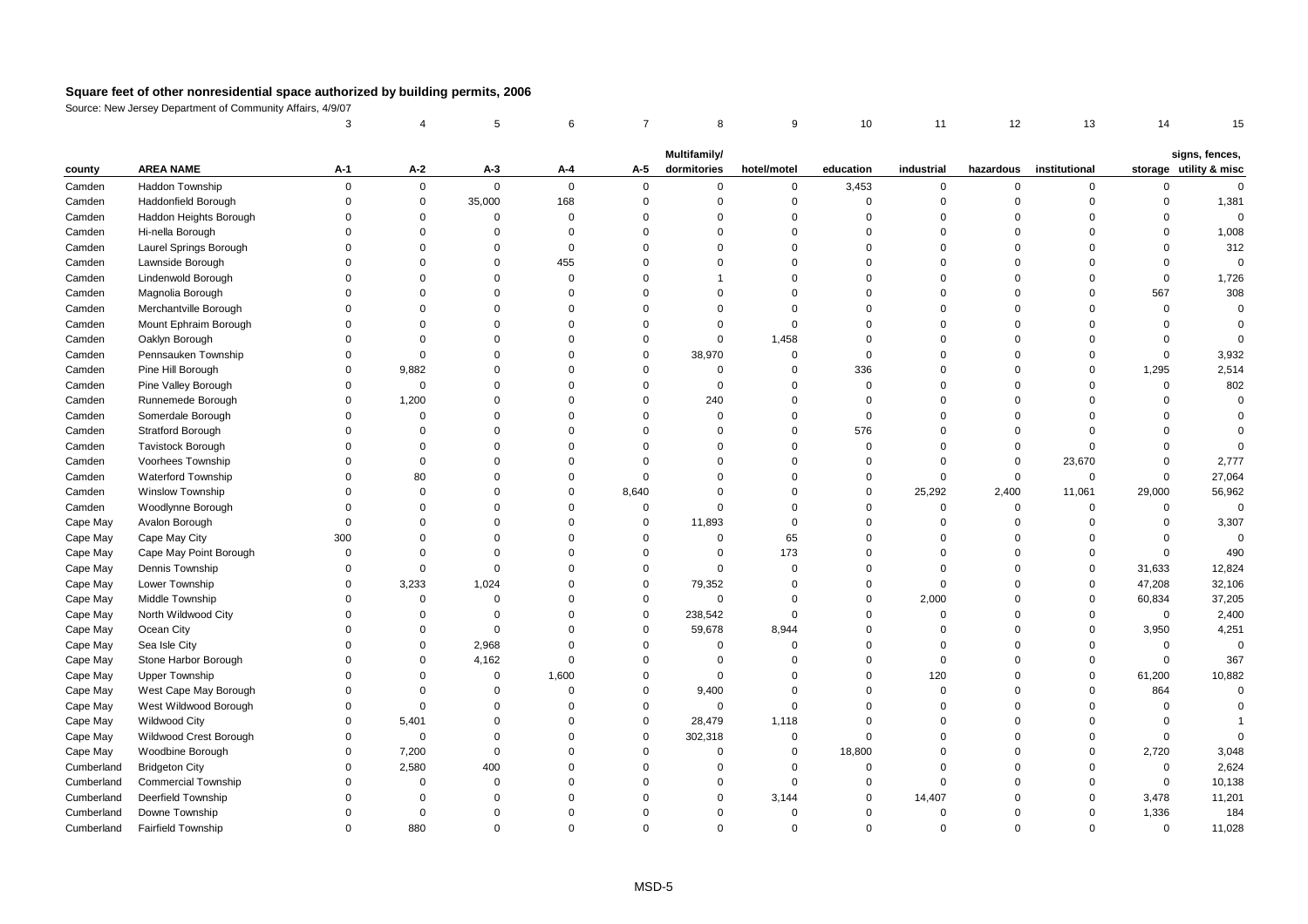|            |                            | 3           |             | 5           | 6           | $\overline{7}$ | 8                           | 9              | 10          | 11          | 12             | 13            | 14          | 15                                       |
|------------|----------------------------|-------------|-------------|-------------|-------------|----------------|-----------------------------|----------------|-------------|-------------|----------------|---------------|-------------|------------------------------------------|
|            |                            |             |             |             |             |                |                             |                |             |             |                |               |             |                                          |
| county     | <b>AREA NAME</b>           | A-1         | A-2         | $A-3$       | A-4         | A-5            | Multifamily/<br>dormitories | hotel/motel    | education   | industrial  | hazardous      | institutional |             | signs, fences,<br>storage utility & misc |
| Camden     | <b>Haddon Township</b>     | $\mathsf 0$ | $\mathbf 0$ | $\mathbf 0$ | $\mathbf 0$ | $\mathbf{0}$   | 0                           | $\mathbf 0$    | 3,453       | 0           | $\mathsf 0$    | $\mathbf 0$   | 0           | $\mathbf 0$                              |
| Camden     | Haddonfield Borough        | $\mathbf 0$ | $\mathbf 0$ | 35,000      | 168         | $\mathbf 0$    | $\mathbf 0$                 | $\mathbf 0$    | $\mathbf 0$ | $\mathbf 0$ | $\overline{0}$ | $\mathbf 0$   | $\mathbf 0$ | 1,381                                    |
| Camden     | Haddon Heights Borough     | $\mathbf 0$ | 0           | $\mathbf 0$ | $\mathbf 0$ | $\mathbf 0$    | $\mathbf 0$                 | $\mathbf 0$    | $\mathbf 0$ | 0           | $\overline{0}$ | $\Omega$      | $\mathbf 0$ | $\Omega$                                 |
| Camden     | Hi-nella Borough           | $\Omega$    | $\Omega$    | $\Omega$    | $\Omega$    | $\Omega$       | $\Omega$                    | $\Omega$       | $\Omega$    | $\Omega$    | $\Omega$       |               | $\Omega$    | 1,008                                    |
| Camden     | Laurel Springs Borough     | $\Omega$    | $\Omega$    | $\Omega$    | $\Omega$    | $\Omega$       | $\Omega$                    | $\Omega$       | $\Omega$    | $\Omega$    | $\Omega$       | $\Omega$      | $\Omega$    | 312                                      |
| Camden     | Lawnside Borough           | $\Omega$    | $\Omega$    | $\mathbf 0$ | 455         | $\Omega$       | $\Omega$                    | $\mathbf 0$    | $\Omega$    | $\Omega$    | $\Omega$       | $\Omega$      | $\mathbf 0$ | $\mathbf 0$                              |
| Camden     | Lindenwold Borough         | $\Omega$    | $\Omega$    | $\Omega$    | $\Omega$    | $\Omega$       |                             | $\mathbf 0$    | $\Omega$    | $\Omega$    | $\Omega$       | $\Omega$      | $\mathsf 0$ | 1,726                                    |
| Camden     | Magnolia Borough           | $\Omega$    | $\Omega$    | $\Omega$    | $\Omega$    | $\Omega$       | $\Omega$                    | $\mathbf 0$    | $\Omega$    | $\Omega$    | $\Omega$       | $\Omega$      | 567         | 308                                      |
| Camden     | Merchantville Borough      | $\Omega$    | $\Omega$    | $\Omega$    | $\Omega$    | $\Omega$       | $\Omega$                    | $\Omega$       | $\Omega$    | $\Omega$    | $\Omega$       | $\Omega$      | $\mathbf 0$ | $\mathbf 0$                              |
| Camden     | Mount Ephraim Borough      | $\Omega$    | $\Omega$    | $\Omega$    | $\Omega$    | $\Omega$       | $\Omega$                    | $\mathbf 0$    | $\Omega$    | $\Omega$    | $\Omega$       | $\Omega$      | $\Omega$    | $\Omega$                                 |
| Camden     | Oaklyn Borough             | $\Omega$    | $\Omega$    | $\Omega$    | $\Omega$    | $\Omega$       | $\Omega$                    | 1,458          | $\Omega$    | $\Omega$    | $\Omega$       | $\Omega$      | $\Omega$    | $\Omega$                                 |
| Camden     | Pennsauken Township        | $\Omega$    | $\mathbf 0$ | $\Omega$    | $\Omega$    | $\mathbf 0$    | 38,970                      | $\mathbf 0$    | $\Omega$    | $\Omega$    | $\Omega$       | $\Omega$      | $\mathbf 0$ | 3,932                                    |
| Camden     | Pine Hill Borough          | $\Omega$    | 9,882       | $\Omega$    | $\Omega$    | $\Omega$       | $\mathbf 0$                 | $\mathbf 0$    | 336         | $\Omega$    | $\Omega$       | $\Omega$      | 1,295       | 2,514                                    |
| Camden     | Pine Valley Borough        | $\Omega$    | $\mathsf 0$ | $\Omega$    | $\Omega$    | $\Omega$       | $\Omega$                    | $\overline{0}$ | $\mathbf 0$ | $\Omega$    | $\Omega$       | $\Omega$      | $\mathsf 0$ | 802                                      |
| Camden     | Runnemede Borough          | $\Omega$    | 1,200       | $\Omega$    | $\Omega$    | $\Omega$       | 240                         | $\mathbf 0$    | $\Omega$    | $\Omega$    | $\Omega$       | $\Omega$      | $\Omega$    | $\Omega$                                 |
| Camden     | Somerdale Borough          | $\Omega$    | $\mathbf 0$ | $\Omega$    | $\Omega$    | $\Omega$       | $\Omega$                    | $\mathbf 0$    | $\mathbf 0$ | $\Omega$    | $\Omega$       | $\Omega$      | $\Omega$    | $\Omega$                                 |
| Camden     | Stratford Borough          | $\Omega$    | $\Omega$    | $\Omega$    | $\Omega$    | $\Omega$       | $\Omega$                    | $\mathbf 0$    | 576         | $\Omega$    | $\Omega$       | $\Omega$      | $\Omega$    | $\Omega$                                 |
| Camden     | <b>Tavistock Borough</b>   | $\Omega$    | $\Omega$    | $\Omega$    | $\Omega$    | $\Omega$       | $\Omega$                    | $\mathbf 0$    | $\mathbf 0$ | $\Omega$    | $\overline{0}$ | $\Omega$      | $\mathbf 0$ | $\Omega$                                 |
| Camden     | <b>Voorhees Township</b>   | $\Omega$    | $\Omega$    | $\Omega$    | $\Omega$    | $\Omega$       | $\Omega$                    | $\Omega$       | $\Omega$    | $\mathbf 0$ | $\Omega$       | 23,670        | $\Omega$    | 2,777                                    |
| Camden     | Waterford Township         | $\Omega$    | 80          | $\Omega$    | $\Omega$    | $\Omega$       | $\Omega$                    | $\mathbf 0$    | $\Omega$    | $\mathbf 0$ | $\mathbf 0$    | $\mathbf 0$   | $\mathbf 0$ | 27,064                                   |
| Camden     | <b>Winslow Township</b>    | $\Omega$    | $\Omega$    | $\Omega$    | $\Omega$    | 8,640          | $\Omega$                    | $\mathbf 0$    | $\Omega$    | 25,292      | 2,400          | 11,061        | 29,000      | 56,962                                   |
| Camden     | Woodlynne Borough          | $\Omega$    | $\Omega$    | $\Omega$    | $\Omega$    | $\mathbf 0$    | $\Omega$                    | $\mathbf 0$    | $\Omega$    | $\mathbf 0$ | $\mathbf 0$    | $\mathbf 0$   | $\mathsf 0$ | $\mathbf 0$                              |
| Cape May   | Avalon Borough             | $\Omega$    | $\Omega$    | $\Omega$    | $\Omega$    | $\mathbf 0$    | 11,893                      | $\mathbf 0$    | $\Omega$    | $\mathbf 0$ | $\Omega$       | $\Omega$      | $\mathbf 0$ | 3,307                                    |
| Cape May   | Cape May City              | 300         | $\Omega$    | $\Omega$    | $\Omega$    | $\mathbf 0$    | $\mathbf 0$                 | 65             | $\Omega$    | $\mathbf 0$ | $\Omega$       | $\Omega$      | $\mathbf 0$ | $\mathbf{0}$                             |
| Cape May   | Cape May Point Borough     | $\Omega$    | $\Omega$    | $\Omega$    | $\Omega$    | $\Omega$       | $\Omega$                    | 173            | $\Omega$    | $\Omega$    | $\Omega$       | $\mathbf 0$   | $\mathbf 0$ | 490                                      |
| Cape May   | Dennis Township            | $\Omega$    | $\mathbf 0$ | $\Omega$    | $\Omega$    | $\mathbf 0$    | $\Omega$                    | $\mathbf 0$    | $\Omega$    | $\Omega$    | $\Omega$       | $\mathbf 0$   | 31,633      | 12,824                                   |
| Cape May   | Lower Township             | $\Omega$    | 3,233       | 1,024       | $\Omega$    | $\mathbf 0$    | 79,352                      | $\Omega$       | $\Omega$    | $\mathbf 0$ | $\Omega$       | $\Omega$      | 47,208      | 32,106                                   |
| Cape May   | Middle Township            | $\Omega$    | $\mathbf 0$ | $\Omega$    | $\Omega$    | $\mathbf 0$    | $\mathbf 0$                 | $\mathbf 0$    | $\Omega$    | 2,000       | $\Omega$       | $\mathbf 0$   | 60,834      | 37,205                                   |
| Cape May   | North Wildwood City        | $\Omega$    | $\Omega$    | $\Omega$    | $\Omega$    | $\mathbf 0$    | 238,542                     | $\Omega$       | $\Omega$    | $\mathbf 0$ | $\Omega$       | $\Omega$      | $\mathsf 0$ | 2,400                                    |
| Cape May   | Ocean City                 | $\Omega$    | $\mathbf 0$ | $\mathbf 0$ | $\Omega$    | $\mathbf 0$    | 59,678                      | 8,944          | $\Omega$    | $\mathbf 0$ | $\Omega$       | $\mathbf 0$   | 3,950       | 4,251                                    |
| Cape May   | Sea Isle City              | $\Omega$    | $\Omega$    | 2,968       | $\Omega$    | $\Omega$       | $\Omega$                    | $\Omega$       | $\Omega$    | $\Omega$    | $\Omega$       | $\Omega$      | $\mathbf 0$ | $\mathbf 0$                              |
| Cape May   | Stone Harbor Borough       | $\Omega$    | $\Omega$    | 4,162       | $\Omega$    | $\Omega$       | $\Omega$                    | $\mathbf 0$    | $\Omega$    | $\mathbf 0$ | $\Omega$       | $\Omega$      | $\mathbf 0$ | 367                                      |
| Cape May   | <b>Upper Township</b>      | $\Omega$    | $\Omega$    | $\mathbf 0$ | 1,600       | $\Omega$       | $\Omega$                    | $\mathbf 0$    | $\Omega$    | 120         | $\Omega$       | $\mathbf 0$   | 61,200      | 10,882                                   |
| Cape May   | West Cape May Borough      | $\Omega$    | $\Omega$    | $\Omega$    | $\Omega$    | $\mathbf 0$    | 9,400                       | $\Omega$       | $\Omega$    | $\mathbf 0$ | $\Omega$       | $\mathbf 0$   | 864         | $\mathbf 0$                              |
| Cape May   | West Wildwood Borough      | $\Omega$    | $\Omega$    | $\Omega$    | $\Omega$    | $\Omega$       | $\Omega$                    | $\mathbf 0$    | $\Omega$    | $\mathbf 0$ | $\Omega$       | $\Omega$      | $\mathbf 0$ | $\Omega$                                 |
| Cape May   | <b>Wildwood City</b>       | $\Omega$    | 5,401       | $\Omega$    | $\Omega$    | $\mathbf 0$    | 28,479                      | 1,118          | $\Omega$    | $\Omega$    | $\Omega$       | $\Omega$      | $\Omega$    |                                          |
| Cape May   | Wildwood Crest Borough     | $\Omega$    | $\mathbf 0$ | $\Omega$    | $\Omega$    | $\mathbf 0$    | 302,318                     | $\mathbf 0$    | $\Omega$    | $\Omega$    | $\Omega$       | $\Omega$      | $\mathbf 0$ | $\Omega$                                 |
| Cape May   | Woodbine Borough           | $\mathbf 0$ | 7,200       | $\mathbf 0$ | $\Omega$    | $\mathbf 0$    | $\mathbf 0$                 | $\mathbf 0$    | 18,800      | $\mathbf 0$ | $\Omega$       | $\mathbf 0$   | 2,720       | 3,048                                    |
| Cumberland | <b>Bridgeton City</b>      | $\Omega$    | 2,580       | 400         | $\Omega$    | $\Omega$       | $\Omega$                    | $\Omega$       | $\Omega$    | $\Omega$    | $\Omega$       | $\Omega$      | $\mathsf 0$ | 2,624                                    |
| Cumberland | <b>Commercial Township</b> | $\Omega$    | $\Omega$    | $\Omega$    | $\Omega$    | $\Omega$       | $\Omega$                    | $\mathbf 0$    | $\Omega$    | $\mathbf 0$ | $\Omega$       | $\Omega$      | $\mathsf 0$ | 10,138                                   |
| Cumberland | Deerfield Township         | $\Omega$    | $\Omega$    | $\Omega$    | $\Omega$    | $\Omega$       | $\Omega$                    | 3,144          | $\mathbf 0$ | 14,407      | $\Omega$       | $\Omega$      | 3,478       | 11,201                                   |
| Cumberland | Downe Township             | $\Omega$    | $\Omega$    | $\Omega$    | $\Omega$    | $\Omega$       | $\Omega$                    | $\mathbf 0$    | $\Omega$    | $\Omega$    | $\Omega$       | $\Omega$      | 1,336       | 184                                      |
| Cumberland | <b>Fairfield Township</b>  | $\Omega$    | 880         | $\Omega$    | $\Omega$    | $\Omega$       | $\Omega$                    | $\Omega$       | $\Omega$    | $\Omega$    | $\Omega$       | $\Omega$      | $\mathbf 0$ | 11,028                                   |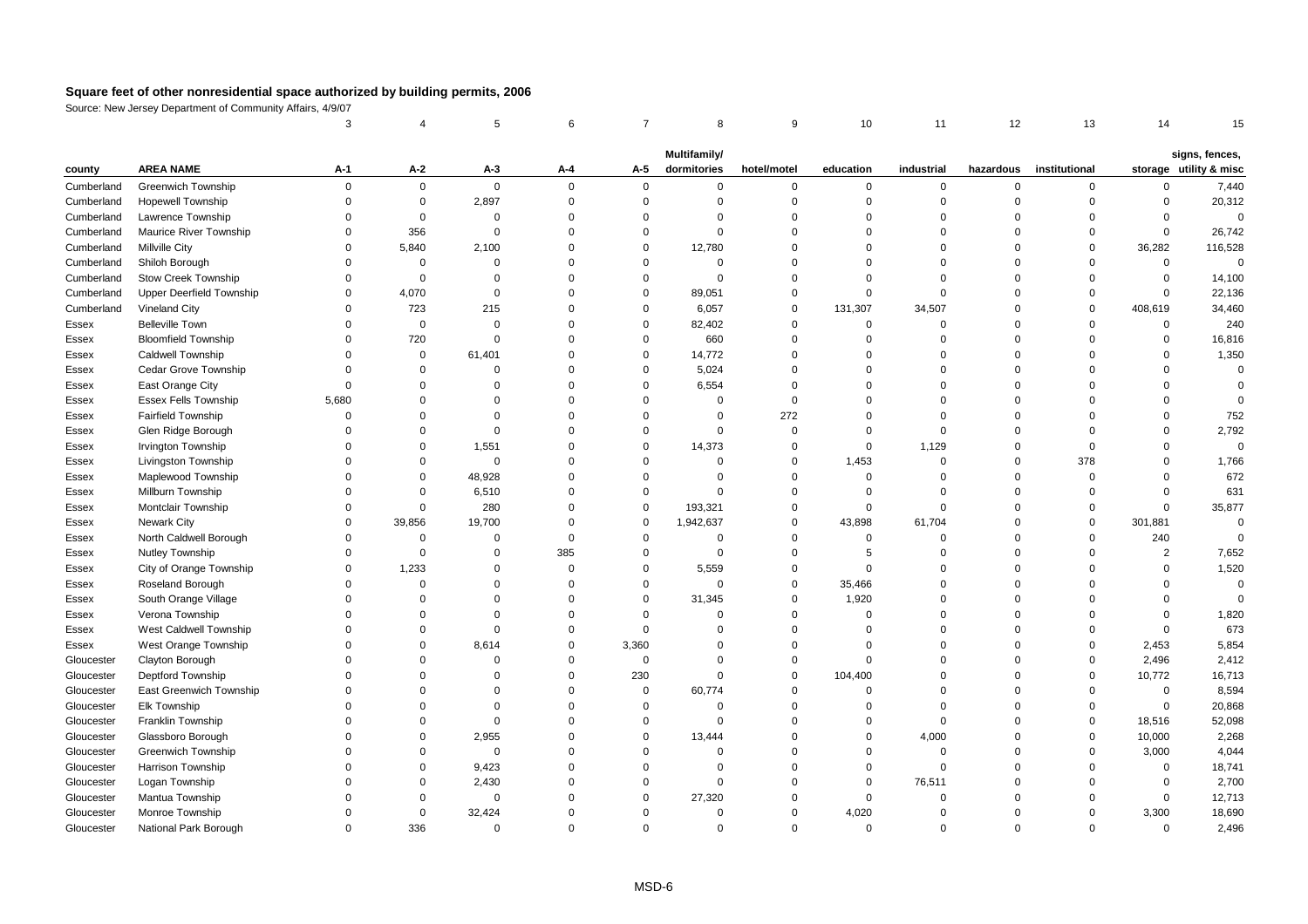|            |                                 | 3        |              | 5           | 6           | $\overline{7}$ | 8                           | 9              | 10          | 11          | 12        | 13            | 14             | 15                                       |
|------------|---------------------------------|----------|--------------|-------------|-------------|----------------|-----------------------------|----------------|-------------|-------------|-----------|---------------|----------------|------------------------------------------|
|            |                                 |          |              |             |             |                |                             |                |             |             |           |               |                |                                          |
| county     | <b>AREA NAME</b>                | A-1      | A-2          | $A-3$       | A-4         | A-5            | Multifamily/<br>dormitories | hotel/motel    | education   | industrial  | hazardous | institutional |                | signs, fences,<br>storage utility & misc |
| Cumberland | <b>Greenwich Township</b>       | $\Omega$ | $\mathbf{0}$ | $\mathbf 0$ | $\mathbf 0$ | $\mathbf 0$    | $\mathbf 0$                 | $\mathbf 0$    | $\mathbf 0$ | $\mathbf 0$ | 0         | 0             | $\Omega$       | 7,440                                    |
| Cumberland | Hopewell Township               | $\Omega$ | $\mathsf 0$  | 2,897       | $\mathbf 0$ | $\mathbf 0$    | $\mathbf 0$                 | $\overline{0}$ | $\mathbf 0$ | $\mathbf 0$ | $\Omega$  | $\mathbf 0$   | $\Omega$       | 20,312                                   |
| Cumberland | Lawrence Township               | $\Omega$ | $\mathbf 0$  | $\mathbf 0$ | $\mathbf 0$ | $\Omega$       | $\mathbf 0$                 | $\Omega$       | $\mathbf 0$ | $\mathbf 0$ | $\Omega$  | $\Omega$      | $\Omega$       | $\Omega$                                 |
| Cumberland | Maurice River Township          | $\Omega$ | 356          | $\Omega$    | $\mathbf 0$ | $\Omega$       | $\mathbf 0$                 | $\Omega$       | $\Omega$    | $\Omega$    | $\Omega$  | $\Omega$      | $\Omega$       | 26,742                                   |
| Cumberland | <b>Millville City</b>           | $\Omega$ | 5,840        | 2,100       | $\mathbf 0$ | $\mathbf 0$    | 12,780                      | $\Omega$       | $\Omega$    | $\Omega$    | $\Omega$  | $\mathbf 0$   | 36,282         | 116,528                                  |
| Cumberland | Shiloh Borough                  | $\Omega$ | $\Omega$     | $\Omega$    | $\mathbf 0$ | $\Omega$       | $\mathbf 0$                 | $\Omega$       | $\Omega$    | $\Omega$    | $\Omega$  | $\Omega$      | $\mathbf 0$    | $\Omega$                                 |
| Cumberland | <b>Stow Creek Township</b>      | $\Omega$ | $\mathbf 0$  | $\mathbf 0$ | $\mathbf 0$ | $\mathbf 0$    | $\mathbf 0$                 | $\overline{0}$ | $\mathbf 0$ | $\mathbf 0$ | $\Omega$  | $\Omega$      | $\Omega$       | 14,100                                   |
| Cumberland | <b>Upper Deerfield Township</b> | $\Omega$ | 4,070        | $\Omega$    | $\mathbf 0$ | $\Omega$       | 89,051                      | $\mathbf 0$    | $\Omega$    | $\mathbf 0$ | $\Omega$  | $\Omega$      | $\Omega$       | 22,136                                   |
| Cumberland | Vineland City                   | $\Omega$ | 723          | 215         | $\mathbf 0$ | $\Omega$       | 6,057                       | $\mathbf 0$    | 131,307     | 34,507      | O         | $\Omega$      | 408,619        | 34,460                                   |
| Essex      | <b>Belleville Town</b>          | $\Omega$ | $\mathsf 0$  | $\mathbf 0$ | $\mathbf 0$ | $\mathbf 0$    | 82,402                      | $\mathbf 0$    | $\mathbf 0$ | $\mathbf 0$ | $\Omega$  | $\Omega$      | $\mathbf 0$    | 240                                      |
| Essex      | <b>Bloomfield Township</b>      | $\Omega$ | 720          | $\Omega$    | $\mathbf 0$ | $\Omega$       | 660                         | $\Omega$       | $\mathbf 0$ | $\Omega$    | $\Omega$  | $\Omega$      | $\mathsf 0$    | 16,816                                   |
| Essex      | <b>Caldwell Township</b>        | $\Omega$ | $\mathbf 0$  | 61,401      | $\mathbf 0$ | $\Omega$       | 14,772                      | $\Omega$       | $\Omega$    | $\Omega$    | $\Omega$  | $\Omega$      | $\Omega$       | 1,350                                    |
| Essex      | <b>Cedar Grove Township</b>     | $\Omega$ | $\Omega$     | $\Omega$    | $\mathbf 0$ | $\Omega$       | 5,024                       | $\Omega$       | $\Omega$    | $\Omega$    | $\Omega$  | $\Omega$      | $\Omega$       | $\mathbf 0$                              |
| Essex      | East Orange City                | $\Omega$ | $\Omega$     | $\Omega$    | $\Omega$    | $\Omega$       | 6,554                       | $\Omega$       | $\Omega$    | $\Omega$    | $\Omega$  | $\Omega$      | $\Omega$       | $\Omega$                                 |
| Essex      | <b>Essex Fells Township</b>     | 5,680    | $\Omega$     | $\Omega$    | $\Omega$    | $\Omega$       | $\mathbf 0$                 | $\mathbf 0$    | $\Omega$    | $\Omega$    | $\Omega$  | $\Omega$      | $\Omega$       | $\Omega$                                 |
| Essex      | <b>Fairfield Township</b>       | $\Omega$ | $\Omega$     | $\Omega$    | $\mathbf 0$ | $\Omega$       | $\mathbf 0$                 | 272            | $\Omega$    | $\Omega$    | $\Omega$  | $\Omega$      | $\Omega$       | 752                                      |
| Essex      | Glen Ridge Borough              | $\Omega$ | $\Omega$     | 0           | $\mathbf 0$ | $\Omega$       | $\mathbf 0$                 | $\mathbf 0$    | $\mathbf 0$ | $\mathbf 0$ | $\Omega$  | $\Omega$      | $\Omega$       | 2,792                                    |
| Essex      | Irvington Township              | $\Omega$ | $\mathbf 0$  | 1,551       | $\mathbf 0$ | $\mathbf 0$    | 14,373                      | $\mathbf 0$    | $\mathbf 0$ | 1,129       | $\Omega$  | $\Omega$      | $\Omega$       | $\Omega$                                 |
| Essex      | Livingston Township             | $\Omega$ | $\Omega$     | $\Omega$    | $\mathbf 0$ | $\Omega$       | $\mathbf 0$                 | $\mathbf 0$    | 1,453       | $\mathbf 0$ | $\Omega$  | 378           | $\Omega$       | 1,766                                    |
| Essex      | Maplewood Township              | $\Omega$ | $\Omega$     | 48,928      | $\mathbf 0$ | $\Omega$       | $\mathbf 0$                 | $\Omega$       | $\mathbf 0$ | $\Omega$    | $\Omega$  | $\Omega$      | $\Omega$       | 672                                      |
| Essex      | Millburn Township               | $\Omega$ | $\mathbf 0$  | 6,510       | $\mathbf 0$ | $\Omega$       | $\mathbf 0$                 | $\mathbf 0$    | $\mathbf 0$ | $\Omega$    | $\Omega$  | $\Omega$      | $\Omega$       | 631                                      |
| Essex      | Montclair Township              | $\Omega$ | $\mathsf 0$  | 280         | $\mathbf 0$ | $\mathbf 0$    | 193,321                     | $\mathsf 0$    | $\mathbf 0$ | $\mathbf 0$ | $\Omega$  | $\mathsf 0$   | $\Omega$       | 35,877                                   |
| Essex      | <b>Newark City</b>              | $\Omega$ | 39,856       | 19,700      | $\mathbf 0$ | $\Omega$       | 1,942,637                   | $\mathbf 0$    | 43,898      | 61,704      | $\Omega$  | $\Omega$      | 301,881        | $\Omega$                                 |
| Essex      | North Caldwell Borough          | $\Omega$ | $\mathbf 0$  | $\Omega$    | $\mathbf 0$ | $\Omega$       | $\mathbf 0$                 | $\Omega$       | $\mathbf 0$ | $\Omega$    | $\Omega$  | $\Omega$      | 240            | $\Omega$                                 |
| Essex      | Nutley Township                 | $\Omega$ | $\Omega$     | $\Omega$    | 385         | $\Omega$       | $\mathbf 0$                 | $\mathbf 0$    | 5           | $\Omega$    | $\Omega$  | $\Omega$      | $\overline{2}$ | 7,652                                    |
| Essex      | City of Orange Township         | $\Omega$ | 1,233        | 0           | $\mathbf 0$ | $\mathbf 0$    | 5,559                       | $\mathbf 0$    | $\mathbf 0$ | $\Omega$    | $\Omega$  | $\Omega$      | $\Omega$       | 1,520                                    |
| Essex      | Roseland Borough                | $\Omega$ | $\mathbf 0$  | $\Omega$    | $\mathbf 0$ | $\Omega$       | $\mathbf 0$                 | $\mathbf 0$    | 35,466      | $\Omega$    | $\Omega$  | $\Omega$      | $\Omega$       | $\mathbf 0$                              |
| Essex      | South Orange Village            | $\Omega$ | $\Omega$     | $\Omega$    | $\mathbf 0$ | $\Omega$       | 31,345                      | $\mathbf 0$    | 1,920       | $\Omega$    | $\Omega$  | $\Omega$      | $\Omega$       | $\Omega$                                 |
| Essex      | Verona Township                 | $\Omega$ | $\Omega$     | $\Omega$    | $\mathbf 0$ | $\Omega$       | $\mathbf 0$                 | $\Omega$       | $\Omega$    | $\Omega$    | 0         | $\Omega$      | $\Omega$       | 1,820                                    |
| Essex      | West Caldwell Township          | $\Omega$ | $\Omega$     | $\Omega$    | $\mathbf 0$ | $\Omega$       | $\mathbf 0$                 | $\mathbf 0$    | $\Omega$    | $\Omega$    | $\Omega$  | $\Omega$      | $\Omega$       | 673                                      |
| Essex      | West Orange Township            | $\Omega$ | $\Omega$     | 8,614       | $\mathbf 0$ | 3,360          | $\mathbf 0$                 | $\mathbf 0$    | $\Omega$    | $\Omega$    | $\Omega$  | $\Omega$      | 2,453          | 5,854                                    |
| Gloucester | Clayton Borough                 | $\Omega$ | $\Omega$     | $\Omega$    | $\mathbf 0$ | $\mathbf 0$    | $\mathbf 0$                 | $\mathbf 0$    | $\mathbf 0$ | $\Omega$    | $\Omega$  | $\Omega$      | 2,496          | 2,412                                    |
| Gloucester | Deptford Township               | $\Omega$ | $\Omega$     | $\Omega$    | $\mathbf 0$ | 230            | $\mathbf 0$                 | $\overline{0}$ | 104,400     | $\mathbf 0$ | $\Omega$  | $\Omega$      | 10,772         | 16,713                                   |
| Gloucester | East Greenwich Township         | $\Omega$ | $\Omega$     | 0           | $\mathbf 0$ | $\mathbf 0$    | 60,774                      | $\overline{0}$ | $\mathbf 0$ | $\mathbf 0$ | $\Omega$  | $\mathbf 0$   | $\mathsf 0$    | 8,594                                    |
| Gloucester | Elk Township                    | $\Omega$ | $\Omega$     | $\Omega$    | $\mathbf 0$ | $\Omega$       | $\mathbf 0$                 | $\mathbf 0$    | $\Omega$    | $\Omega$    | $\Omega$  | $\Omega$      | $\mathbf 0$    | 20,868                                   |
| Gloucester | Franklin Township               | $\Omega$ | $\Omega$     | $\Omega$    | $\mathbf 0$ | $\Omega$       | $\mathbf 0$                 | $\Omega$       | $\mathbf 0$ | $\Omega$    | $\Omega$  | $\Omega$      | 18,516         | 52,098                                   |
| Gloucester | Glassboro Borough               | $\Omega$ | $\Omega$     | 2,955       | $\mathbf 0$ | $\Omega$       | 13,444                      | $\Omega$       | $\mathbf 0$ | 4,000       | $\Omega$  | $\mathbf 0$   | 10,000         | 2,268                                    |
| Gloucester | <b>Greenwich Township</b>       | $\Omega$ | $\Omega$     | $\mathbf 0$ | $\mathbf 0$ | $\Omega$       | $\Omega$                    | $\Omega$       | $\mathbf 0$ | $\mathbf 0$ | $\Omega$  | $\Omega$      | 3,000          | 4,044                                    |
| Gloucester | <b>Harrison Township</b>        | $\Omega$ | $\mathbf 0$  | 9,423       | $\Omega$    | $\Omega$       | $\mathbf 0$                 | $\Omega$       | $\mathbf 0$ | $\mathbf 0$ | $\Omega$  | $\Omega$      | $\Omega$       | 18,741                                   |
| Gloucester | Logan Township                  | $\Omega$ | $\Omega$     | 2,430       | $\mathbf 0$ | $\Omega$       | $\mathbf 0$                 | $\Omega$       | $\mathbf 0$ | 76,511      | $\Omega$  | $\Omega$      | $\Omega$       | 2,700                                    |
| Gloucester | Mantua Township                 | $\Omega$ | $\Omega$     | $\mathbf 0$ | $\Omega$    | $\Omega$       | 27,320                      | $\mathbf 0$    | $\mathbf 0$ | $\mathbf 0$ | $\Omega$  | $\Omega$      | $\mathbf 0$    | 12,713                                   |
| Gloucester | Monroe Township                 | $\Omega$ | 0            | 32,424      | $\mathbf 0$ | $\Omega$       | $\mathbf 0$                 | $\Omega$       | 4,020       | $\Omega$    | $\Omega$  | $\Omega$      | 3,300          | 18,690                                   |
| Gloucester | National Park Borough           | $\Omega$ | 336          | $\Omega$    | $\Omega$    | $\Omega$       | $\Omega$                    | $\Omega$       | $\Omega$    | $\Omega$    | $\Omega$  | $\Omega$      | $\Omega$       | 2,496                                    |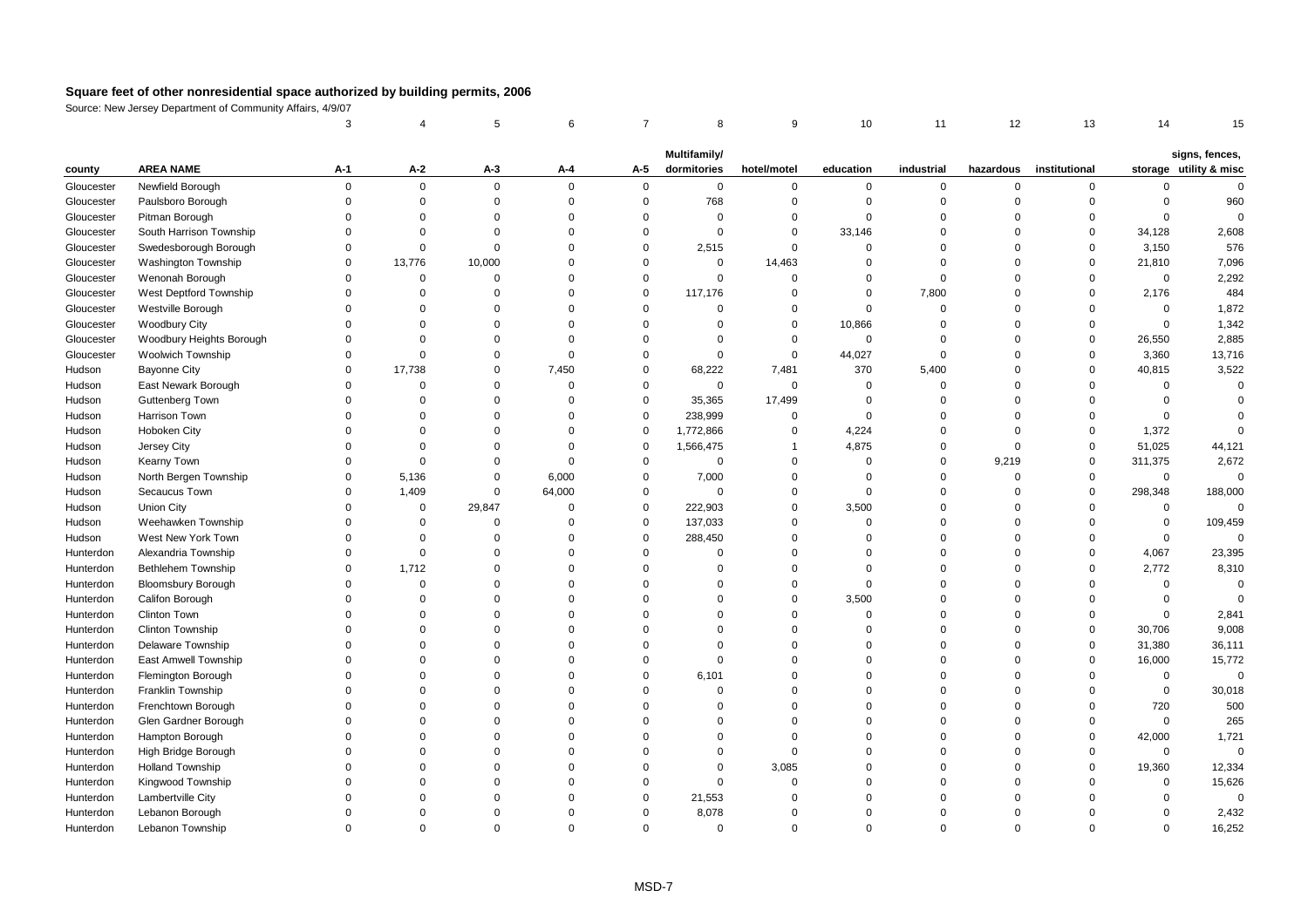|            |                           | 3           |             | 5           | 6        | $\overline{7}$ | 8            | 9              | 10          | 11          | 12             | 13            | 14                  | 15                     |
|------------|---------------------------|-------------|-------------|-------------|----------|----------------|--------------|----------------|-------------|-------------|----------------|---------------|---------------------|------------------------|
|            |                           |             |             |             |          |                | Multifamily/ |                |             |             |                |               |                     | signs, fences,         |
| county     | <b>AREA NAME</b>          | A-1         | A-2         | $A-3$       | A-4      | A-5            | dormitories  | hotel/motel    | education   | industrial  | hazardous      | institutional |                     | storage utility & misc |
| Gloucester | Newfield Borough          | $\mathbf 0$ | $\mathbf 0$ | $\mathbf 0$ | $\Omega$ | $\mathbf{0}$   | $\mathbf 0$  | $\mathbf 0$    | 0           | 0           | $\mathbf 0$    | $\mathbf 0$   | 0                   | $\mathbf 0$            |
| Gloucester | Paulsboro Borough         | $\Omega$    | $\mathsf 0$ | $\mathbf 0$ | $\Omega$ | $\mathsf 0$    | 768          | $\mathbf 0$    | $\mathbf 0$ | $\mathbf 0$ | $\overline{0}$ | $\mathbf 0$   | $\mathsf 0$         | 960                    |
| Gloucester | Pitman Borough            | $\Omega$    | $\Omega$    | $\Omega$    | $\Omega$ | $\Omega$       | $\Omega$     | $\mathbf 0$    | $\Omega$    | $\Omega$    | $\Omega$       | $\Omega$      | $\mathbf 0$         | $\Omega$               |
| Gloucester | South Harrison Township   | $\Omega$    | $\Omega$    | $\Omega$    | $\Omega$ | $\Omega$       | $\Omega$     | $\mathbf 0$    | 33,146      | $\Omega$    | $\Omega$       | $\Omega$      | 34,128              | 2,608                  |
| Gloucester | Swedesborough Borough     | $\Omega$    | $\mathsf 0$ | $\mathbf 0$ | $\Omega$ | $\Omega$       | 2,515        | $\mathbf 0$    | $\Omega$    | $\mathbf 0$ | $\Omega$       | $\mathbf 0$   | 3,150               | 576                    |
| Gloucester | Washington Township       | $\mathbf 0$ | 13,776      | 10,000      | $\Omega$ | $\mathbf 0$    | $\mathsf 0$  | 14,463         | $\mathbf 0$ | $\mathbf 0$ | $\Omega$       | $\mathbf 0$   | 21,810              | 7,096                  |
| Gloucester | Wenonah Borough           | $\Omega$    | $\Omega$    | $\Omega$    | $\Omega$ | $\Omega$       | $\mathbf 0$  | $\mathbf 0$    | $\Omega$    | $\mathbf 0$ | $\Omega$       | $\Omega$      | $\mathsf 0$         | 2,292                  |
| Gloucester | West Deptford Township    | $\Omega$    | $\Omega$    | $\Omega$    | $\Omega$ | $\mathbf 0$    | 117,176      | $\Omega$       | $\Omega$    | 7,800       | $\Omega$       | $\Omega$      | 2,176               | 484                    |
| Gloucester | Westville Borough         | $\Omega$    | $\Omega$    | $\Omega$    | $\Omega$ | $\Omega$       | $\mathbf 0$  | $\mathbf 0$    | $\Omega$    | $\Omega$    | $\Omega$       | $\Omega$      | $\mathsf 0$         | 1,872                  |
| Gloucester | <b>Woodbury City</b>      | $\Omega$    | $\Omega$    | $\Omega$    | $\Omega$ | $\Omega$       | $\Omega$     | $\mathbf 0$    | 10,866      | $\Omega$    | $\Omega$       | $\Omega$      | $\mathsf 0$         | 1,342                  |
| Gloucester | Woodbury Heights Borough  | $\Omega$    | $\Omega$    | $\Omega$    | $\Omega$ | $\Omega$       | $\Omega$     | $\mathbf 0$    | $\mathbf 0$ | $\mathbf 0$ | $\Omega$       | $\mathbf 0$   | 26,550              | 2,885                  |
| Gloucester | <b>Woolwich Township</b>  | $\Omega$    | $\Omega$    | $\Omega$    | $\Omega$ | $\Omega$       | $\mathbf 0$  | $\mathbf 0$    | 44,027      | $\mathbf 0$ | $\Omega$       | $\mathbf 0$   | 3,360               | 13,716                 |
| Hudson     | <b>Bayonne City</b>       | $\Omega$    | 17,738      | $\mathbf 0$ | 7,450    | $\mathbf 0$    | 68,222       | 7,481          | 370         | 5,400       | $\Omega$       | $\mathbf 0$   | 40,815              | 3,522                  |
| Hudson     | East Newark Borough       | $\Omega$    | $\Omega$    | $\Omega$    | $\Omega$ | $\Omega$       | $\mathbf 0$  | $\mathbf 0$    | $\mathbf 0$ | $\Omega$    | $\Omega$       | $\Omega$      | $\mathbf 0$         | $\mathbf 0$            |
| Hudson     | Guttenberg Town           | $\Omega$    | $\mathbf 0$ | $\Omega$    | $\Omega$ | $\mathbf 0$    | 35,365       | 17,499         | $\mathbf 0$ | $\mathbf 0$ | $\Omega$       | $\Omega$      | $\mathbf 0$         | $\Omega$               |
| Hudson     | Harrison Town             | $\Omega$    | $\Omega$    | $\mathbf 0$ | $\Omega$ | $\mathbf 0$    | 238,999      | $\mathbf 0$    | $\mathbf 0$ | 0           | $\overline{0}$ | $\mathbf 0$   | $\mathsf 0$         | $\Omega$               |
| Hudson     | Hoboken City              | $\Omega$    | $\Omega$    | $\Omega$    | $\Omega$ | $\mathbf 0$    | 1,772,866    | $\mathbf 0$    | 4,224       | 0           | $\overline{0}$ | $\mathbf 0$   | 1,372               | $\mathbf 0$            |
| Hudson     | Jersey City               | $\Omega$    | $\Omega$    | $\Omega$    | $\Omega$ | $\Omega$       | 1,566,475    | $\overline{1}$ | 4,875       | $\mathbf 0$ | $\Omega$       | $\mathbf 0$   | 51,025              | 44,121                 |
| Hudson     | Kearny Town               | $\Omega$    | $\Omega$    | $\Omega$    | $\Omega$ | $\Omega$       | $\Omega$     | $\Omega$       | $\mathbf 0$ | $\Omega$    | 9,219          | $\mathbf 0$   | 311,375             | 2,672                  |
| Hudson     | North Bergen Township     | $\Omega$    | 5,136       | $\Omega$    | 6,000    | $\mathbf 0$    | 7,000        | $\mathbf 0$    | $\mathbf 0$ | $\Omega$    | $\Omega$       | $\mathbf 0$   | $\mathsf 0$         | $\mathsf 0$            |
| Hudson     | Secaucus Town             | $\Omega$    | 1,409       | $\Omega$    | 64,000   | $\mathbf 0$    | $\mathbf 0$  | $\mathbf 0$    | $\mathbf 0$ | $\Omega$    | $\Omega$       | $\Omega$      | 298,348             | 188,000                |
| Hudson     | Union City                | $\Omega$    | 0           | 29,847      | $\Omega$ | $\mathbf 0$    | 222,903      | $\mathbf 0$    | 3,500       | $\Omega$    | $\Omega$       | $\Omega$      | 0                   | $\mathbf{0}$           |
| Hudson     | Weehawken Township        | $\mathbf 0$ | $\mathbf 0$ | $\mathbf 0$ | $\Omega$ | $\mathbf 0$    | 137,033      | $\mathbf 0$    | $\mathbf 0$ | $\mathbf 0$ | $\Omega$       | $\Omega$      | $\mathsf 0$         | 109,459                |
| Hudson     | West New York Town        | $\Omega$    | $\mathbf 0$ | $\mathbf 0$ | $\Omega$ | $\mathbf 0$    | 288,450      | $\Omega$       | $\Omega$    | $\Omega$    | $\Omega$       | $\mathbf 0$   | $\mathsf 0$         | $\mathsf 0$            |
| Hunterdon  | Alexandria Township       | $\Omega$    | $\Omega$    | $\Omega$    | $\Omega$ | $\Omega$       | $\Omega$     | $\Omega$       | $\Omega$    | $\Omega$    | $\Omega$       | $\Omega$      | 4,067               | 23,395                 |
| Hunterdon  | Bethlehem Township        | $\Omega$    | 1,712       | $\Omega$    | $\Omega$ | $\Omega$       | $\Omega$     | $\mathbf 0$    | $\Omega$    | $\Omega$    | $\Omega$       | $\Omega$      | 2,772               | 8,310                  |
| Hunterdon  | <b>Bloomsbury Borough</b> | $\Omega$    | $\mathbf 0$ | $\Omega$    | $\Omega$ | $\Omega$       | $\Omega$     | $\mathbf 0$    | $\Omega$    | $\Omega$    | $\Omega$       | $\Omega$      | $\mathsf 0$         | $\mathbf 0$            |
| Hunterdon  | Califon Borough           | $\Omega$    | $\Omega$    | $\Omega$    | $\Omega$ | $\Omega$       | $\Omega$     | $\mathbf 0$    | 3,500       | $\Omega$    | $\Omega$       | $\Omega$      | $\mathsf{O}\xspace$ | $\Omega$               |
| Hunterdon  | Clinton Town              | $\Omega$    | $\Omega$    | $\Omega$    | $\Omega$ | $\Omega$       | 0            | $\Omega$       | $\Omega$    | $\Omega$    | $\Omega$       | $\Omega$      | $\mathbf 0$         | 2,841                  |
| Hunterdon  | Clinton Township          | $\Omega$    | $\Omega$    | $\Omega$    | $\Omega$ | $\Omega$       | $\Omega$     | $\mathbf 0$    | $\Omega$    | $\Omega$    | $\Omega$       | $\mathbf 0$   | 30,706              | 9,008                  |
| Hunterdon  | Delaware Township         | $\Omega$    | $\Omega$    | $\Omega$    | $\Omega$ | $\Omega$       | $\Omega$     | $\mathbf 0$    | $\Omega$    | 0           | $\Omega$       | $\mathbf 0$   | 31,380              | 36,111                 |
| Hunterdon  | East Amwell Township      | $\Omega$    | $\Omega$    | $\Omega$    | $\Omega$ | $\Omega$       | $\Omega$     | $\mathbf 0$    | $\Omega$    | $\Omega$    | $\Omega$       | $\Omega$      | 16,000              | 15,772                 |
| Hunterdon  | Flemington Borough        | $\Omega$    | $\Omega$    | $\Omega$    | $\Omega$ | $\Omega$       | 6,101        | $\mathbf 0$    | $\Omega$    | $\mathbf 0$ | $\Omega$       | $\Omega$      | 0                   | $\mathbf 0$            |
| Hunterdon  | Franklin Township         | $\Omega$    | $\Omega$    | $\Omega$    | $\Omega$ | $\Omega$       | $\Omega$     | $\mathbf 0$    | $\Omega$    | $\Omega$    | $\Omega$       | $\Omega$      | $\mathsf 0$         | 30,018                 |
| Hunterdon  | Frenchtown Borough        | $\Omega$    | $\Omega$    | $\Omega$    | $\Omega$ | $\Omega$       | $\Omega$     | $\mathbf 0$    | $\Omega$    | $\Omega$    | $\Omega$       | $\Omega$      | 720                 | 500                    |
| Hunterdon  | Glen Gardner Borough      | $\Omega$    | $\Omega$    | $\Omega$    | $\Omega$ | $\Omega$       | $\Omega$     | $\mathbf 0$    | $\Omega$    | $\Omega$    | $\Omega$       | $\Omega$      | $\mathbf 0$         | 265                    |
| Hunterdon  | Hampton Borough           | $\Omega$    | $\Omega$    | $\Omega$    | $\Omega$ | $\Omega$       | $\Omega$     | $\Omega$       | $\Omega$    | $\Omega$    | $\Omega$       | $\mathbf 0$   | 42,000              | 1,721                  |
| Hunterdon  | High Bridge Borough       | $\Omega$    | $\Omega$    | $\Omega$    | $\Omega$ | $\Omega$       | $\Omega$     | $\overline{0}$ | $\Omega$    | $\Omega$    | $\Omega$       | $\mathbf 0$   | $\mathsf 0$         | $\mathsf 0$            |
| Hunterdon  | <b>Holland Township</b>   | $\Omega$    | $\Omega$    | $\Omega$    | $\Omega$ | $\Omega$       | $\Omega$     | 3,085          | $\Omega$    | $\Omega$    | $\Omega$       | $\Omega$      | 19,360              | 12,334                 |
| Hunterdon  | Kingwood Township         | $\Omega$    | $\Omega$    | $\Omega$    | $\Omega$ | $\Omega$       | $\Omega$     | $\mathbf 0$    | $\Omega$    | $\Omega$    | $\Omega$       | $\Omega$      | $\Omega$            | 15,626                 |
| Hunterdon  | Lambertville City         | $\Omega$    | $\Omega$    | $\Omega$    | $\Omega$ | $\Omega$       | 21,553       | $\Omega$       | $\Omega$    | $\Omega$    | $\Omega$       | $\Omega$      | $\Omega$            | $\mathbf 0$            |
| Hunterdon  | Lebanon Borough           | $\Omega$    | $\Omega$    | $\Omega$    | $\Omega$ | $\Omega$       | 8,078        | $\Omega$       | $\Omega$    | $\Omega$    | $\Omega$       | $\Omega$      | $\Omega$            | 2,432                  |
| Hunterdon  | Lebanon Township          | $\Omega$    | $\Omega$    | $\Omega$    | $\Omega$ | $\Omega$       | $\Omega$     | $\Omega$       | $\Omega$    | $\Omega$    | $\Omega$       | $\Omega$      | $\Omega$            | 16,252                 |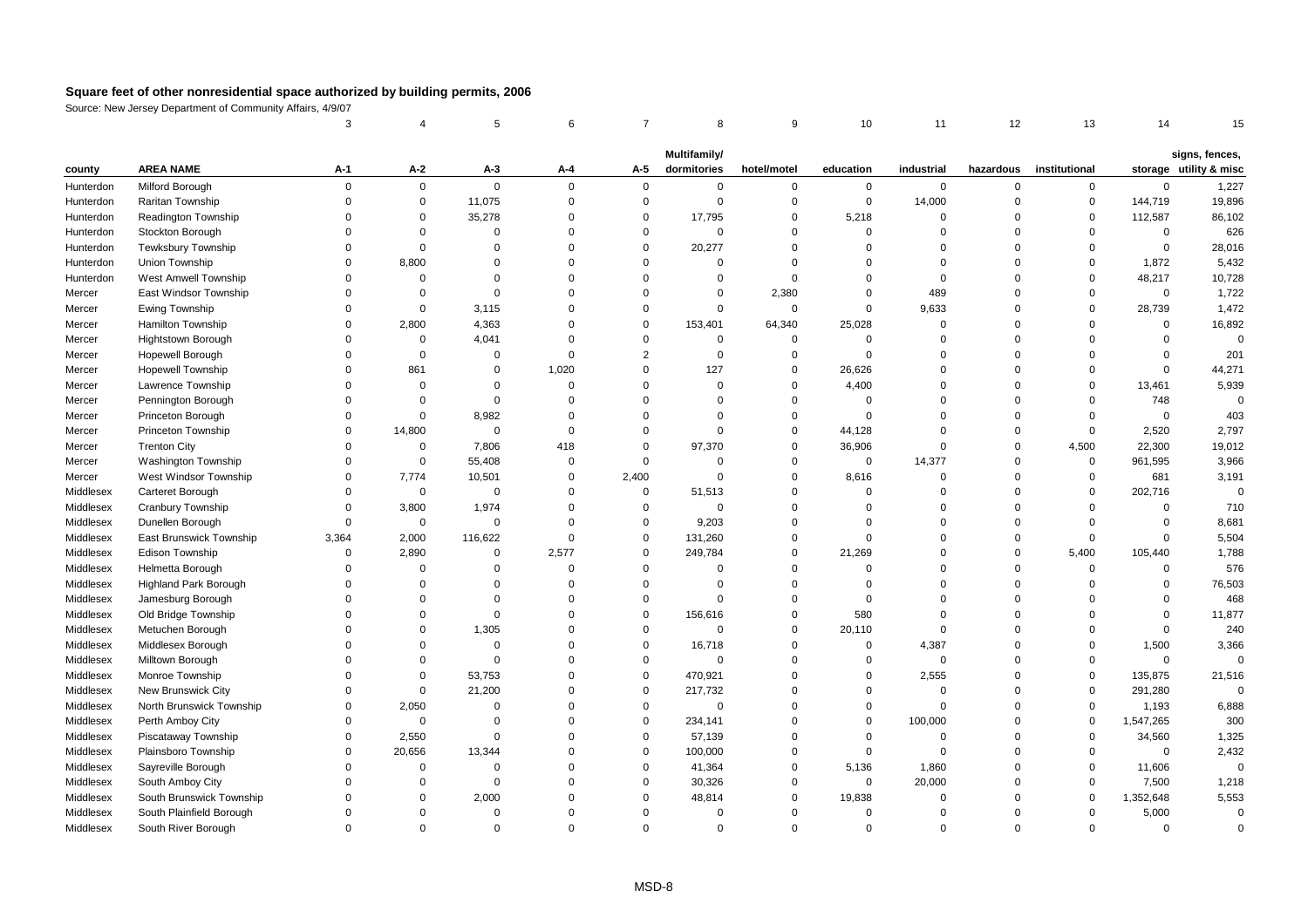|           |                              | 3                    |                      | 5                 | 6                    | $\overline{7}$       | 8                           | 9                          | 10                 | 11                   | 12                   | 13                   | 14                 | 15                                       |
|-----------|------------------------------|----------------------|----------------------|-------------------|----------------------|----------------------|-----------------------------|----------------------------|--------------------|----------------------|----------------------|----------------------|--------------------|------------------------------------------|
|           |                              |                      |                      |                   |                      |                      |                             |                            |                    |                      |                      |                      |                    |                                          |
| county    | <b>AREA NAME</b>             | A-1                  | A-2                  | A-3               | A-4                  | A-5                  | Multifamily/<br>dormitories | hotel/motel                | education          | industrial           | hazardous            | institutional        |                    | signs, fences,<br>storage utility & misc |
| Hunterdon | Milford Borough              | $\Omega$             | $\mathbf 0$          | $\mathbf 0$       | $\Omega$             | $\mathbf 0$          | $\mathbf 0$                 | $\mathbf 0$                | 0                  | $\mathbf 0$          | 0                    | $\mathbf{0}$         | $\Omega$           | 1,227                                    |
| Hunterdon | Raritan Township             | $\Omega$             | $\mathbf 0$          | 11,075            | $\Omega$             | $\mathbf 0$          | $\mathbf 0$                 | $\overline{0}$             | 0                  | 14,000               | $\Omega$             | $\mathsf 0$          | 144,719            | 19,896                                   |
| Hunterdon | Readington Township          | $\Omega$             | $\mathbf 0$          | 35,278            | $\overline{0}$       | $\mathbf 0$          | 17,795                      | $\mathsf 0$                | 5,218              | $\mathbf 0$          | $\Omega$             | $\mathsf 0$          | 112,587            | 86,102                                   |
| Hunterdon | Stockton Borough             | $\Omega$             | $\Omega$             | $\Omega$          | $\Omega$             | $\Omega$             | $\mathbf 0$                 | $\Omega$                   | $\Omega$           | $\Omega$             | $\Omega$             | $\Omega$             | $\Omega$           | 626                                      |
| Hunterdon | <b>Tewksbury Township</b>    | $\Omega$             | $\Omega$             | $\Omega$          | $\Omega$             | $\Omega$             | 20,277                      | $\mathbf 0$                | $\Omega$           | $\Omega$             | $\Omega$             | $\mathbf 0$          | $\mathbf 0$        | 28,016                                   |
| Hunterdon | Union Township               | $\Omega$             | 8,800                | $\Omega$          | $\Omega$             | $\Omega$             | $\mathbf 0$                 | $\overline{0}$             | $\Omega$           | $\Omega$             | $\Omega$             | $\Omega$             | 1,872              | 5,432                                    |
| Hunterdon | West Amwell Township         | $\Omega$             | $\mathbf 0$          | $\Omega$          | $\Omega$             | $\Omega$             | 0                           | $\Omega$                   | $\mathbf 0$        | $\mathbf 0$          | $\Omega$             | $\mathbf 0$          | 48,217             | 10,728                                   |
| Mercer    | East Windsor Township        | $\Omega$             | $\Omega$             | $\Omega$          | $\Omega$             | $\Omega$             | $\mathbf 0$                 | 2,380                      | $\Omega$           | 489                  | $\Omega$             | $\Omega$             | $\Omega$           | 1,722                                    |
| Mercer    | Ewing Township               | $\Omega$             | $\Omega$             | 3,115             | $\Omega$             | $\Omega$             | $\mathbf 0$                 | $\mathbf 0$                | $\Omega$           | 9,633                | $\Omega$             | $\Omega$             | 28,739             | 1,472                                    |
| Mercer    | Hamilton Township            | $\Omega$             | 2,800                | 4,363             | $\Omega$             | $\Omega$             | 153,401                     | 64,340                     | 25,028             | $\Omega$             | $\Omega$             | $\Omega$             | $\Omega$           | 16,892                                   |
| Mercer    | Hightstown Borough           | $\Omega$             | $\mathbf 0$          | 4,041             | $\Omega$             | $\Omega$             | $\mathbf 0$                 | $\overline{0}$             | $\mathbf 0$        | $\mathbf 0$          | $\Omega$             | $\Omega$             | $\mathbf 0$        | $\Omega$                                 |
| Mercer    | Hopewell Borough             | $\mathbf 0$          | $\mathbf 0$          | $\mathbf 0$       | $\Omega$             | $\overline{2}$       | $\mathbf 0$                 | $\mathbf 0$                | $\Omega$           | $\mathbf 0$          | $\Omega$             | $\Omega$             | $\Omega$           | 201                                      |
| Mercer    | <b>Hopewell Township</b>     | $\Omega$             | 861                  | $\Omega$          | 1,020                | $\Omega$             | 127                         | $\Omega$                   | 26,626             | $\Omega$             | $\Omega$             | $\Omega$             | $\Omega$           | 44,271                                   |
| Mercer    | Lawrence Township            | $\Omega$             | $\Omega$             | $\Omega$          | $\Omega$             | $\Omega$             | $\mathbf 0$                 | $\Omega$                   | 4,400              | $\Omega$             | $\Omega$             | $\Omega$             | 13,461             | 5,939                                    |
| Mercer    | Pennington Borough           | $\Omega$             | $\Omega$             | $\mathbf 0$       | $\Omega$             | $\Omega$             | $\Omega$                    | $\overline{0}$             | $\Omega$           | $\Omega$             | $\Omega$             | $\Omega$             | 748                | $\Omega$                                 |
| Mercer    | Princeton Borough            | $\Omega$             | $\mathbf 0$          | 8,982             | $\Omega$             | $\Omega$             | $\mathbf 0$                 | $\mathsf 0$                | $\mathbf 0$        | $\mathbf 0$          | $\Omega$             | $\mathbf 0$          | $\mathbf 0$        | 403                                      |
| Mercer    | Princeton Township           | $\Omega$             | 14,800               | $\mathbf 0$       | $\Omega$             | $\Omega$             | $\mathbf 0$                 | $\overline{0}$             | 44,128             | $\Omega$             | $\Omega$             | $\Omega$             | 2,520              | 2,797                                    |
| Mercer    | <b>Trenton City</b>          | $\Omega$             | 0                    | 7,806             | 418                  | $\Omega$             | 97,370                      | $\overline{0}$             | 36,906             | $\Omega$             | $\mathbf 0$          | 4,500                | 22,300             | 19,012                                   |
| Mercer    | <b>Washington Township</b>   | $\Omega$             | $\mathbf 0$          | 55,408            | $\Omega$             | $\mathbf 0$          | 0                           | $\overline{0}$             | $\mathbf 0$        | 14,377               | $\Omega$             | $\mathbf 0$          | 961,595            | 3,966                                    |
| Mercer    | West Windsor Township        | $\Omega$             | 7,774                | 10,501            | $\Omega$             | 2,400                | $\mathbf 0$                 | $\mathsf 0$                | 8,616              | $\mathbf 0$          | $\Omega$             | $\mathsf 0$          | 681                | 3,191                                    |
| Middlesex | Carteret Borough             | $\Omega$             | $\mathbf 0$          | $\mathbf 0$       | $\Omega$             | $\mathbf 0$          | 51,513                      | $\mathbf 0$                | $\mathbf 0$        | $\Omega$             | $\Omega$             | $\mathbf 0$          | 202,716            | $\Omega$                                 |
| Middlesex | Cranbury Township            | $\Omega$             | 3,800                | 1,974             | $\Omega$             | $\mathbf 0$          | $\mathbf 0$                 | $\mathbf 0$                | $\mathbf 0$        | $\Omega$             | $\Omega$             | $\mathbf 0$          | $\Omega$           | 710                                      |
| Middlesex | Dunellen Borough             | $\mathbf 0$          | $\mathbf 0$          | $\mathbf 0$       | $\Omega$             | $\mathbf 0$          | 9,203                       | $\overline{0}$             | $\Omega$           | $\Omega$             | $\Omega$             | $\Omega$             | $\Omega$           | 8,681                                    |
| Middlesex | East Brunswick Township      | 3,364                | 2,000                | 116,622           | $\Omega$             | $\mathbf 0$          | 131,260                     | $\overline{0}$             | $\Omega$           | $\Omega$             | $\Omega$             | $\overline{0}$       | $\Omega$           | 5,504                                    |
| Middlesex | Edison Township              | $\Omega$             | 2,890                | $\mathbf 0$       | 2,577                | $\mathbf 0$          | 249,784                     | $\mathsf 0$                | 21,269             | $\Omega$             | $\Omega$             | 5,400                | 105,440            | 1,788                                    |
| Middlesex | Helmetta Borough             | $\Omega$             | $\mathbf 0$          | $\Omega$          | $\Omega$             | $\Omega$             | $\mathbf 0$                 | $\Omega$                   | $\Omega$           | $\Omega$             | $\Omega$             | $\mathbf 0$          | $\Omega$           | 576                                      |
| Middlesex | <b>Highland Park Borough</b> | $\Omega$             | $\mathbf 0$          | $\Omega$          | $\Omega$             | $\Omega$             | $\mathbf 0$                 | $\mathbf 0$                | $\Omega$           | $\Omega$             | $\Omega$             | $\Omega$             | $\mathbf 0$        | 76,503                                   |
| Middlesex | Jamesburg Borough            | $\Omega$             | $\Omega$             | $\Omega$          | $\Omega$             | $\Omega$             | $\mathbf 0$                 | $\Omega$                   | $\mathbf 0$        | $\Omega$             | $\Omega$             | $\Omega$             | $\Omega$           | 468                                      |
| Middlesex | Old Bridge Township          | $\mathbf 0$          | $\mathbf 0$          | $\mathbf 0$       | $\Omega$             | $\mathbf 0$          | 156,616                     | $\overline{0}$             | 580                | $\mathbf 0$          | $\Omega$             | $\Omega$             | $\Omega$           | 11,877                                   |
| Middlesex | Metuchen Borough             | $\Omega$             | $\Omega$             | 1,305             | $\Omega$             | $\Omega$             | $\mathbf 0$                 | $\mathbf 0$                | 20,110             | $\Omega$             | $\Omega$             | $\Omega$             | $\Omega$           | 240                                      |
| Middlesex | Middlesex Borough            | $\Omega$             | $\mathbf 0$          | $\overline{0}$    | $\Omega$             | $\mathbf 0$          | 16,718                      | $\overline{0}$             | $\mathbf 0$        | 4,387                | $\Omega$             | $\Omega$             | 1,500              | 3,366                                    |
| Middlesex | Milltown Borough             | $\Omega$             | $\mathbf 0$          | $\Omega$          | $\Omega$             | $\mathbf 0$          | $\mathbf 0$                 | $\mathbf 0$                | $\mathbf 0$        | $\mathsf 0$          | $\Omega$             | $\Omega$             | $\Omega$           | $\Omega$                                 |
| Middlesex | Monroe Township              | $\mathbf 0$          | $\mathbf 0$          | 53,753            | $\overline{0}$       | $\mathbf 0$          | 470,921                     | $\overline{0}$             | $\mathbf 0$        | 2,555                | $\Omega$             | $\mathbf 0$          | 135,875            | 21,516                                   |
| Middlesex | New Brunswick City           | $\Omega$             | $\mathbf 0$          | 21,200            | $\Omega$             | $\Omega$             | 217,732                     | $\Omega$                   | $\mathbf 0$        | $\Omega$             | $\Omega$             | $\mathbf 0$          | 291,280            | $\Omega$                                 |
| Middlesex | North Brunswick Township     | $\Omega$             | 2,050                | $\Omega$          | $\Omega$             | $\Omega$             | $\mathbf 0$                 | $\Omega$                   | $\mathbf 0$        | $\Omega$             | $\Omega$             | $\mathbf 0$          | 1,193              | 6,888                                    |
| Middlesex | Perth Amboy City             | $\Omega$             | $\mathbf 0$          | $\Omega$          | $\Omega$             | $\Omega$             | 234,141                     | $\Omega$                   | $\Omega$           | 100,000              | $\Omega$             | $\Omega$             | 1,547,265          | 300                                      |
| Middlesex | Piscataway Township          | $\Omega$             | 2,550                | $\Omega$          | $\Omega$             | $\mathbf 0$          | 57,139                      | $\mathbf 0$                | $\mathbf 0$        | $\mathbf 0$          | $\Omega$             | $\mathbf 0$          | 34,560<br>$\Omega$ | 1,325                                    |
| Middlesex | Plainsboro Township          | $\Omega$             | 20,656               | 13,344            | $\Omega$             | $\Omega$             | 100,000                     | $\Omega$                   | $\mathbf 0$        | $\mathbf 0$          | $\Omega$             | $\Omega$             |                    | 2,432                                    |
| Middlesex | Sayreville Borough           | $\Omega$             | $\Omega$             | $\mathbf 0$       | $\Omega$             | $\Omega$             | 41,364                      | $\overline{0}$             | 5,136              | 1,860                | $\Omega$             | $\mathbf 0$          | 11,606             | $\mathbf 0$                              |
| Middlesex | South Amboy City             | $\Omega$             | $\mathbf 0$          | $\overline{0}$    | $\mathbf 0$          | $\Omega$             | 30,326                      | $\Omega$                   | $\mathbf 0$        | 20,000               | $\Omega$             | $\Omega$             | 7,500              | 1,218                                    |
| Middlesex | South Brunswick Township     | $\Omega$<br>$\Omega$ | $\Omega$             | 2,000<br>$\Omega$ | $\Omega$<br>$\Omega$ | $\Omega$<br>$\Omega$ | 48,814<br>$\Omega$          | $\overline{0}$<br>$\Omega$ | 19,838<br>$\Omega$ | $\Omega$<br>$\Omega$ | $\Omega$<br>$\Omega$ | $\Omega$<br>$\Omega$ | 1,352,648          | 5,553<br>$\Omega$                        |
| Middlesex | South Plainfield Borough     | $\Omega$             | $\Omega$<br>$\Omega$ | $\Omega$          | $\Omega$             | $\Omega$             |                             | $\Omega$                   | $\Omega$           | $\Omega$             | $\Omega$             | $\Omega$             | 5,000<br>$\Omega$  | $\Omega$                                 |
| Middlesex | South River Borough          |                      |                      |                   |                      |                      | $\mathbf 0$                 |                            |                    |                      |                      |                      |                    |                                          |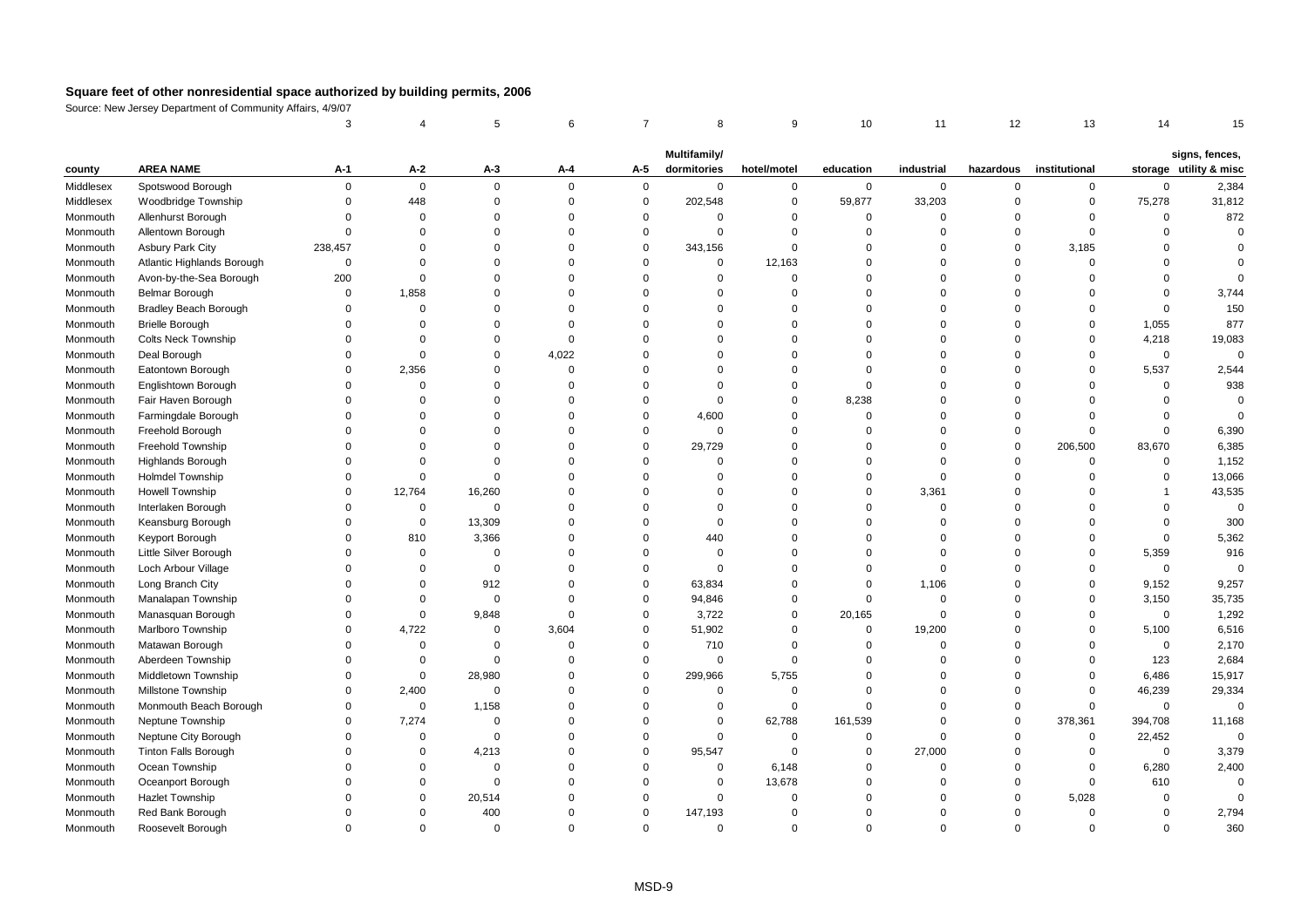|                      |                                      | 3                    |                      | 5                    | 6                          | $\overline{7}$             | 8                           | 9                          | 10                    | 11                         | 12                   | 13                         | 14                   | 15                                       |
|----------------------|--------------------------------------|----------------------|----------------------|----------------------|----------------------------|----------------------------|-----------------------------|----------------------------|-----------------------|----------------------------|----------------------|----------------------------|----------------------|------------------------------------------|
|                      |                                      |                      |                      |                      |                            |                            |                             |                            |                       |                            |                      |                            |                      |                                          |
| county               | <b>AREA NAME</b>                     | A-1                  | $A-2$                | $A-3$                | A-4                        | A-5                        | Multifamily/<br>dormitories | hotel/motel                | education             | industrial                 | hazardous            | institutional              |                      | signs, fences,<br>storage utility & misc |
| Middlesex            | Spotswood Borough                    | $\Omega$             | $\mathbf 0$          | $\mathbf 0$          | $\mathbf 0$                | $\mathbf 0$                | $\mathbf 0$                 | $\mathbf 0$                | $\mathbf 0$           | $\mathbf 0$                | 0                    | $\mathbf 0$                | $\mathbf 0$          | 2,384                                    |
| Middlesex            | Woodbridge Township                  | $\Omega$             | 448                  | $\mathbf 0$          | $\mathbf 0$                | $\mathbf 0$                | 202,548                     | $\mathbf 0$                | 59,877                | 33,203                     | $\Omega$             | $\mathbf 0$                | 75,278               | 31,812                                   |
| Monmouth             | Allenhurst Borough                   | $\Omega$             | $\mathbf 0$          | $\mathbf 0$          | $\mathbf 0$                | $\mathbf 0$                | $\mathbf 0$                 | $\mathsf 0$                | $\mathbf 0$           | $\mathbf 0$                | $\Omega$             | $\mathsf 0$                | $\Omega$             | 872                                      |
| Monmouth             | Allentown Borough                    | $\Omega$             | $\Omega$             | $\Omega$             | $\mathbf 0$                | $\Omega$                   | $\mathbf 0$                 | $\Omega$                   | $\mathbf 0$           | $\Omega$                   | $\Omega$             | $\Omega$                   | $\Omega$             | $\Omega$                                 |
| Monmouth             | <b>Asbury Park City</b>              | 238,457              | $\Omega$             | $\Omega$             | $\mathbf 0$                | $\Omega$                   | 343,156                     | $\mathbf 0$                | $\mathbf 0$           | $\Omega$                   | $\mathbf 0$          | 3,185                      | $\Omega$             |                                          |
| Monmouth             | Atlantic Highlands Borough           | $\mathbf 0$          | $\mathbf 0$          | $\Omega$             | $\mathbf 0$                | $\mathbf 0$                | $\mathbf 0$                 | 12,163                     | $\mathbf 0$           | $\mathbf 0$                | $\Omega$             | $\mathsf 0$                | $\Omega$             | $\Omega$                                 |
| Monmouth             | Avon-by-the-Sea Borough              | 200                  | $\Omega$             | $\Omega$             | $\mathbf 0$                | $\Omega$                   | $\mathbf 0$                 | $\mathsf 0$                | $\Omega$              | $\Omega$                   | $\Omega$             | $\mathsf 0$                | $\Omega$             | $\Omega$                                 |
| Monmouth             | <b>Belmar Borough</b>                | $\Omega$             | 1,858                | $\Omega$             | $\mathbf 0$                | $\Omega$                   | $\mathbf 0$                 | $\Omega$                   | $\Omega$              | $\Omega$                   | $\Omega$             | $\Omega$                   | $\mathbf 0$          | 3,744                                    |
| Monmouth             | <b>Bradley Beach Borough</b>         | $\Omega$             | $\Omega$             | 0                    | $\mathbf 0$                | $\Omega$                   | $\Omega$                    | $\Omega$                   | $\Omega$              | $\Omega$                   | $\Omega$             | $\Omega$                   | $\mathbf 0$          | 150                                      |
| Monmouth             | <b>Brielle Borough</b>               | $\Omega$             | $\Omega$             | $\Omega$             | $\mathbf 0$                | $\Omega$                   | $\Omega$                    | $\Omega$                   | $\Omega$              | $\Omega$                   | $\Omega$             | $\Omega$                   | 1,055                | 877                                      |
| Monmouth             | <b>Colts Neck Township</b>           | $\Omega$             | $\Omega$             | $\Omega$             | $\mathbf 0$                | $\Omega$                   | $\Omega$                    | $\Omega$                   | $\Omega$              | $\Omega$                   | $\Omega$             | $\Omega$                   | 4,218                | 19,083                                   |
| Monmouth             | Deal Borough                         | $\Omega$             | $\Omega$             | $\Omega$             | 4,022                      | $\Omega$                   | $\mathbf 0$                 | $\Omega$                   | $\mathbf 0$           | $\Omega$                   | $\Omega$             | $\mathbf 0$                | $\mathsf 0$          | $\mathbf 0$                              |
| Monmouth             | Eatontown Borough                    | $\Omega$             | 2,356                | $\Omega$             | $\mathbf 0$                | $\Omega$                   | $\mathbf 0$                 | $\mathbf 0$                | $\mathbf 0$           | $\mathbf 0$                | $\Omega$             | $\Omega$                   | 5,537                | 2,544                                    |
| Monmouth             | Englishtown Borough                  | $\Omega$             | $\mathbf 0$          | $\Omega$             | $\overline{0}$             | $\Omega$                   | $\mathbf 0$                 | $\mathbf 0$                | $\mathbf 0$           | $\Omega$                   | $\Omega$             | $\Omega$                   | $\Omega$             | 938                                      |
| Monmouth             | Fair Haven Borough                   | $\Omega$             | $\Omega$             | $\Omega$             | $\Omega$                   | $\Omega$                   | $\Omega$                    | $\Omega$                   | 8,238                 | $\Omega$                   | $\Omega$             | $\Omega$                   | $\Omega$             | $\Omega$                                 |
| Monmouth             | Farmingdale Borough                  | $\Omega$             | $\Omega$             | $\Omega$             | $\mathbf 0$                | $\Omega$                   | 4,600                       | $\mathbf 0$                | $\mathbf 0$           | $\Omega$                   | 0                    | $\Omega$                   | $\Omega$             | $\Omega$                                 |
| Monmouth             | Freehold Borough                     | $\Omega$             | $\Omega$             | $\Omega$             | $\mathbf 0$                | $\Omega$                   | $\mathbf 0$                 | $\mathbf 0$                | $\mathbf 0$           | $\Omega$                   | $\Omega$             | $\Omega$                   | $\Omega$             | 6,390                                    |
| Monmouth             | Freehold Township                    | $\Omega$             | $\Omega$             | $\Omega$             | $\mathbf 0$                | $\mathbf 0$                | 29,729                      | $\overline{0}$             | $\Omega$              | $\mathbf 0$                | 0                    | 206,500                    | 83,670               | 6,385                                    |
| Monmouth             | <b>Highlands Borough</b>             | $\Omega$             | $\Omega$             | $\Omega$             | $\mathbf 0$                | $\Omega$                   | $\mathbf 0$                 | $\Omega$                   | $\Omega$              | $\Omega$                   | $\Omega$             | $\mathbf 0$                | $\Omega$             | 1,152                                    |
| Monmouth             | Holmdel Township                     | $\Omega$             | $\Omega$             | $\Omega$             | $\mathbf 0$                | $\Omega$                   | $\mathbf 0$                 | $\Omega$                   | $\Omega$              | $\mathbf 0$                | $\mathbf 0$          | $\Omega$                   | $\Omega$             | 13,066                                   |
| Monmouth             | <b>Howell Township</b>               | $\Omega$             | 12,764               | 16,260               | $\mathbf 0$                | $\Omega$                   | $\mathbf 0$                 | $\Omega$                   | $\Omega$              | 3,361                      | $\Omega$             | $\Omega$                   | $\overline{1}$       | 43,535                                   |
| Monmouth             | Interlaken Borough                   | $\Omega$             | $\mathsf 0$          | $\mathbf 0$          | $\mathbf 0$                | $\Omega$                   | $\mathbf 0$                 | $\Omega$                   | $\mathbf 0$           | $\mathbf 0$                | $\Omega$             | $\Omega$                   | $\mathbf 0$          | $\mathbf 0$                              |
| Monmouth             | Keansburg Borough                    | $\Omega$             | $\mathbf 0$          | 13,309               | $\mathbf 0$                | $\Omega$                   | $\mathbf 0$                 | $\Omega$                   | $\Omega$              | $\Omega$                   | $\Omega$             | $\Omega$                   | $\Omega$             | 300                                      |
| Monmouth             | Keyport Borough                      | $\Omega$             | 810                  | 3,366                | $\mathbf 0$                | $\Omega$                   | 440                         | $\Omega$                   | $\Omega$              | $\Omega$                   | $\Omega$             | $\Omega$                   | $\mathbf 0$          | 5,362                                    |
| Monmouth             | Little Silver Borough                | $\Omega$             | $\mathsf 0$          | $\Omega$             | $\mathbf 0$                | $\Omega$                   | $\mathbf 0$                 | $\Omega$                   | $\Omega$              | $\Omega$                   | $\Omega$             | $\Omega$                   | 5,359                | 916                                      |
| Monmouth             | Loch Arbour Village                  | $\Omega$             | $\mathbf 0$          | $\mathbf 0$          | $\mathbf 0$                | $\mathbf 0$                | $\mathbf 0$                 | $\mathbf 0$                | $\mathbf 0$           | $\mathbf 0$                | $\Omega$             | $\Omega$                   | $\mathbf 0$          | $\mathbf 0$                              |
| Monmouth             | Long Branch City                     | $\Omega$<br>$\Omega$ | $\Omega$             | 912                  | $\mathbf 0$                | $\mathbf 0$                | 63,834                      | $\Omega$                   | $\mathbf 0$           | 1,106                      | $\Omega$             | $\mathbf 0$<br>$\Omega$    | 9,152                | 9,257                                    |
| Monmouth             | Manalapan Township                   | $\Omega$             | $\Omega$             | $\mathbf 0$          | $\mathbf 0$<br>$\mathbf 0$ | $\Omega$                   | 94,846                      | $\Omega$                   | $\mathbf 0$           | $\mathbf 0$<br>$\mathbf 0$ | $\Omega$<br>$\Omega$ |                            | 3,150                | 35,735                                   |
| Monmouth             | Manasquan Borough                    | $\Omega$             | $\mathsf 0$          | 9,848<br>$\mathbf 0$ |                            | $\mathbf 0$<br>$\mathbf 0$ | 3,722                       | $\mathsf 0$<br>$\mathsf 0$ | 20,165<br>$\mathbf 0$ |                            | $\Omega$             | $\mathbf 0$<br>$\mathbf 0$ | $\mathsf 0$<br>5,100 | 1,292                                    |
| Monmouth<br>Monmouth | Marlboro Township<br>Matawan Borough | $\Omega$             | 4,722<br>$\mathbf 0$ | $\Omega$             | 3,604<br>$\mathbf 0$       | $\Omega$                   | 51,902<br>710               | $\overline{0}$             | $\mathbf 0$           | 19,200<br>$\Omega$         | $\Omega$             | $\Omega$                   | $\Omega$             | 6,516<br>2,170                           |
| Monmouth             | Aberdeen Township                    | $\Omega$             | $\mathbf 0$          | $\Omega$             | $\mathbf 0$                | $\Omega$                   | $\mathbf 0$                 | $\mathbf 0$                | $\mathbf 0$           | $\Omega$                   | $\Omega$             | $\Omega$                   | 123                  | 2,684                                    |
| Monmouth             | Middletown Township                  | $\Omega$             | $\mathsf 0$          | 28,980               | $\mathbf 0$                | $\mathbf 0$                | 299,966                     | 5,755                      | $\mathbf 0$           | $\mathbf 0$                | $\Omega$             | $\mathbf 0$                | 6,486                | 15,917                                   |
| Monmouth             | Millstone Township                   | $\Omega$             | 2,400                | $\mathbf 0$          | $\mathbf 0$                | $\mathbf 0$                | $\mathbf 0$                 | $\mathsf 0$                | $\mathbf 0$           | $\mathbf 0$                | $\Omega$             | $\mathsf 0$                | 46,239               | 29,334                                   |
| Monmouth             | Monmouth Beach Borough               | $\Omega$             | $\mathbf 0$          | 1,158                | $\mathbf 0$                | $\Omega$                   | $\mathbf 0$                 | $\mathsf 0$                | $\Omega$              | $\Omega$                   | $\Omega$             | $\Omega$                   | $\Omega$             | $\Omega$                                 |
| Monmouth             | Neptune Township                     | $\Omega$             | 7,274                | $\mathbf 0$          | $\mathbf 0$                | $\Omega$                   | $\mathbf 0$                 | 62,788                     | 161,539               | $\Omega$                   | $\Omega$             | 378,361                    | 394,708              | 11,168                                   |
| Monmouth             | Neptune City Borough                 | $\Omega$             | $\mathsf 0$          | $\mathbf 0$          | $\mathbf 0$                | $\Omega$                   | $\mathbf 0$                 | $\mathbf 0$                | $\mathbf 0$           | $\Omega$                   | $\mathbf 0$          | $\mathbf 0$                | 22,452               | $\Omega$                                 |
| Monmouth             | <b>Tinton Falls Borough</b>          | $\Omega$             | 0                    | 4,213                | $\mathbf 0$                | $\mathbf 0$                | 95,547                      | $\overline{0}$             | $\mathbf 0$           | 27,000                     | 0                    | $\mathsf 0$                | $\mathbf 0$          | 3,379                                    |
| Monmouth             | Ocean Township                       | $\Omega$             | $\Omega$             | $\Omega$             | $\mathbf 0$                | $\Omega$                   | $\mathbf 0$                 | 6,148                      | $\mathbf 0$           | $\Omega$                   | $\Omega$             | $\mathbf 0$                | 6,280                | 2,400                                    |
| Monmouth             | Oceanport Borough                    | $\Omega$             | $\mathbf 0$          | $\Omega$             | $\mathbf 0$                | $\Omega$                   | $\mathbf 0$                 | 13,678                     | $\mathbf 0$           | $\mathbf 0$                | $\mathbf 0$          | $\mathbf 0$                | 610                  | $\Omega$                                 |
| Monmouth             | Hazlet Township                      | $\Omega$             | $\Omega$             | 20,514               | $\Omega$                   | $\Omega$                   | $\mathbf 0$                 | $\overline{0}$             | $\Omega$              | $\Omega$                   | $\Omega$             | 5,028                      | $\Omega$             | $\Omega$                                 |
| Monmouth             | Red Bank Borough                     | $\Omega$             | $\Omega$             | 400                  | $\mathbf 0$                | $\Omega$                   | 147,193                     | $\Omega$                   | $\Omega$              | $\Omega$                   | $\Omega$             | $\Omega$                   | $\Omega$             | 2,794                                    |
| Monmouth             | Roosevelt Borough                    | $\Omega$             | $\Omega$             | $\mathbf 0$          | $\Omega$                   | $\Omega$                   | $\mathbf 0$                 | $\Omega$                   | $\Omega$              | $\Omega$                   | $\Omega$             | $\Omega$                   | $\Omega$             | 360                                      |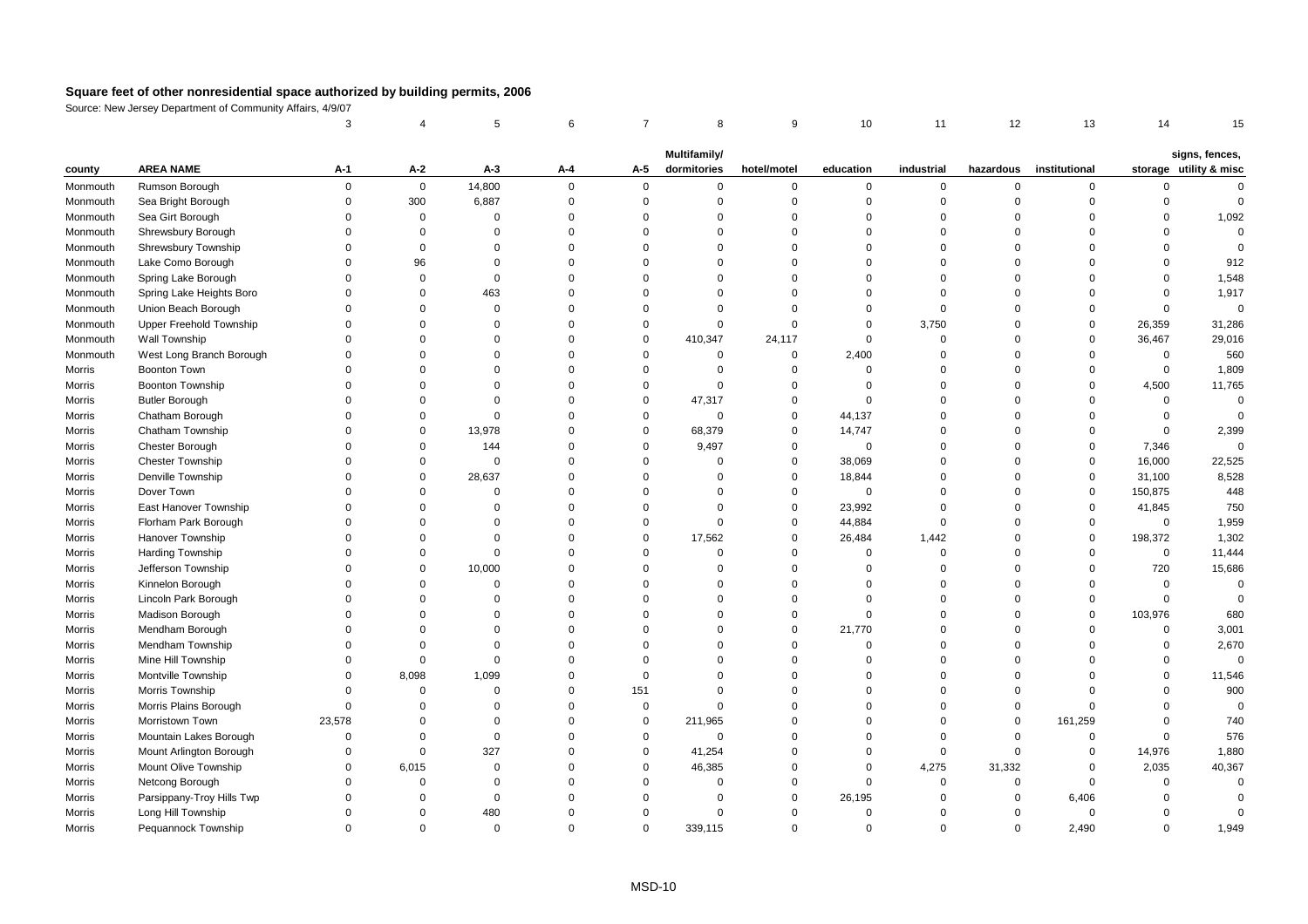|          |                           | 3                    |                   | 5                    | 6                          | $\overline{7}$       | 8                       | 9                          | 10                   | 11                   | 12                     | 13                         | 14                   | 15                                       |
|----------|---------------------------|----------------------|-------------------|----------------------|----------------------------|----------------------|-------------------------|----------------------------|----------------------|----------------------|------------------------|----------------------------|----------------------|------------------------------------------|
|          |                           |                      |                   |                      |                            |                      | Multifamily/            |                            |                      |                      |                        |                            |                      |                                          |
| county   | <b>AREA NAME</b>          | A-1                  | $A-2$             | $A-3$                | A-4                        | A-5                  | dormitories             | hotel/motel                | education            | industrial           | hazardous              | institutional              |                      | signs, fences,<br>storage utility & misc |
| Monmouth | Rumson Borough            | $\mathbf 0$          | $\mathbf 0$       | 14,800               | $\mathbf 0$                | $\mathbf 0$          | 0                       | $\mathbf 0$                | $\mathbf 0$          | $\mathbf 0$          | $\mathbf 0$            | 0                          | $\mathbf 0$          | $\Omega$                                 |
| Monmouth | Sea Bright Borough        | $\Omega$             | 300               | 6,887                | $\mathbf 0$                | $\mathsf 0$          | $\mathbf 0$             | $\mathbf 0$                | $\mathbf 0$          | $\mathbf 0$          | $\mathsf 0$            | $\mathbf 0$                | $\mathbf 0$          | $\mathsf 0$                              |
| Monmouth | Sea Girt Borough          | $\Omega$             | $\mathbf 0$       | $\Omega$             | $\mathbf 0$                | $\Omega$             | $\Omega$                | $\mathbf 0$                | $\Omega$             | $\mathbf 0$          | $\mathbf 0$            | $\Omega$                   | $\Omega$             | 1,092                                    |
| Monmouth | Shrewsbury Borough        | $\Omega$             | $\Omega$          | $\Omega$             | $\mathbf 0$                | $\Omega$             | $\Omega$                | $\Omega$                   | $\Omega$             | $\mathbf 0$          | $\Omega$               | $\Omega$                   | $\Omega$             | $\mathbf 0$                              |
| Monmouth | Shrewsbury Township       | $\Omega$             | $\mathbf 0$       | $\Omega$             | $\mathbf 0$                | $\Omega$             | $\mathbf 0$             | $\mathbf 0$                | $\Omega$             | $\mathbf 0$          | $\mathbf 0$            | $\Omega$                   | $\Omega$             | $\mathbf 0$                              |
| Monmouth | Lake Como Borough         | $\Omega$             | 96                | $\mathbf 0$          | $\mathbf 0$                | $\Omega$             | $\mathbf 0$             | $\mathbf 0$                | $\Omega$             | $\mathbf 0$          | $\mathsf 0$            | $\Omega$                   | $\mathbf 0$          | 912                                      |
| Monmouth | Spring Lake Borough       | $\Omega$             | $\Omega$          | $\Omega$             | $\mathbf 0$                | $\Omega$             | $\Omega$                | $\Omega$                   | $\Omega$             | $\Omega$             | $\Omega$               | $\Omega$                   | $\Omega$             | 1,548                                    |
| Monmouth | Spring Lake Heights Boro  | $\Omega$             | $\Omega$          | 463                  | $\mathbf 0$                | $\Omega$             | $\Omega$                | $\mathbf 0$                | $\Omega$             | $\mathbf 0$          | $\mathbf 0$            | $\Omega$                   | $\mathbf 0$          | 1,917                                    |
| Monmouth | Union Beach Borough       | $\Omega$             | $\Omega$          | $\mathbf 0$          | $\mathbf 0$                | $\Omega$             | $\Omega$                | $\mathbf 0$                | $\Omega$             | $\mathbf 0$          | $\mathbf 0$            | $\Omega$                   | $\Omega$             | $\mathsf 0$                              |
| Monmouth | Upper Freehold Township   | $\Omega$             | $\Omega$          | $\Omega$             | $\Omega$                   | $\Omega$             | 0                       | $\Omega$                   | $\Omega$             | 3,750                | $\mathbf 0$            | $\Omega$                   | 26,359               | 31,286                                   |
| Monmouth | Wall Township             | $\Omega$             | $\Omega$          | $\Omega$             | $\mathbf 0$                | $\Omega$             | 410,347                 | 24,117                     | $\mathbf 0$          | $\mathbf 0$          | $\mathbf 0$            | $\mathbf 0$                | 36,467               | 29,016                                   |
| Monmouth | West Long Branch Borough  | $\Omega$             | $\Omega$          | $\Omega$             | $\mathbf 0$                | $\Omega$             | 0                       | $\mathbf 0$                | 2,400                | $\mathbf 0$          | $\overline{0}$         | $\mathbf 0$                | $\mathsf 0$          | 560                                      |
| Morris   | Boonton Town              | $\Omega$             | $\Omega$          | $\Omega$             | $\mathbf 0$                | $\Omega$             | $\mathbf 0$             | $\mathbf 0$                | $\Omega$             | $\mathbf 0$          | $\mathsf 0$            | $\mathbf 0$                | $\mathsf 0$          | 1,809                                    |
| Morris   | <b>Boonton Township</b>   | $\Omega$             | $\Omega$          | $\Omega$             | $\mathbf 0$                | $\Omega$             | $\Omega$                | $\mathbf 0$                | $\Omega$             | $\Omega$             | $\Omega$               | $\Omega$                   | 4,500                | 11,765                                   |
| Morris   | <b>Butler Borough</b>     | $\Omega$             | $\Omega$          | $\Omega$             | $\mathbf 0$                | $\Omega$             | 47,317                  | $\Omega$                   | $\Omega$             | $\Omega$             | $\Omega$               | $\Omega$                   | $\mathbf 0$          | $\Omega$                                 |
| Morris   | Chatham Borough           | $\Omega$             | $\Omega$          | $\Omega$             | $\mathbf 0$                | $\Omega$             | $\mathbf 0$             | $\mathbf 0$                | 44,137               | $\Omega$             | $\mathsf 0$            | $\Omega$                   | $\mathsf 0$          | $\Omega$                                 |
| Morris   | Chatham Township          | $\Omega$             | $\mathbf 0$       | 13,978               | $\mathbf 0$                | $\mathbf 0$          | 68,379                  | $\mathbf 0$                | 14,747               | $\mathbf 0$          | $\overline{0}$         | $\mathbf 0$                | $\mathbf 0$          | 2,399                                    |
| Morris   | <b>Chester Borough</b>    | $\Omega$             | $\mathbf 0$       | 144                  | $\mathbf 0$                | $\Omega$             | 9,497                   | $\mathbf 0$                | $\Omega$             | $\mathbf 0$          | $\mathbf 0$            | $\mathbf 0$                | 7,346                | $\Omega$                                 |
| Morris   | <b>Chester Township</b>   | $\Omega$             | $\mathbf 0$       | $\mathbf 0$          | $\mathbf 0$                | $\Omega$             | $\Omega$                | $\mathbf 0$                | 38,069               | $\mathbf 0$          | $\mathbf 0$            | $\mathbf 0$                | 16,000               | 22,525                                   |
| Morris   | Denville Township         | $\Omega$             | $\mathbf 0$       | 28,637               | $\mathbf 0$                | $\Omega$             | $\mathbf 0$             | $\mathbf 0$                | 18,844               | $\mathbf 0$          | $\mathbf 0$            | $\mathbf 0$                | 31,100               | 8,528                                    |
| Morris   | Dover Town                | $\Omega$             | $\Omega$          | $\Omega$             | $\mathbf 0$                | $\Omega$             | $\mathbf 0$             | $\mathbf 0$                | $\Omega$             | $\mathbf 0$          | $\mathbf 0$            | $\mathbf 0$                | 150,875              | 448                                      |
| Morris   | East Hanover Township     | $\Omega$             | $\Omega$          | $\Omega$             | $\mathbf 0$                | $\Omega$             | $\Omega$                | $\mathbf 0$                | 23,992               | $\mathbf 0$          | $\Omega$               | $\mathbf 0$                | 41,845               | 750                                      |
| Morris   | Florham Park Borough      | $\Omega$             | $\Omega$          | $\Omega$             | $\mathbf 0$                | $\Omega$             | $\mathbf 0$             | $\mathbf 0$                | 44,884               | $\mathbf 0$          | $\mathbf 0$            | $\mathbf 0$                | $\mathsf 0$          | 1,959                                    |
| Morris   | Hanover Township          | $\Omega$             | $\Omega$          | $\Omega$             | $\mathbf 0$                | $\mathbf 0$          | 17,562                  | $\mathbf 0$                | 26,484               | 1,442                | $\mathsf 0$            | $\mathsf 0$                | 198,372              | 1,302                                    |
| Morris   | Harding Township          | $\Omega$             | $\Omega$          | $\Omega$             | $\Omega$                   | $\Omega$             | $\Omega$                | $\Omega$                   | $\Omega$             | $\mathbf 0$          | $\Omega$               | $\Omega$                   | $\mathbf 0$          | 11,444                                   |
| Morris   | Jefferson Township        | $\Omega$             | $\mathbf 0$       | 10,000               | $\mathbf 0$                | $\Omega$             | $\mathbf 0$             | $\mathbf 0$                | $\Omega$             | $\mathbf 0$          | $\mathbf 0$            | $\mathbf 0$                | 720                  | 15,686                                   |
| Morris   | Kinnelon Borough          | $\Omega$             | $\mathbf 0$       | $\mathbf 0$          | $\mathbf 0$                | $\Omega$             | $\mathbf 0$             | $\mathbf 0$                | $\Omega$             | $\mathbf 0$          | $\mathbf 0$            | $\mathbf 0$                | $\mathsf 0$          | $\mathbf 0$                              |
| Morris   | Lincoln Park Borough      | $\Omega$             | $\Omega$          | $\Omega$             | $\mathbf 0$                | $\Omega$             | $\mathbf 0$             | $\Omega$                   | $\Omega$             | $\mathbf 0$          | $\mathsf 0$            | $\Omega$                   | $\mathsf 0$          | $\Omega$                                 |
| Morris   | Madison Borough           | $\Omega$             | $\Omega$          | $\Omega$             | $\Omega$                   | $\Omega$             | $\Omega$                | $\mathbf 0$                | $\Omega$             | $\Omega$             | $\mathbf 0$            | $\mathbf 0$                | 103,976              | 680                                      |
| Morris   | Mendham Borough           | $\Omega$             | $\Omega$          | $\Omega$             | $\mathbf 0$                | $\Omega$             | $\Omega$                | $\mathbf 0$                | 21,770               | $\Omega$             | $\mathbf 0$            | $\Omega$                   | $\Omega$             | 3,001                                    |
| Morris   | Mendham Township          | $\Omega$             | $\Omega$          | $\Omega$             | $\mathbf 0$                | $\Omega$             | $\Omega$                | $\mathbf 0$                | $\Omega$             | $\mathbf 0$          | $\mathsf 0$            | $\Omega$                   | $\mathbf 0$          | 2,670                                    |
| Morris   | Mine Hill Township        | $\Omega$             | $\Omega$          | $\Omega$             | $\mathbf 0$                | $\Omega$             | $\Omega$                | $\mathbf 0$                | $\Omega$             | $\Omega$             | $\mathbf 0$            | $\Omega$                   | $\Omega$             | $\mathbf{0}$                             |
| Morris   | Montville Township        | $\Omega$             | 8,098             | 1,099                | $\mathbf 0$                | $\Omega$             | $\mathbf 0$             | $\Omega$                   | $\Omega$             | $\mathbf 0$          | $\Omega$               | $\Omega$                   | $\Omega$             | 11,546                                   |
| Morris   | Morris Township           | $\Omega$             | $\mathsf 0$       | $\Omega$             | $\mathbf 0$                | 151                  | $\Omega$                | $\mathbf 0$                | $\Omega$             | $\Omega$             | $\mathsf 0$            | $\Omega$<br>$\Omega$       | $\Omega$             | 900                                      |
| Morris   | Morris Plains Borough     | $\Omega$             | $\Omega$          | 0                    | $\mathbf 0$                | $\mathsf 0$          | $\Omega$                | $\mathbf 0$<br>$\Omega$    | $\Omega$<br>$\Omega$ | $\mathbf 0$          | $\mathbf 0$            |                            | $\Omega$             | $\mathbf 0$                              |
| Morris   | Morristown Town           | 23,578               | $\Omega$          | $\Omega$             | $\mathbf 0$                | $\mathbf 0$          | 211,965                 |                            |                      | $\mathbf 0$          | $\mathbf 0$            | 161,259                    | $\Omega$             | 740                                      |
| Morris   | Mountain Lakes Borough    | $\Omega$<br>$\Omega$ | $\mathbf 0$       | $\mathbf 0$          | $\mathbf 0$                | $\mathbf 0$          | $\mathbf 0$             | $\mathbf 0$<br>$\mathbf 0$ | $\Omega$<br>$\Omega$ | $\mathbf 0$          | $\mathbf 0$            | $\mathbf 0$                | $\mathbf 0$          | 576                                      |
| Morris   | Mount Arlington Borough   | $\Omega$             | $\mathbf 0$       | 327                  | $\mathbf 0$                | $\mathbf 0$          | 41,254                  | $\Omega$                   | $\Omega$             | $\mathbf 0$          | $\mathsf 0$            | $\mathsf 0$                | 14,976               | 1,880                                    |
| Morris   | Mount Olive Township      | $\Omega$             | 6,015<br>$\Omega$ | $\Omega$<br>$\Omega$ | $\mathbf 0$<br>$\mathbf 0$ | $\Omega$<br>$\Omega$ | 46,385<br>$\Omega$      | $\mathbf 0$                | $\Omega$             | 4,275<br>$\mathbf 0$ | 31,332<br>$\mathbf{0}$ | $\mathbf 0$<br>$\mathbf 0$ | 2,035<br>$\Omega$    | 40,367<br>$\Omega$                       |
| Morris   | Netcong Borough           | $\Omega$             | $\Omega$          |                      |                            | $\Omega$             |                         | $\Omega$                   |                      |                      |                        |                            |                      | $\Omega$                                 |
| Morris   | Parsippany-Troy Hills Twp | $\Omega$             | $\Omega$          | $\mathbf 0$<br>480   | $\mathbf 0$<br>$\Omega$    | $\Omega$             | $\Omega$<br>$\mathbf 0$ | $\mathbf 0$                | 26,195<br>$\Omega$   | 0<br>$\mathbf 0$     | 0<br>$\Omega$          | 6,406<br>$\mathbf 0$       | $\Omega$<br>$\Omega$ | $\mathbf 0$                              |
| Morris   | Long Hill Township        | $\Omega$             | $\Omega$          | $\Omega$             | $\Omega$                   | $\Omega$             | 339,115                 | $\Omega$                   | $\Omega$             | $\Omega$             | $\Omega$               | 2.490                      | $\Omega$             | 1,949                                    |
| Morris   | Pequannock Township       |                      |                   |                      |                            |                      |                         |                            |                      |                      |                        |                            |                      |                                          |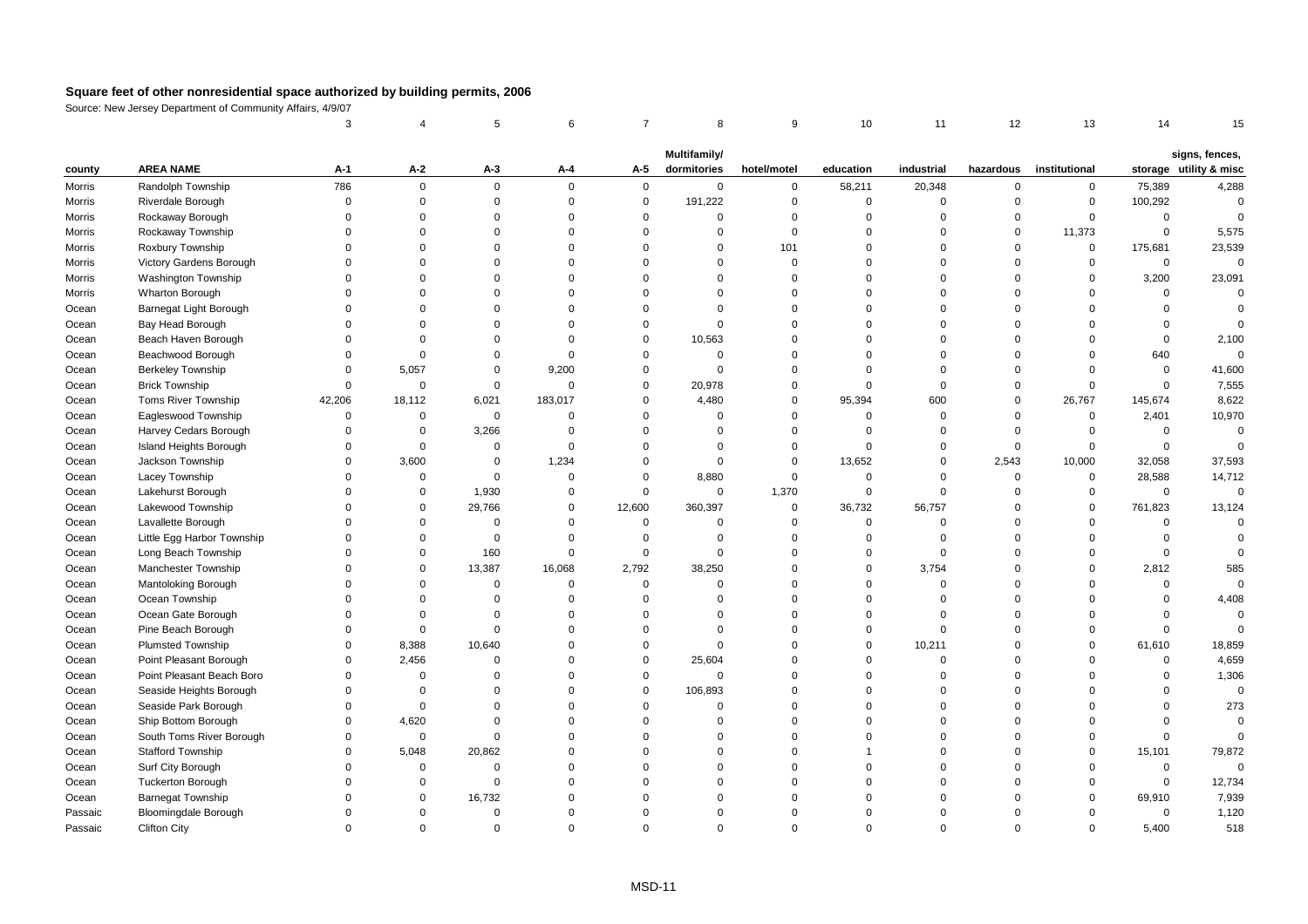|                  |                                               | 3                    |                            | 5                       | 6                    | $\overline{7}$             | 8                      | 9                        | 10                    | 11                    | 12                         | 13                         | 14                      | 15                     |
|------------------|-----------------------------------------------|----------------------|----------------------------|-------------------------|----------------------|----------------------------|------------------------|--------------------------|-----------------------|-----------------------|----------------------------|----------------------------|-------------------------|------------------------|
|                  |                                               |                      |                            |                         |                      |                            |                        |                          |                       |                       |                            |                            |                         |                        |
|                  | <b>AREA NAME</b>                              |                      | $A-2$                      |                         |                      |                            | Multifamily/           |                          |                       |                       |                            |                            |                         | signs, fences,         |
| county           |                                               | A-1<br>786           |                            | A-3                     | A-4<br>$\mathbf 0$   | A-5                        | dormitories            | hotel/motel              | education             | industrial            | hazardous                  | institutional              |                         | storage utility & misc |
| Morris<br>Morris | Randolph Township<br>Riverdale Borough        | $\Omega$             | $\mathsf 0$<br>$\mathbf 0$ | $\mathbf 0$<br>0        | $\mathsf 0$          | $\mathbf 0$<br>$\mathsf 0$ | $\mathbf 0$<br>191,222 | $\mathsf 0$<br>$\pmb{0}$ | 58,211<br>$\mathsf 0$ | 20,348<br>$\mathsf 0$ | $\mathbf 0$<br>$\mathbf 0$ | $\mathbf 0$<br>$\mathsf 0$ | 75,389<br>100,292       | 4,288<br>$\mathbf 0$   |
| Morris           | Rockaway Borough                              | $\Omega$             | $\mathbf 0$                | 0                       | $\mathsf 0$          | $\mathbf 0$                | $\mathbf 0$            | $\mathbf 0$              | $\mathbf 0$           | $\mathbf 0$           | $\mathbf 0$                | $\mathbf 0$                | $\mathbf 0$             | $\Omega$               |
| Morris           | Rockaway Township                             | $\Omega$             | $\Omega$                   | $\Omega$                | $\Omega$             | $\Omega$                   | $\Omega$               | $\mathbf 0$              | $\Omega$              | $\Omega$              | $\Omega$                   | 11,373                     | $\mathbf 0$             | 5,575                  |
| Morris           | Roxbury Township                              | $\Omega$             | $\Omega$                   | $\Omega$                | $\Omega$             | $\Omega$                   | $\mathbf 0$            | 101                      | $\Omega$              | $\Omega$              | $\Omega$                   | $\mathbf 0$                | 175,681                 | 23,539                 |
| Morris           | Victory Gardens Borough                       | $\Omega$             | $\Omega$                   | $\Omega$                | $\mathbf 0$          | $\Omega$                   | $\Omega$               | $\mathbf 0$              | $\Omega$              | $\Omega$              | $\Omega$                   | $\mathbf 0$                | $\mathbf 0$             | $\mathbf 0$            |
| Morris           | Washington Township                           | $\Omega$             | $\Omega$                   | $\Omega$                | $\Omega$             | $\Omega$                   | $\Omega$               | $\Omega$                 | $\Omega$              | $\Omega$              | $\Omega$                   | $\mathbf 0$                | 3,200                   | 23,091                 |
| Morris           | Wharton Borough                               | $\Omega$             | $\Omega$                   | $\Omega$                | $\mathbf 0$          | $\Omega$                   | $\Omega$               | $\Omega$                 | $\Omega$              | $\Omega$              | $\Omega$                   | $\mathbf 0$                | $\Omega$                | $\Omega$               |
| Ocean            | Barnegat Light Borough                        | $\Omega$             | $\Omega$                   | $\Omega$                | $\Omega$             | $\Omega$                   | $\Omega$               | $\Omega$                 | $\Omega$              | $\Omega$              | $\Omega$                   | $\Omega$                   | $\Omega$                | $\Omega$               |
| Ocean            | Bay Head Borough                              | $\Omega$             | $\Omega$                   | $\Omega$                | $\Omega$             | $\Omega$                   | $\Omega$               | $\Omega$                 | $\Omega$              | $\Omega$              | $\Omega$                   | $\Omega$                   | $\Omega$                |                        |
| Ocean            | Beach Haven Borough                           | $\Omega$             | $\Omega$                   | $\Omega$                | $\Omega$             | $\Omega$                   | 10,563                 | $\Omega$                 | $\Omega$              | $\Omega$              | $\Omega$                   | $\Omega$                   | $\mathbf 0$             | 2,100                  |
| Ocean            | Beachwood Borough                             | $\Omega$             | $\mathbf 0$                | $\Omega$                | $\Omega$             | $\Omega$                   | $\mathbf 0$            | $\Omega$                 | $\Omega$              | $\Omega$              | $\Omega$                   | $\mathbf 0$                | 640                     | $\Omega$               |
| Ocean            | <b>Berkeley Township</b>                      | $\Omega$             | 5,057                      | $\Omega$                | 9,200                | $\Omega$                   | $\mathbf 0$            | $\Omega$                 | $\Omega$              | $\Omega$              | $\Omega$                   | $\mathbf 0$                | $\mathbf 0$             | 41,600                 |
| Ocean            | <b>Brick Township</b>                         | $\Omega$             | $\mathbf 0$                | $\mathbf 0$             | $\mathsf 0$          | $\mathbf 0$                | 20,978                 | $\overline{0}$           | $\mathbf 0$           | $\mathbf 0$           | $\Omega$                   | $\mathbf 0$                | $\mathbf 0$             | 7,555                  |
| Ocean            | Toms River Township                           | 42,206               | 18,112                     | 6,021                   | 183,017              | $\Omega$                   | 4,480                  | $\mathbf 0$              | 95,394                | 600                   | $\Omega$                   | 26,767                     | 145,674                 | 8,622                  |
| Ocean            | Eagleswood Township                           | $\Omega$             | $\mathbf 0$                | $\mathbf 0$             | $\mathbf 0$          | $\Omega$                   | $\mathbf 0$            | $\mathbf 0$              | $\Omega$              | $\mathbf 0$           | $\Omega$                   | $\mathbf 0$                | 2,401                   | 10,970                 |
| Ocean            | Harvey Cedars Borough                         | $\Omega$             | $\mathbf 0$                | 3,266                   | $\Omega$             | $\Omega$                   | $\Omega$               | $\mathbf 0$              | 0                     | $\Omega$              | $\Omega$                   | $\mathbf 0$                | $\mathbf 0$             | $\mathbf{0}$           |
| Ocean            | Island Heights Borough                        | $\Omega$             | $\mathbf 0$                | $\mathbf 0$             | $\Omega$             | $\Omega$                   | $\mathbf 0$            | $\overline{0}$           | $\Omega$              | $\Omega$              | $\mathbf 0$                | $\mathbf 0$                | $\mathbf 0$             | $\Omega$               |
| Ocean            | Jackson Township                              | $\Omega$             | 3,600                      | $\Omega$                | 1,234                | $\Omega$                   | $\mathbf 0$            | $\mathbf 0$              | 13,652                | $\Omega$              | 2,543                      | 10,000                     | 32,058                  | 37,593                 |
| Ocean            | Lacey Township                                | $\Omega$             | $\mathbf 0$                | $\mathbf 0$             | $\mathbf 0$          | $\Omega$                   | 8,880                  | $\mathbf 0$              | $\mathbf 0$           | $\mathbf 0$           | $\Omega$                   | $\mathbf 0$                | 28,588                  | 14,712                 |
| Ocean            | Lakehurst Borough                             | $\Omega$             | 0                          | 1,930                   | 0                    | $\mathbf 0$                | $\mathbf 0$            | 1,370                    | $\mathbf 0$           | $\mathbf 0$           | $\Omega$                   | $\mathbf 0$                | $\mathsf 0$             | $\mathbf 0$            |
| Ocean            | Lakewood Township                             | $\Omega$             | $\mathbf 0$                | 29,766                  | $\mathsf 0$          | 12,600                     | 360,397                | $\mathsf 0$              | 36,732                | 56,757                | $\mathbf 0$                | $\mathbf 0$                | 761,823                 | 13,124                 |
| Ocean            | Lavallette Borough                            | $\Omega$             | $\Omega$                   | $\mathbf 0$             | $\mathbf 0$          | $\mathbf 0$                | $\mathbf 0$            | $\overline{0}$           | $\mathbf 0$           | $\Omega$              | $\Omega$                   | $\mathbf 0$                | $\Omega$                | $\Omega$               |
| Ocean            | Little Egg Harbor Township                    | $\Omega$             | $\mathbf 0$                | $\mathbf 0$             | $\mathbf 0$          | $\mathbf 0$                | $\mathbf 0$            | $\Omega$                 | $\Omega$              | $\Omega$              | $\Omega$                   | $\mathbf 0$                | $\mathbf 0$             | $\Omega$               |
| Ocean            | Long Beach Township                           | $\Omega$             | $\mathbf 0$                | 160                     | $\mathbf 0$          | $\Omega$                   | $\mathbf 0$            | $\overline{0}$           | $\Omega$              | $\mathbf 0$           | $\Omega$                   | $\mathbf 0$                | $\Omega$                |                        |
| Ocean            | Manchester Township                           | $\Omega$             | $\mathbf 0$                | 13,387                  | 16,068               | 2,792                      | 38,250                 | $\Omega$                 | $\mathbf 0$           | 3,754                 | $\Omega$                   | $\Omega$                   | 2,812                   | 585                    |
| Ocean            | Mantoloking Borough                           | $\Omega$             | $\Omega$                   | $\mathbf 0$             | $\Omega$             | $\mathbf 0$                | $\mathbf 0$            | $\Omega$                 | $\Omega$              | $\mathbf 0$           | $\Omega$                   | $\Omega$                   | $\mathbf 0$             | $\Omega$               |
| Ocean            | Ocean Township                                | $\Omega$             | $\Omega$                   | $\Omega$                | $\Omega$             | $\Omega$                   | $\mathbf 0$            | $\Omega$                 | $\Omega$              | $\Omega$              | $\Omega$                   | $\Omega$                   | $\Omega$                | 4,408                  |
| Ocean            | Ocean Gate Borough                            | $\Omega$             | $\Omega$                   | $\Omega$                | $\Omega$             | $\Omega$                   | $\Omega$               | $\Omega$                 | $\Omega$              | $\Omega$              | $\Omega$                   | $\Omega$                   | $\mathbf 0$             | $\mathbf 0$            |
| Ocean            | Pine Beach Borough                            | $\Omega$             | $\mathbf 0$                | 0                       | $\Omega$             | $\Omega$                   | $\mathbf 0$            | $\Omega$                 | $\mathbf 0$           | $\mathbf 0$           | $\Omega$                   | $\Omega$                   | $\Omega$                | $\Omega$               |
| Ocean            | <b>Plumsted Township</b>                      | $\Omega$             | 8,388                      | 10,640                  | $\Omega$             | $\Omega$                   | $\Omega$               | $\Omega$                 | $\Omega$              | 10,211                | $\Omega$                   | $\Omega$                   | 61,610                  | 18,859                 |
| Ocean            | Point Pleasant Borough                        | $\Omega$             | 2,456                      | $\Omega$                | $\Omega$             | $\Omega$                   | 25,604                 | $\Omega$                 | $\Omega$              | $\Omega$              | $\Omega$                   | $\Omega$                   | $\mathbf 0$             | 4,659                  |
| Ocean            | Point Pleasant Beach Boro                     | $\Omega$             | $\mathbf 0$                | $\mathbf 0$             | $\mathbf 0$          | $\Omega$                   | $\mathbf 0$            | $\Omega$                 | $\Omega$              | $\Omega$              | $\Omega$                   | $\Omega$                   | $\mathbf 0$             | 1,306                  |
| Ocean            | Seaside Heights Borough                       | $\Omega$<br>$\Omega$ | $\mathbf 0$                | $\mathbf 0$<br>$\Omega$ | $\Omega$<br>$\Omega$ | $\mathbf 0$<br>$\Omega$    | 106,893<br>$\Omega$    | $\Omega$<br>$\Omega$     | $\Omega$<br>$\Omega$  | $\Omega$<br>$\Omega$  | $\Omega$<br>$\Omega$       | $\Omega$<br>$\Omega$       | $\mathbf 0$<br>$\Omega$ | $\mathsf 0$            |
| Ocean            | Seaside Park Borough                          | $\Omega$             | $\mathbf 0$                | $\Omega$                | $\Omega$             | $\Omega$                   | $\Omega$               | $\Omega$                 | $\Omega$              | $\Omega$              | $\Omega$                   | $\Omega$                   | $\Omega$                | 273<br>$\Omega$        |
| Ocean            | Ship Bottom Borough                           | $\Omega$             | 4,620<br>$\mathbf 0$       | $\Omega$                | $\mathbf 0$          | $\Omega$                   | $\Omega$               | $\Omega$                 | $\Omega$              | $\Omega$              | $\Omega$                   | $\Omega$                   | $\Omega$                | $\Omega$               |
| Ocean            | South Toms River Borough<br>Stafford Township | $\Omega$             | 5,048                      | 20,862                  | $\mathsf 0$          | $\Omega$                   | $\mathbf 0$            | $\Omega$                 |                       | $\Omega$              | $\Omega$                   | $\mathbf 0$                | 15,101                  | 79,872                 |
| Ocean<br>Ocean   | Surf City Borough                             | $\Omega$             | $\Omega$                   | $\mathbf 0$             | $\Omega$             | $\Omega$                   | $\Omega$               | $\Omega$                 | $\Omega$              | $\Omega$              | $\Omega$                   | $\mathbf 0$                | $\mathbf 0$             | $\mathbf 0$            |
| Ocean            | <b>Tuckerton Borough</b>                      | $\Omega$             | $\Omega$                   | $\mathbf 0$             | $\mathbf 0$          | $\Omega$                   | $\Omega$               | $\Omega$                 | $\Omega$              | $\Omega$              | $\Omega$                   | $\mathbf 0$                | $\mathbf 0$             | 12,734                 |
| Ocean            | <b>Barnegat Township</b>                      | $\Omega$             | $\Omega$                   | 16,732                  | $\Omega$             | $\Omega$                   | $\Omega$               | $\Omega$                 | $\Omega$              | $\Omega$              | $\Omega$                   | $\Omega$                   | 69,910                  | 7,939                  |
| Passaic          | <b>Bloomingdale Borough</b>                   | $\Omega$             | $\Omega$                   | $\Omega$                | $\Omega$             | $\Omega$                   | $\Omega$               | $\Omega$                 | $\Omega$              | $\Omega$              | $\Omega$                   | $\Omega$                   | $\mathbf 0$             | 1,120                  |
| Passaic          | <b>Clifton City</b>                           | $\Omega$             | $\Omega$                   | $\Omega$                | $\Omega$             | $\Omega$                   | $\Omega$               | $\Omega$                 | $\Omega$              | $\Omega$              | $\Omega$                   | $\Omega$                   | 5,400                   | 518                    |
|                  |                                               |                      |                            |                         |                      |                            |                        |                          |                       |                       |                            |                            |                         |                        |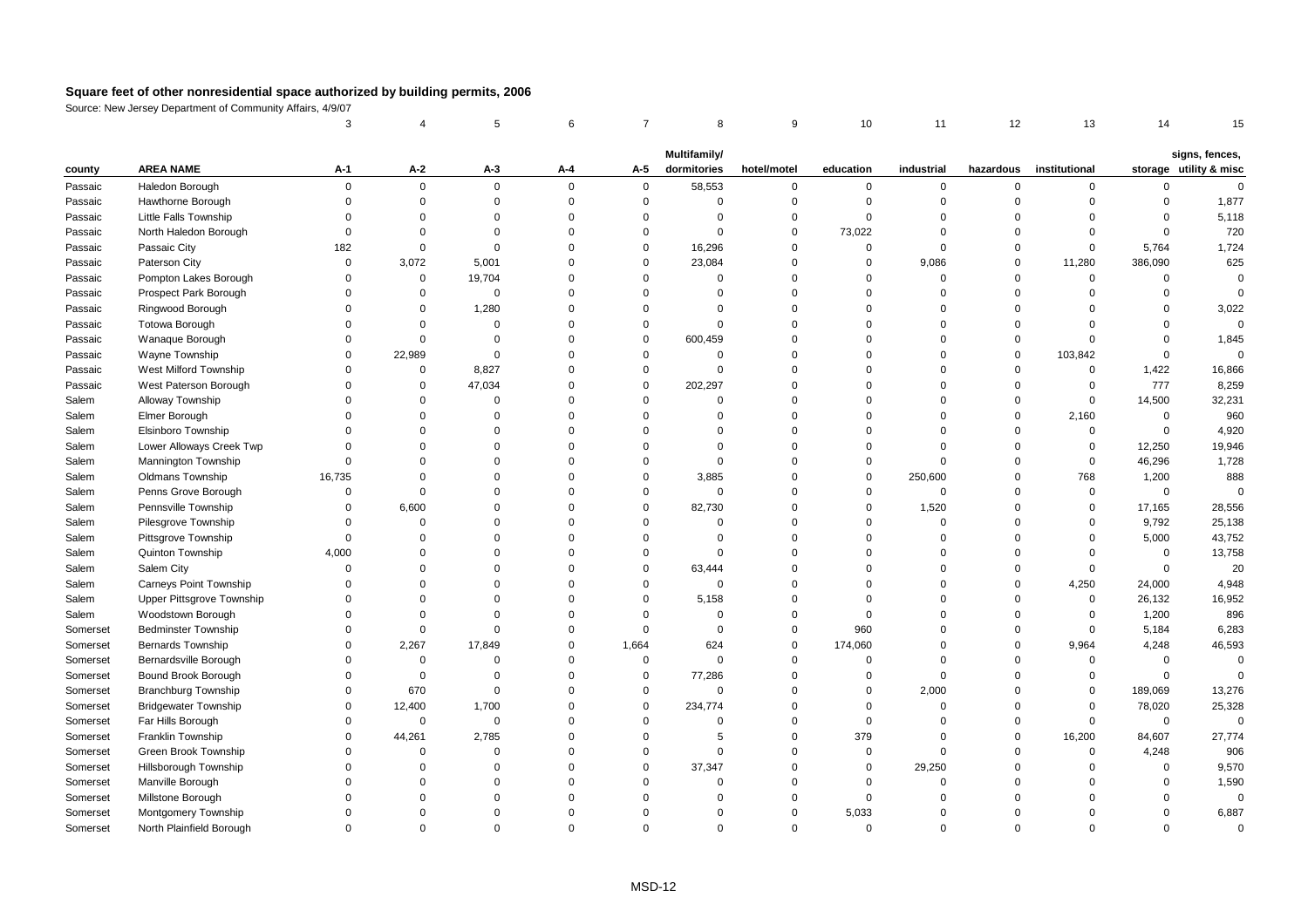|          |                               | 3           |             | 5           | 6        | $\overline{7}$ | 8            | 9           | 10          | 11          | 12             | 13            | 14          | 15                     |
|----------|-------------------------------|-------------|-------------|-------------|----------|----------------|--------------|-------------|-------------|-------------|----------------|---------------|-------------|------------------------|
|          |                               |             |             |             |          |                | Multifamily/ |             |             |             |                |               |             | signs, fences,         |
| county   | <b>AREA NAME</b>              | A-1         | A-2         | $A-3$       | A-4      | A-5            | dormitories  | hotel/motel | education   | industrial  | hazardous      | institutional |             | storage utility & misc |
| Passaic  | Haledon Borough               | $\Omega$    | $\mathbf 0$ | $\mathbf 0$ | $\Omega$ | $\mathbf{0}$   | 58,553       | $\mathbf 0$ | 0           | 0           | $\mathbf 0$    | $\mathbf 0$   | $\mathbf 0$ | $\mathbf 0$            |
| Passaic  | Hawthorne Borough             | $\Omega$    | $\mathsf 0$ | $\mathbf 0$ | $\Omega$ | $\mathsf 0$    | $\mathbf 0$  | $\mathbf 0$ | $\mathbf 0$ | $\mathbf 0$ | $\Omega$       | $\mathbf 0$   | $\mathbf 0$ | 1,877                  |
| Passaic  | <b>Little Falls Township</b>  | $\Omega$    | $\Omega$    | $\Omega$    | $\Omega$ | $\Omega$       | $\Omega$     | $\mathbf 0$ | $\Omega$    | $\mathbf 0$ | $\Omega$       | $\Omega$      | $\mathbf 0$ | 5,118                  |
| Passaic  | North Haledon Borough         | $\Omega$    | $\Omega$    | $\Omega$    | $\Omega$ | $\mathbf 0$    | $\Omega$     | $\mathbf 0$ | 73,022      | $\mathbf 0$ | $\Omega$       | $\Omega$      | $\Omega$    | 720                    |
| Passaic  | Passaic City                  | 182         | $\mathsf 0$ | $\Omega$    | $\Omega$ | $\mathbf 0$    | 16,296       | $\mathbf 0$ | $\mathbf 0$ | $\mathbf 0$ | $\overline{0}$ | $\mathbf 0$   | 5,764       | 1,724                  |
| Passaic  | Paterson City                 | $\mathbf 0$ | 3,072       | 5,001       | $\Omega$ | $\mathbf 0$    | 23,084       | $\mathbf 0$ | $\mathbf 0$ | 9,086       | $\overline{0}$ | 11,280        | 386,090     | 625                    |
| Passaic  | Pompton Lakes Borough         | $\Omega$    | $\mathbf 0$ | 19,704      | $\Omega$ | $\Omega$       | $\Omega$     | $\mathbf 0$ | $\Omega$    | $\mathbf 0$ | $\Omega$       | $\mathbf 0$   | $\mathbf 0$ | $\mathbf 0$            |
| Passaic  | Prospect Park Borough         | $\Omega$    | $\mathbf 0$ | $\mathbf 0$ | $\Omega$ | $\Omega$       | $\Omega$     | $\mathbf 0$ | $\Omega$    | $\Omega$    | $\Omega$       | $\Omega$      | $\Omega$    | $\Omega$               |
| Passaic  | Ringwood Borough              | $\Omega$    | $\mathbf 0$ | 1,280       | $\Omega$ | $\Omega$       | $\Omega$     | $\mathbf 0$ | $\Omega$    | $\Omega$    | $\Omega$       | $\Omega$      | $\Omega$    | 3,022                  |
| Passaic  | <b>Totowa Borough</b>         | $\Omega$    | 0           | $\Omega$    | $\Omega$ | $\mathbf 0$    | $\Omega$     | $\Omega$    | $\Omega$    | $\Omega$    | $\Omega$       | $\Omega$      | $\Omega$    | $\mathsf 0$            |
| Passaic  | Wanaque Borough               | $\Omega$    | $\Omega$    | $\Omega$    | $\Omega$ | $\mathbf 0$    | 600,459      | $\mathbf 0$ | $\Omega$    | $\mathbf 0$ | $\mathbf 0$    | $\Omega$      | $\Omega$    | 1,845                  |
| Passaic  | Wayne Township                | $\Omega$    | 22,989      | $\Omega$    | $\Omega$ | $\Omega$       | $\Omega$     | $\mathbf 0$ | $\Omega$    | $\Omega$    | $\overline{0}$ | 103,842       | $\mathbf 0$ | $\mathbf 0$            |
| Passaic  | West Milford Township         | $\Omega$    | $\mathbf 0$ | 8,827       | $\Omega$ | $\mathbf 0$    | $\Omega$     | $\mathbf 0$ | $\Omega$    | $\Omega$    | $\mathbf 0$    | 0             | 1,422       | 16,866                 |
| Passaic  | West Paterson Borough         | $\Omega$    | $\Omega$    | 47,034      | $\Omega$ | $\Omega$       | 202,297      | $\Omega$    | $\Omega$    | $\Omega$    | $\Omega$       | $\mathbf 0$   | 777         | 8,259                  |
| Salem    | Alloway Township              | $\Omega$    | $\mathbf 0$ | $\Omega$    | $\Omega$ | $\mathbf 0$    | $\Omega$     | $\Omega$    | $\Omega$    | $\Omega$    | $\Omega$       | $\Omega$      | 14,500      | 32,231                 |
| Salem    | Elmer Borough                 | $\Omega$    | $\Omega$    | $\mathbf 0$ | $\Omega$ | $\Omega$       | $\Omega$     | $\mathbf 0$ | $\Omega$    | $\mathbf 0$ | $\overline{0}$ | 2,160         | $\mathsf 0$ | 960                    |
| Salem    | Elsinboro Township            | $\Omega$    | $\Omega$    | $\Omega$    | $\Omega$ | $\Omega$       | $\Omega$     | $\mathbf 0$ | $\Omega$    | 0           | $\overline{0}$ | $\mathsf 0$   | $\mathsf 0$ | 4,920                  |
| Salem    | Lower Alloways Creek Twp      | $\Omega$    | $\Omega$    | $\Omega$    | $\Omega$ | $\Omega$       | $\Omega$     | $\mathbf 0$ | $\Omega$    | $\mathbf 0$ | $\Omega$       | $\mathbf 0$   | 12,250      | 19,946                 |
| Salem    | Mannington Township           | $\Omega$    | $\Omega$    | $\Omega$    | $\Omega$ | $\Omega$       | $\Omega$     | $\Omega$    | $\Omega$    | $\mathbf 0$ | $\Omega$       | $\mathbf 0$   | 46,296      | 1,728                  |
| Salem    | Oldmans Township              | 16,735      | $\Omega$    | $\Omega$    | $\Omega$ | $\Omega$       | 3,885        | $\mathbf 0$ | $\mathbf 0$ | 250,600     | $\Omega$       | 768           | 1,200       | 888                    |
| Salem    | Penns Grove Borough           | $\Omega$    | $\Omega$    | $\Omega$    | $\Omega$ | $\Omega$       | $\Omega$     | $\mathbf 0$ | $\Omega$    | $\mathbf 0$ | $\Omega$       | $\Omega$      | $\mathbf 0$ | $\Omega$               |
| Salem    | Pennsville Township           | $\Omega$    | 6,600       | $\Omega$    | $\Omega$ | $\Omega$       | 82,730       | $\mathbf 0$ | $\Omega$    | 1,520       | $\Omega$       | $\mathbf 0$   | 17,165      | 28,556                 |
| Salem    | Pilesgrove Township           | $\mathbf 0$ | $\mathbf 0$ | $\Omega$    | $\Omega$ | $\Omega$       | 0            | $\mathbf 0$ | $\Omega$    | 0           | $\Omega$       | $\mathbf 0$   | 9,792       | 25,138                 |
| Salem    | Pittsgrove Township           | $\Omega$    | $\Omega$    | $\Omega$    | $\Omega$ | $\Omega$       | $\Omega$     | $\mathbf 0$ | $\Omega$    | $\Omega$    | $\Omega$       | $\mathbf 0$   | 5,000       | 43,752                 |
| Salem    | Quinton Township              | 4,000       | $\Omega$    | $\Omega$    | $\Omega$ | $\mathbf 0$    | $\Omega$     | $\Omega$    | $\Omega$    | $\Omega$    | $\Omega$       | $\Omega$      | $\mathbf 0$ | 13,758                 |
| Salem    | Salem City                    | $\Omega$    | $\Omega$    | $\Omega$    | $\Omega$ | $\mathbf 0$    | 63,444       | $\mathbf 0$ | $\Omega$    | $\Omega$    | $\Omega$       | $\mathbf 0$   | $\mathbf 0$ | 20                     |
| Salem    | <b>Carneys Point Township</b> | $\Omega$    | $\Omega$    | $\Omega$    | $\Omega$ | $\Omega$       | $\Omega$     | $\mathbf 0$ | $\Omega$    | $\mathbf 0$ | $\overline{0}$ | 4,250         | 24,000      | 4,948                  |
| Salem    | Upper Pittsgrove Township     | $\Omega$    | $\Omega$    | $\Omega$    | $\Omega$ | $\mathbf 0$    | 5,158        | $\mathbf 0$ | $\Omega$    | $\mathbf 0$ | $\Omega$       | 0             | 26,132      | 16,952                 |
| Salem    | Woodstown Borough             | $\Omega$    | $\Omega$    | $\Omega$    | $\Omega$ | $\Omega$       | $\Omega$     | $\mathbf 0$ | $\Omega$    | $\Omega$    | $\Omega$       | $\mathbf 0$   | 1,200       | 896                    |
| Somerset | <b>Bedminster Township</b>    | $\Omega$    | $\Omega$    | $\Omega$    | $\Omega$ | $\Omega$       | $\Omega$     | $\mathbf 0$ | 960         | $\Omega$    | $\Omega$       | $\mathbf 0$   | 5,184       | 6,283                  |
| Somerset | Bernards Township             | $\Omega$    | 2,267       | 17,849      | $\Omega$ | 1,664          | 624          | $\mathbf 0$ | 174,060     | 0           | $\overline{0}$ | 9,964         | 4,248       | 46,593                 |
| Somerset | Bernardsville Borough         | $\Omega$    | $\mathbf 0$ | $\Omega$    | $\Omega$ | $\mathbf 0$    | $\Omega$     | $\mathbf 0$ | $\Omega$    | $\mathbf 0$ | $\Omega$       | $\Omega$      | $\mathbf 0$ | $\mathbf 0$            |
| Somerset | Bound Brook Borough           | $\Omega$    | $\mathbf 0$ | $\Omega$    | $\Omega$ | $\mathbf 0$    | 77,286       | $\mathbf 0$ | $\Omega$    | $\mathbf 0$ | $\Omega$       | $\mathbf 0$   | $\mathbf 0$ | $\Omega$               |
| Somerset | <b>Branchburg Township</b>    | $\Omega$    | 670         | $\mathbf 0$ | $\Omega$ | $\mathbf 0$    | $\mathbf 0$  | $\mathbf 0$ | $\mathbf 0$ | 2,000       | $\Omega$       | $\mathbf 0$   | 189,069     | 13,276                 |
| Somerset | <b>Bridgewater Township</b>   | $\Omega$    | 12,400      | 1,700       | $\Omega$ | $\mathbf 0$    | 234,774      | $\mathbf 0$ | $\Omega$    | $\Omega$    | $\Omega$       | $\mathbf 0$   | 78,020      | 25,328                 |
| Somerset | Far Hills Borough             | $\Omega$    | $\mathbf 0$ | $\mathbf 0$ | $\Omega$ | $\mathbf 0$    | $\Omega$     | $\mathbf 0$ | $\mathbf 0$ | $\mathbf 0$ | $\Omega$       | $\mathbf 0$   | $\mathbf 0$ | $\mathbf 0$            |
| Somerset | Franklin Township             | $\Omega$    | 44,261      | 2,785       | $\Omega$ | $\mathbf 0$    | 5            | $\mathbf 0$ | 379         | $\mathbf 0$ | $\Omega$       | 16,200        | 84,607      | 27,774                 |
| Somerset | Green Brook Township          | $\Omega$    | $\Omega$    | $\mathbf 0$ | $\Omega$ | $\Omega$       | $\mathbf 0$  | $\mathbf 0$ | $\mathbf 0$ | $\mathbf 0$ | $\overline{0}$ | $\mathbf 0$   | 4,248       | 906                    |
| Somerset | Hillsborough Township         | $\Omega$    | $\Omega$    | $\Omega$    | $\Omega$ | $\Omega$       | 37,347       | $\mathbf 0$ | $\mathbf 0$ | 29,250      | $\Omega$       | $\Omega$      | $\mathbf 0$ | 9,570                  |
| Somerset | Manville Borough              | $\Omega$    | $\Omega$    | $\Omega$    | $\Omega$ | $\Omega$       | $\Omega$     | $\mathbf 0$ | $\Omega$    | $\Omega$    | $\Omega$       | $\Omega$      | $\Omega$    | 1,590                  |
| Somerset | Millstone Borough             | $\Omega$    | $\Omega$    | $\Omega$    | $\Omega$ | $\Omega$       | $\Omega$     | $\mathbf 0$ | $\Omega$    | $\Omega$    | $\Omega$       | $\Omega$      | $\Omega$    | $\mathbf 0$            |
| Somerset | Montgomery Township           | $\Omega$    | $\Omega$    | $\Omega$    | $\Omega$ | $\Omega$       | $\Omega$     | $\mathbf 0$ | 5,033       | $\Omega$    | $\Omega$       | $\Omega$      | $\mathbf 0$ | 6,887                  |
| Somerset | North Plainfield Borough      | $\Omega$    | $\Omega$    | $\Omega$    | $\Omega$ | $\Omega$       | $\Omega$     | $\Omega$    | $\Omega$    | $\Omega$    | $\Omega$       | $\Omega$      | $\Omega$    | $\Omega$               |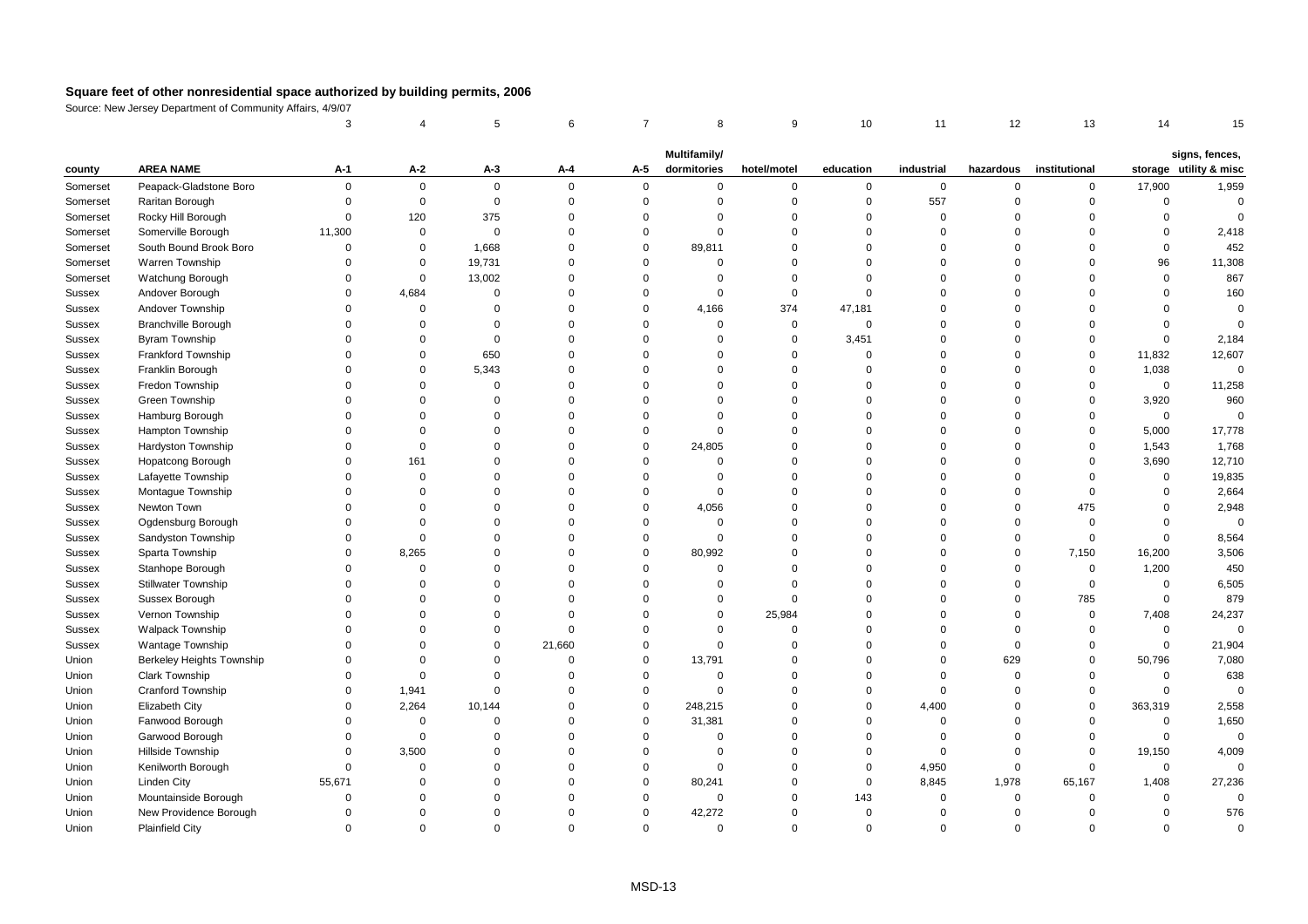|          |                            | 3                              |             | 5           | 6        | $\overline{7}$ | 8           | 9           | 10          | 11          | 12             | 13            | 14          | 15                     |
|----------|----------------------------|--------------------------------|-------------|-------------|----------|----------------|-------------|-------------|-------------|-------------|----------------|---------------|-------------|------------------------|
|          |                            | Multifamily/<br>signs, fences, |             |             |          |                |             |             |             |             |                |               |             |                        |
| county   | <b>AREA NAME</b>           | A-1                            | $A-2$       | $A-3$       | A-4      | A-5            | dormitories | hotel/motel | education   | industrial  | hazardous      | institutional |             | storage utility & misc |
| Somerset | Peapack-Gladstone Boro     | $\mathbf 0$                    | $\mathbf 0$ | $\mathbf 0$ | $\Omega$ | $\mathbf{0}$   | $\mathbf 0$ | $\mathbf 0$ | 0           | $\mathbf 0$ | $\mathbf 0$    | $\mathbf 0$   | 17,900      | 1,959                  |
| Somerset | Raritan Borough            | $\Omega$                       | $\mathbf 0$ | $\mathbf 0$ | $\Omega$ | $\mathbf{0}$   | $\Omega$    | $\mathbf 0$ | $\mathbf 0$ | 557         | $\mathbf 0$    | $\mathbf 0$   | 0           | $\mathbf 0$            |
| Somerset | Rocky Hill Borough         | $\Omega$                       | 120         | 375         | $\Omega$ | $\Omega$       | $\Omega$    | $\mathbf 0$ | $\Omega$    | $\mathbf 0$ | $\Omega$       | $\Omega$      | $\mathbf 0$ | $\Omega$               |
| Somerset | Somerville Borough         | 11,300                         | $\mathsf 0$ | $\mathbf 0$ | $\Omega$ | $\mathbf 0$    | $\Omega$    | $\mathbf 0$ | $\Omega$    | $\mathbf 0$ | $\Omega$       | $\Omega$      | $\mathbf 0$ | 2,418                  |
| Somerset | South Bound Brook Boro     | $\mathbf 0$                    | $\mathbf 0$ | 1,668       | $\Omega$ | $\mathbf 0$    | 89,811      | $\mathbf 0$ | $\Omega$    | $\Omega$    | $\Omega$       | $\Omega$      | $\mathbf 0$ | 452                    |
| Somerset | Warren Township            | $\mathbf 0$                    | $\mathbf 0$ | 19,731      | $\Omega$ | $\Omega$       | $\mathbf 0$ | $\mathbf 0$ | $\Omega$    | $\Omega$    | $\Omega$       | $\Omega$      | 96          | 11,308                 |
| Somerset | Watchung Borough           | $\mathbf 0$                    | $\mathbf 0$ | 13,002      | $\Omega$ | $\Omega$       | $\mathbf 0$ | $\mathbf 0$ | $\Omega$    | $\Omega$    | $\Omega$       | $\Omega$      | $\mathbf 0$ | 867                    |
| Sussex   | Andover Borough            | $\Omega$                       | 4,684       | $\Omega$    | $\Omega$ | $\Omega$       | $\Omega$    | $\mathbf 0$ | $\Omega$    | $\mathbf 0$ | $\Omega$       | $\Omega$      | $\Omega$    | 160                    |
| Sussex   | Andover Township           | $\Omega$                       | $\mathsf 0$ | $\Omega$    | $\Omega$ | $\mathbf 0$    | 4,166       | 374         | 47,181      | $\Omega$    | $\Omega$       | $\Omega$      | $\Omega$    | $\Omega$               |
| Sussex   | <b>Branchville Borough</b> | $\Omega$                       | $\mathbf 0$ | $\Omega$    | $\Omega$ | $\mathbf 0$    | $\Omega$    | $\mathbf 0$ | $\Omega$    | $\mathbf 0$ | $\Omega$       | $\Omega$      | $\Omega$    | $\Omega$               |
| Sussex   | <b>Byram Township</b>      | $\Omega$                       | $\Omega$    | $\mathbf 0$ | $\Omega$ | $\Omega$       | $\Omega$    | $\mathbf 0$ | 3,451       | $\mathbf 0$ | $\Omega$       | $\Omega$      | $\mathbf 0$ | 2,184                  |
| Sussex   | <b>Frankford Township</b>  | $\Omega$                       | $\Omega$    | 650         | $\Omega$ | $\Omega$       | $\Omega$    | $\mathbf 0$ | $\mathbf 0$ | $\Omega$    | $\overline{0}$ | $\mathbf 0$   | 11,832      | 12,607                 |
| Sussex   | Franklin Borough           | $\Omega$                       | $\mathsf 0$ | 5,343       | $\Omega$ | $\Omega$       | $\Omega$    | $\mathbf 0$ | $\Omega$    | $\mathbf 0$ | $\Omega$       | $\mathbf 0$   | 1,038       | 0                      |
| Sussex   | Fredon Township            | $\Omega$                       | $\Omega$    | $\Omega$    | $\Omega$ | $\Omega$       | $\Omega$    | $\Omega$    | $\Omega$    | $\Omega$    | $\Omega$       | $\Omega$      | $\mathsf 0$ | 11,258                 |
| Sussex   | Green Township             | $\Omega$                       | $\Omega$    | $\Omega$    | $\Omega$ | $\Omega$       | $\Omega$    | $\Omega$    | $\Omega$    | $\Omega$    | $\Omega$       | $\Omega$      | 3,920       | 960                    |
| Sussex   | Hamburg Borough            | $\Omega$                       | $\Omega$    | $\Omega$    | $\Omega$ | $\Omega$       | $\Omega$    | $\mathbf 0$ | $\Omega$    | $\Omega$    | $\Omega$       | $\Omega$      | 0           | $\mathbf 0$            |
| Sussex   | Hampton Township           | $\Omega$                       | $\Omega$    | $\Omega$    | $\Omega$ | $\Omega$       | $\mathbf 0$ | $\mathbf 0$ | $\Omega$    | $\Omega$    | $\Omega$       | $\mathbf 0$   | 5,000       | 17,778                 |
| Sussex   | Hardyston Township         | $\mathbf 0$                    | $\Omega$    | $\Omega$    | $\Omega$ | $\mathbf 0$    | 24,805      | $\mathbf 0$ | $\Omega$    | $\mathbf 0$ | $\Omega$       | $\mathbf 0$   | 1,543       | 1,768                  |
| Sussex   | <b>Hopatcong Borough</b>   | $\Omega$                       | 161         | $\Omega$    | $\Omega$ | $\Omega$       | $\Omega$    | $\mathbf 0$ | $\Omega$    | $\Omega$    | $\Omega$       | $\Omega$      | 3,690       | 12,710                 |
| Sussex   | Lafayette Township         | $\Omega$                       | $\mathbf 0$ | $\Omega$    | $\Omega$ | $\Omega$       | $\Omega$    | $\Omega$    | $\Omega$    | $\Omega$    | $\Omega$       | $\Omega$      | $\mathbf 0$ | 19,835                 |
| Sussex   | Montague Township          | $\Omega$                       | $\mathbf 0$ | $\Omega$    | $\Omega$ | $\Omega$       | $\Omega$    | $\mathbf 0$ | $\Omega$    | $\Omega$    | $\mathbf 0$    | $\Omega$      | 0           | 2,664                  |
| Sussex   | Newton Town                | $\Omega$                       | $\Omega$    | $\Omega$    | $\Omega$ | $\mathbf 0$    | 4,056       | $\mathbf 0$ | $\Omega$    | $\mathbf 0$ | $\Omega$       | 475           | $\Omega$    | 2,948                  |
| Sussex   | Ogdensburg Borough         | $\mathbf 0$                    | $\Omega$    | $\Omega$    | $\Omega$ | $\mathbf 0$    | $\mathbf 0$ | $\mathbf 0$ | $\Omega$    | $\mathbf 0$ | $\overline{0}$ | $\mathbf 0$   | $\mathsf 0$ | $\mathbf 0$            |
| Sussex   | Sandyston Township         | $\Omega$                       | $\mathbf 0$ | $\Omega$    | $\Omega$ | $\mathbf 0$    | $\Omega$    | $\mathbf 0$ | $\Omega$    | $\Omega$    | $\Omega$       | $\mathbf 0$   | $\mathbf 0$ | 8,564                  |
| Sussex   | Sparta Township            | $\Omega$                       | 8,265       | $\Omega$    | $\Omega$ | $\Omega$       | 80,992      | $\mathbf 0$ | $\Omega$    | $\Omega$    | $\overline{0}$ | 7,150         | 16,200      | 3,506                  |
| Sussex   | Stanhope Borough           | $\Omega$                       | 0           | $\Omega$    | $\Omega$ | $\Omega$       | $\mathbf 0$ | $\mathbf 0$ | $\Omega$    | $\Omega$    | $\mathbf 0$    | $\mathbf 0$   | 1,200       | 450                    |
| Sussex   | Stillwater Township        | $\Omega$                       | $\mathbf 0$ | $\Omega$    | $\Omega$ | $\mathbf 0$    | $\Omega$    | $\mathbf 0$ | $\Omega$    | $\mathbf 0$ | $\overline{0}$ | $\mathbf 0$   | $\mathsf 0$ | 6,505                  |
| Sussex   | Sussex Borough             | $\Omega$                       | $\Omega$    | $\Omega$    | $\Omega$ | $\Omega$       | $\Omega$    | $\Omega$    | $\Omega$    | $\Omega$    | $\Omega$       | 785           | $\mathsf 0$ | 879                    |
| Sussex   | Vernon Township            | $\Omega$                       | $\Omega$    | $\Omega$    | $\Omega$ | $\Omega$       | $\Omega$    | 25,984      | $\Omega$    | $\Omega$    | $\Omega$       | $\mathbf 0$   | 7,408       | 24,237                 |
| Sussex   | <b>Walpack Township</b>    | $\Omega$                       | $\Omega$    | $\Omega$    | $\Omega$ | $\Omega$       | $\Omega$    | $\mathbf 0$ | $\Omega$    | $\Omega$    | $\mathbf 0$    | $\mathbf 0$   | $\mathbf 0$ | $\mathbf 0$            |
| Sussex   | Wantage Township           | $\Omega$                       | $\Omega$    | $\Omega$    | 21,660   | $\mathbf 0$    | $\Omega$    | $\mathbf 0$ | $\Omega$    | $\Omega$    | $\mathbf 0$    | $\mathbf 0$   | $\mathsf 0$ | 21,904                 |
| Union    | Berkeley Heights Township  | $\Omega$                       | $\Omega$    | $\Omega$    | $\Omega$ | $\mathbf 0$    | 13,791      | $\mathbf 0$ | $\Omega$    | $\mathbf 0$ | 629            | $\mathbf 0$   | 50,796      | 7,080                  |
| Union    | <b>Clark Township</b>      | $\Omega$                       | $\Omega$    | $\Omega$    | $\Omega$ | $\mathbf 0$    | $\Omega$    | $\mathbf 0$ | $\Omega$    | $\mathbf 0$ | $\Omega$       | $\Omega$      | 0           | 638                    |
| Union    | <b>Cranford Township</b>   | $\Omega$                       | 1,941       | $\Omega$    | $\Omega$ | $\mathbf 0$    | $\Omega$    | $\mathbf 0$ | $\Omega$    | $\mathbf 0$ | $\Omega$       | $\mathbf 0$   | $\mathbf 0$ | $\mathbf 0$            |
| Union    | <b>Elizabeth City</b>      | $\Omega$                       | 2,264       | 10,144      | $\Omega$ | $\mathbf 0$    | 248,215     | $\mathbf 0$ | $\Omega$    | 4,400       | $\Omega$       | $\mathbf 0$   | 363,319     | 2,558                  |
| Union    | Fanwood Borough            | $\Omega$                       | $\mathsf 0$ | $\Omega$    | $\Omega$ | $\mathbf 0$    | 31,381      | $\mathbf 0$ | $\Omega$    | $\Omega$    | $\Omega$       | $\mathbf 0$   | $\mathsf 0$ | 1,650                  |
| Union    | Garwood Borough            | $\Omega$                       | $\mathbf 0$ | $\Omega$    | $\Omega$ | $\mathbf 0$    | $\mathbf 0$ | $\mathbf 0$ | $\Omega$    | $\mathbf 0$ | $\Omega$       | $\Omega$      | $\mathsf 0$ | $\mathsf 0$            |
| Union    | Hillside Township          | $\Omega$                       | 3,500       | $\Omega$    | $\Omega$ | $\mathbf 0$    | $\Omega$    | $\mathbf 0$ | $\Omega$    | $\mathbf 0$ | $\mathbf 0$    | $\Omega$      | 19,150      | 4,009                  |
| Union    | Kenilworth Borough         | $\Omega$                       | $\mathbf 0$ | $\Omega$    | $\Omega$ | $\mathbf 0$    | $\mathbf 0$ | $\mathbf 0$ | $\Omega$    | 4,950       | $\overline{0}$ | $\Omega$      | $\mathsf 0$ | $\mathbf 0$            |
| Union    | <b>Linden City</b>         | 55,671                         | $\Omega$    | $\Omega$    | $\Omega$ | $\mathbf 0$    | 80,241      | $\mathbf 0$ | $\mathbf 0$ | 8,845       | 1,978          | 65,167        | 1,408       | 27,236                 |
| Union    | Mountainside Borough       | $\Omega$                       | $\Omega$    | $\Omega$    | $\Omega$ | $\Omega$       | $\Omega$    | $\mathbf 0$ | 143         | $\mathbf 0$ | $\mathbf 0$    | $\mathbf 0$   | $\mathsf 0$ | $\mathbf 0$            |
| Union    | New Providence Borough     | $\Omega$                       | $\Omega$    | $\Omega$    | $\Omega$ | $\Omega$       | 42,272      | $\Omega$    | $\Omega$    | $\Omega$    | $\Omega$       | $\Omega$      | $\Omega$    | 576                    |
| Union    | <b>Plainfield City</b>     | $\Omega$                       | $\Omega$    | $\Omega$    | $\Omega$ | $\Omega$       | $\Omega$    | $\Omega$    | $\Omega$    | $\mathbf 0$ | $\Omega$       | $\Omega$      | $\mathbf 0$ | $\Omega$               |